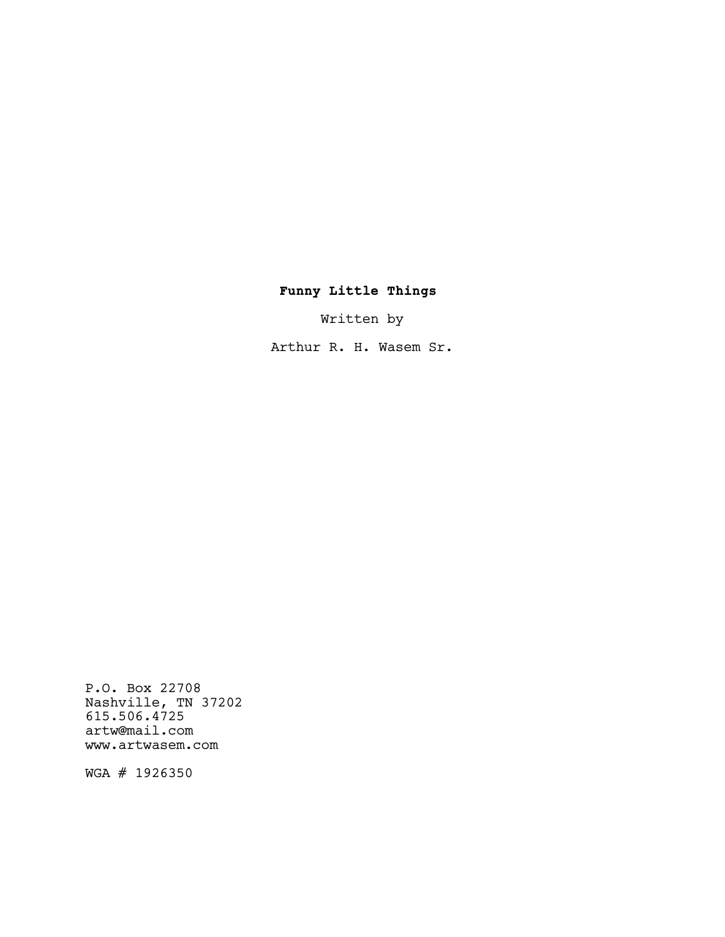# Funny Little Things

Written by

Arthur R. H. Wasem Sr.

P.O. Box 22708 Nashville, TN 37202 615.506.4725 artw@mail.com www.artwasem.com

WGA # 1926350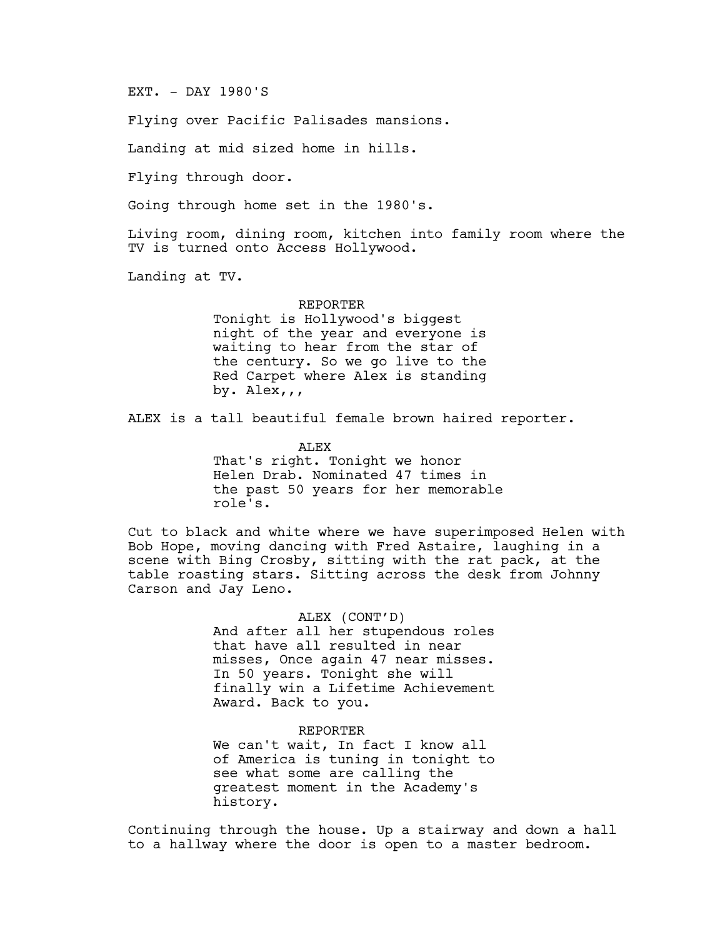EXT. - DAY 1980'S

Flying over Pacific Palisades mansions.

Landing at mid sized home in hills.

Flying through door.

Going through home set in the 1980's.

Living room, dining room, kitchen into family room where the TV is turned onto Access Hollywood.

Landing at TV.

### REPORTER

Tonight is Hollywood's biggest night of the year and everyone is waiting to hear from the star of the century. So we go live to the Red Carpet where Alex is standing by. Alex,,,

ALEX is a tall beautiful female brown haired reporter.

ALEX

That's right. Tonight we honor Helen Drab. Nominated 47 times in the past 50 years for her memorable role's.

Cut to black and white where we have superimposed Helen with Bob Hope, moving dancing with Fred Astaire, laughing in a scene with Bing Crosby, sitting with the rat pack, at the table roasting stars. Sitting across the desk from Johnny Carson and Jay Leno.

> ALEX (CONT'D) And after all her stupendous roles that have all resulted in near misses, Once again 47 near misses. In 50 years. Tonight she will finally win a Lifetime Achievement Award. Back to you.

> REPORTER We can't wait, In fact I know all of America is tuning in tonight to see what some are calling the greatest moment in the Academy's history.

Continuing through the house. Up a stairway and down a hall to a hallway where the door is open to a master bedroom.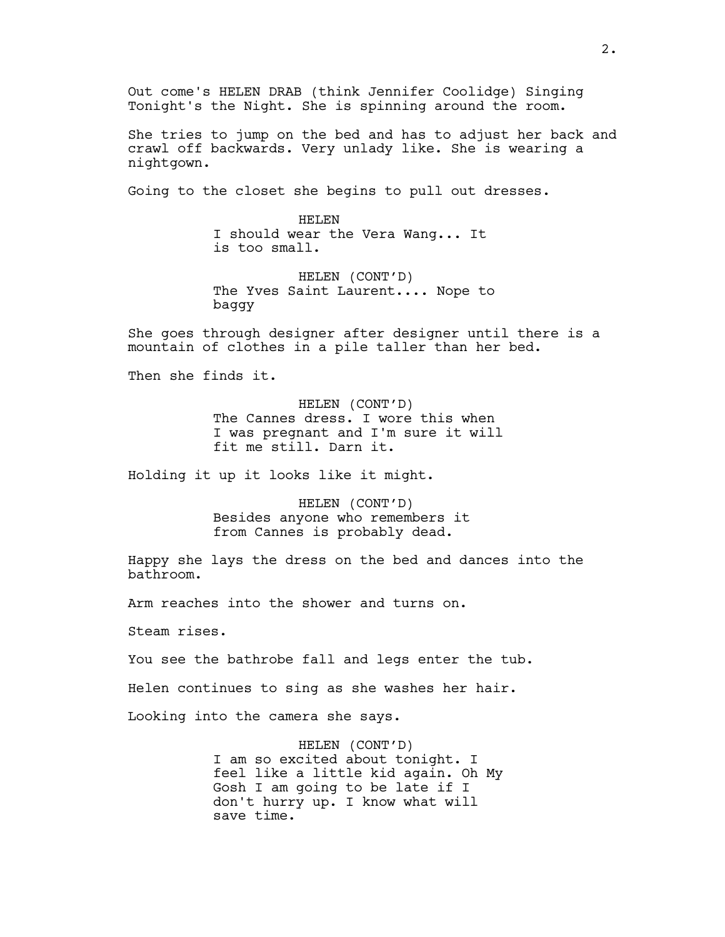Out come's HELEN DRAB (think Jennifer Coolidge) Singing Tonight's the Night. She is spinning around the room.

She tries to jump on the bed and has to adjust her back and crawl off backwards. Very unlady like. She is wearing a nightgown.

Going to the closet she begins to pull out dresses.

HELEN I should wear the Vera Wang... It is too small.

HELEN (CONT'D) The Yves Saint Laurent.... Nope to baggy

She goes through designer after designer until there is a mountain of clothes in a pile taller than her bed.

Then she finds it.

HELEN (CONT'D) The Cannes dress. I wore this when I was pregnant and I'm sure it will fit me still. Darn it.

Holding it up it looks like it might.

HELEN (CONT'D) Besides anyone who remembers it from Cannes is probably dead.

Happy she lays the dress on the bed and dances into the bathroom.

Arm reaches into the shower and turns on.

Steam rises.

You see the bathrobe fall and legs enter the tub.

Helen continues to sing as she washes her hair.

Looking into the camera she says.

HELEN (CONT'D) I am so excited about tonight. I feel like a little kid again. Oh My Gosh I am going to be late if I don't hurry up. I know what will save time.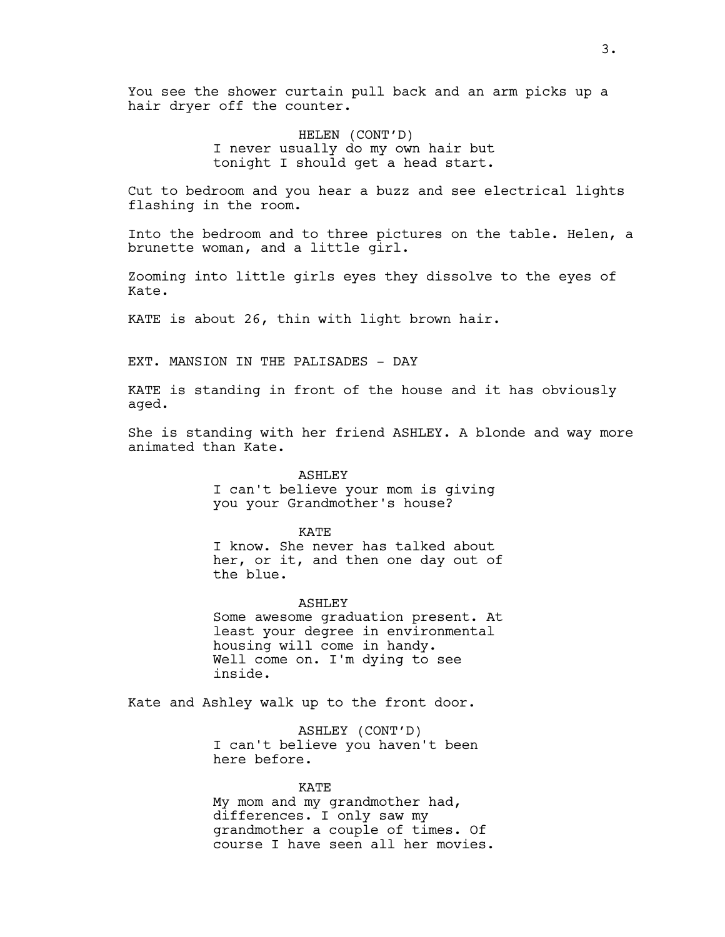You see the shower curtain pull back and an arm picks up a hair dryer off the counter.

> HELEN (CONT'D) I never usually do my own hair but tonight I should get a head start.

Cut to bedroom and you hear a buzz and see electrical lights flashing in the room.

Into the bedroom and to three pictures on the table. Helen, a brunette woman, and a little girl.

Zooming into little girls eyes they dissolve to the eyes of Kate.

KATE is about 26, thin with light brown hair.

EXT. MANSION IN THE PALISADES - DAY

KATE is standing in front of the house and it has obviously aged.

She is standing with her friend ASHLEY. A blonde and way more animated than Kate.

> ASHLEY I can't believe your mom is giving you your Grandmother's house?

> > KATE

I know. She never has talked about her, or it, and then one day out of the blue.

### ASHLEY

Some awesome graduation present. At least your degree in environmental housing will come in handy. Well come on. I'm dying to see inside.

Kate and Ashley walk up to the front door.

ASHLEY (CONT'D) I can't believe you haven't been here before.

KATE My mom and my grandmother had, differences. I only saw my grandmother a couple of times. Of course I have seen all her movies.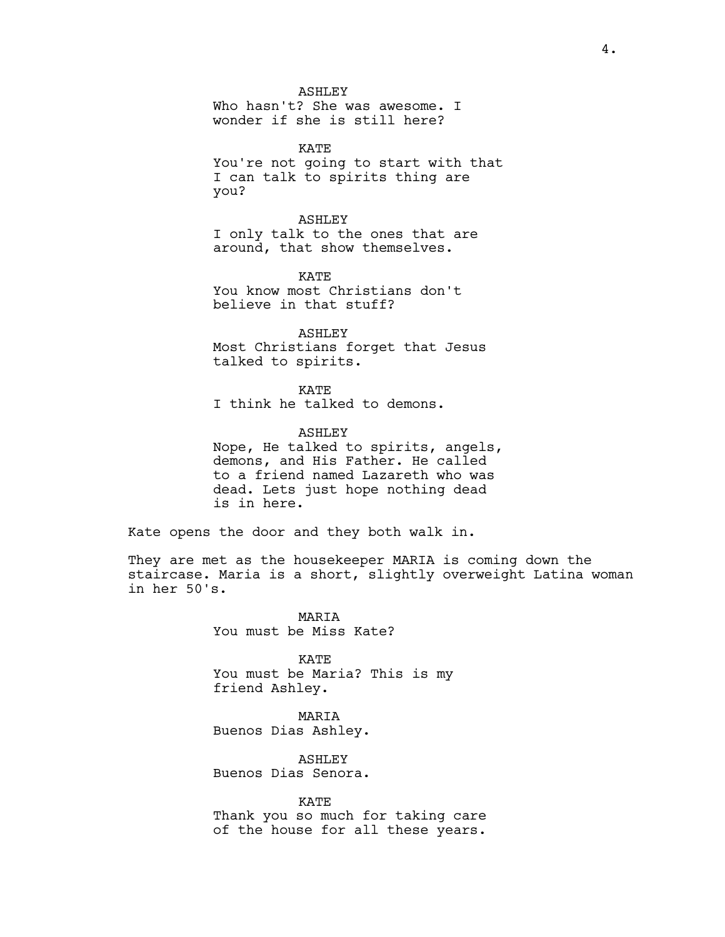ASHLEY

Who hasn't? She was awesome. I wonder if she is still here?

KATE You're not going to start with that I can talk to spirits thing are you?

ASHLEY I only talk to the ones that are around, that show themselves.

KATE You know most Christians don't believe in that stuff?

ASHLEY Most Christians forget that Jesus talked to spirits.

KATE I think he talked to demons.

ASHLEY Nope, He talked to spirits, angels, demons, and His Father. He called to a friend named Lazareth who was dead. Lets just hope nothing dead is in here.

Kate opens the door and they both walk in.

They are met as the housekeeper MARIA is coming down the staircase. Maria is a short, slightly overweight Latina woman in her 50's.

> **MARTA** You must be Miss Kate?

KATE You must be Maria? This is my friend Ashley.

MARIA Buenos Dias Ashley.

ASHLEY Buenos Dias Senora.

KATE Thank you so much for taking care of the house for all these years.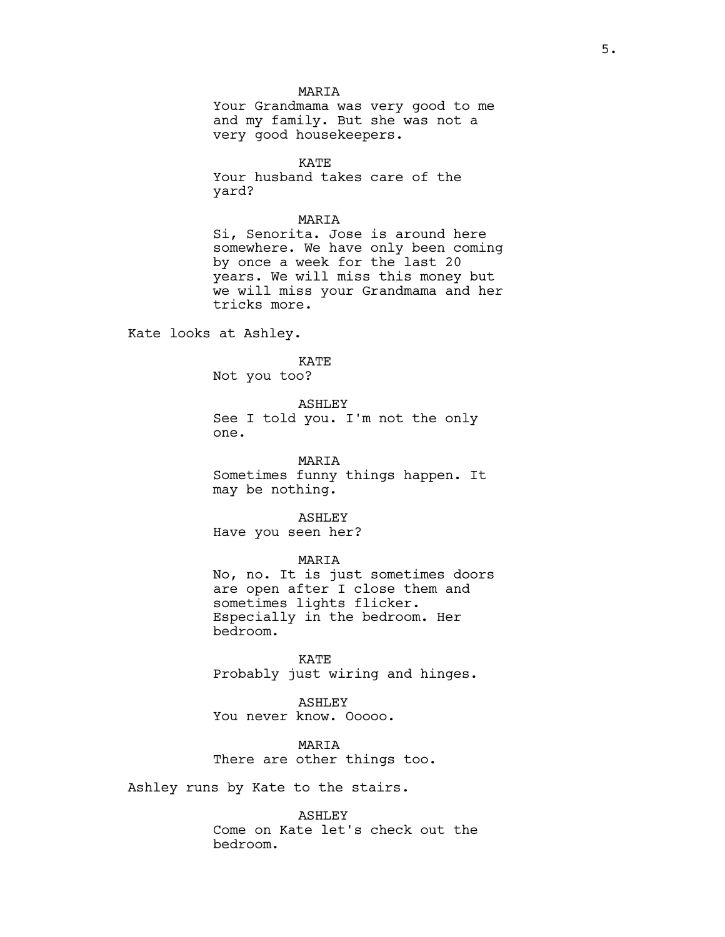### MARIA

Your Grandmama was very good to me and my family. But she was not a very good housekeepers.

KATE Your husband takes care of the yard?

### MARIA

Si, Senorita. Jose is around here somewhere. We have only been coming by once a week for the last 20 years. We will miss this money but we will miss your Grandmama and her tricks more.

Kate looks at Ashley.

# KATE

Not you too?

# ASHLEY

See I told you. I'm not the only one.

MARIA Sometimes funny things happen. It may be nothing.

ASHLEY

Have you seen her?

MARIA

No, no. It is just sometimes doors are open after I close them and sometimes lights flicker. Especially in the bedroom. Her bedroom.

KATE Probably just wiring and hinges.

ASHLEY You never know. Ooooo.

**MARTA** There are other things too.

Ashley runs by Kate to the stairs.

ASHLEY

Come on Kate let's check out the bedroom.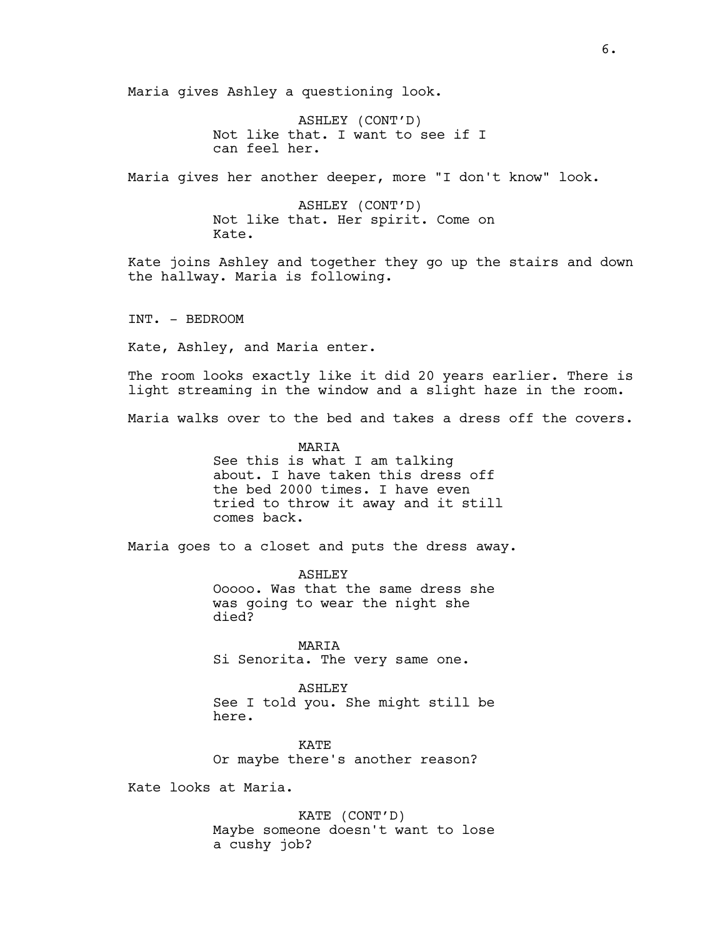Maria gives Ashley a questioning look.

ASHLEY (CONT'D) Not like that. I want to see if I can feel her.

Maria gives her another deeper, more "I don't know" look.

ASHLEY (CONT'D) Not like that. Her spirit. Come on Kate.

Kate joins Ashley and together they go up the stairs and down the hallway. Maria is following.

INT. - BEDROOM

Kate, Ashley, and Maria enter.

The room looks exactly like it did 20 years earlier. There is light streaming in the window and a slight haze in the room.

Maria walks over to the bed and takes a dress off the covers.

### **MARTA**

See this is what I am talking about. I have taken this dress off the bed 2000 times. I have even tried to throw it away and it still comes back.

Maria goes to a closet and puts the dress away.

ASHLEY Ooooo. Was that the same dress she was going to wear the night she died?

MARIA Si Senorita. The very same one.

ASHLEY See I told you. She might still be here.

KATE Or maybe there's another reason?

Kate looks at Maria.

KATE (CONT'D) Maybe someone doesn't want to lose a cushy job?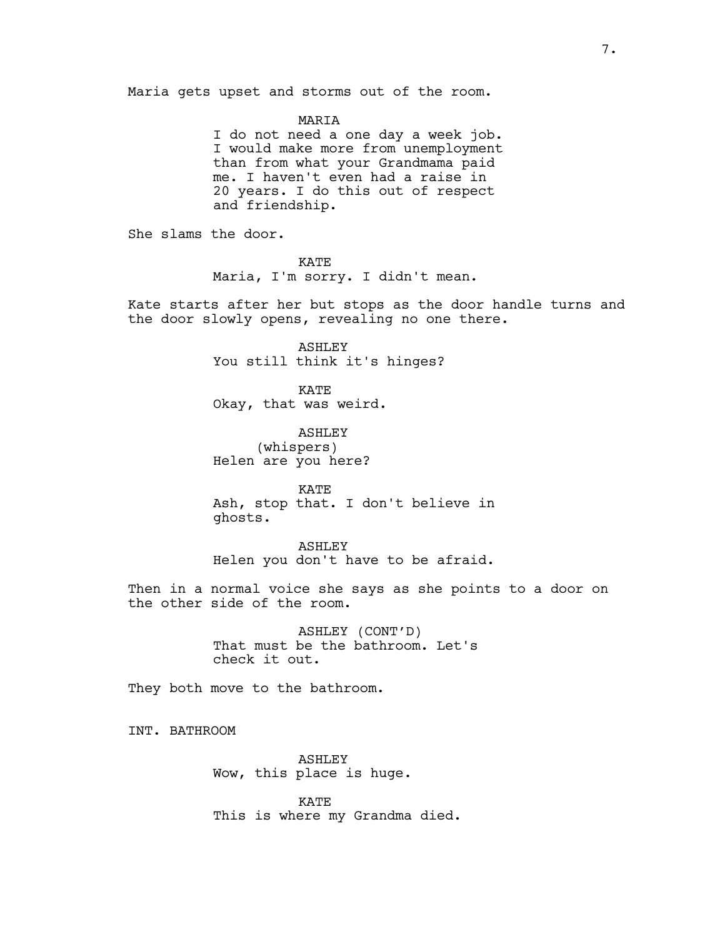Maria gets upset and storms out of the room.

MARIA

I do not need a one day a week job. I would make more from unemployment than from what your Grandmama paid me. I haven't even had a raise in 20 years. I do this out of respect and friendship.

She slams the door.

KATE Maria, I'm sorry. I didn't mean.

Kate starts after her but stops as the door handle turns and the door slowly opens, revealing no one there.

> ASHLEY You still think it's hinges?

KATE Okay, that was weird.

ASHLEY (whispers) Helen are you here?

KATE Ash, stop that. I don't believe in ghosts.

ASHLEY Helen you don't have to be afraid.

Then in a normal voice she says as she points to a door on the other side of the room.

> ASHLEY (CONT'D) That must be the bathroom. Let's check it out.

They both move to the bathroom.

INT. BATHROOM

ASHLEY Wow, this place is huge.

KATE This is where my Grandma died.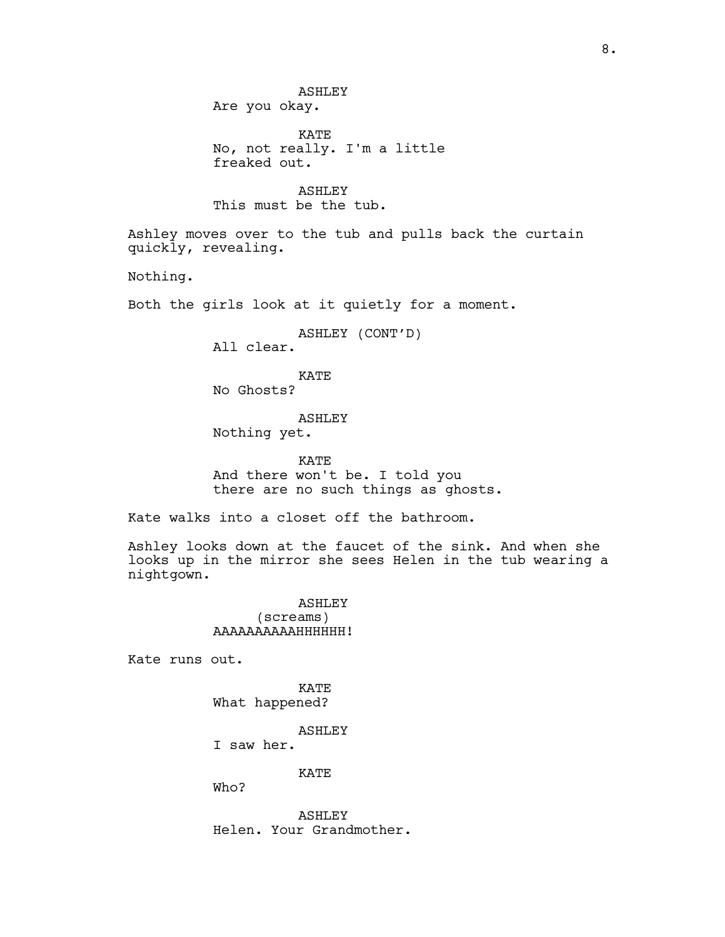KATE No, not really. I'm a little freaked out.

ASHLEY This must be the tub.

Ashley moves over to the tub and pulls back the curtain quickly, revealing.

Nothing.

Both the girls look at it quietly for a moment.

ASHLEY (CONT'D)

All clear.

# KATE

No Ghosts?

# ASHLEY

Nothing yet.

KATE And there won't be. I told you there are no such things as ghosts.

Kate walks into a closet off the bathroom.

Ashley looks down at the faucet of the sink. And when she looks up in the mirror she sees Helen in the tub wearing a nightgown.

> ASHLEY (screams) AAAAAAAAAAHHHHHH!

Kate runs out.

KATE What happened?

ASHLEY

I saw her.

KATE

Who?

ASHLEY Helen. Your Grandmother.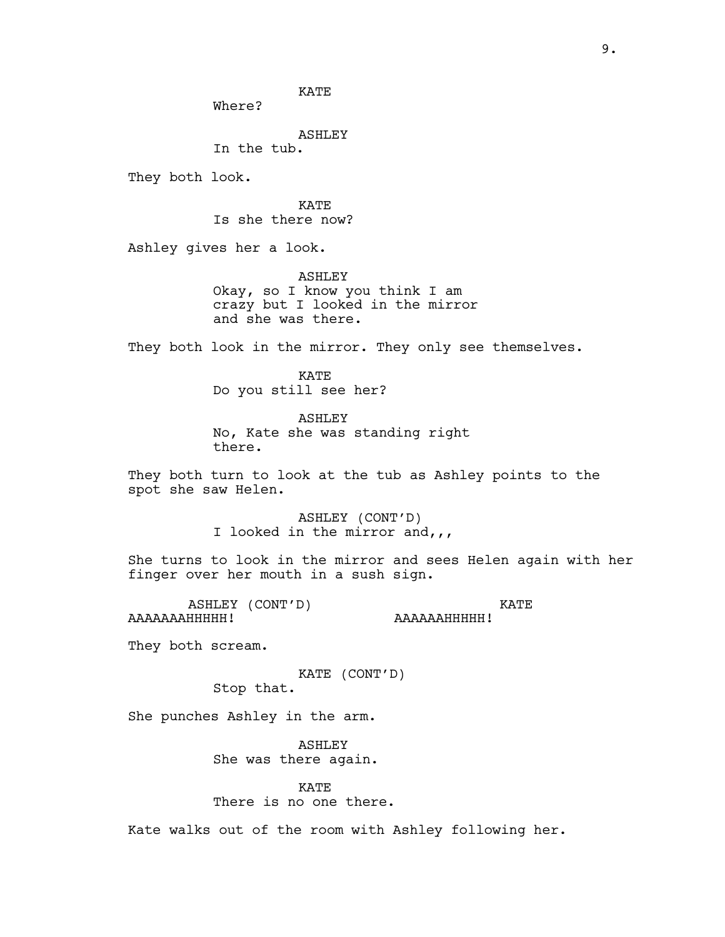KATE Where? ASHLEY In the tub. They both look. KATE Is she there now? Ashley gives her a look. ASHLEY Okay, so I know you think I am crazy but I looked in the mirror and she was there. They both look in the mirror. They only see themselves. KATE Do you still see her? ASHLEY No, Kate she was standing right there. They both turn to look at the tub as Ashley points to the spot she saw Helen. ASHLEY (CONT'D) I looked in the mirror and,,, She turns to look in the mirror and sees Helen again with her finger over her mouth in a sush sign. ASHLEY (CONT'D) AAAAAAAHHHHH! KATE AAAAAAHHHHH! They both scream. KATE (CONT'D) Stop that. She punches Ashley in the arm. ASHLEY She was there again.

> KATE There is no one there.

Kate walks out of the room with Ashley following her.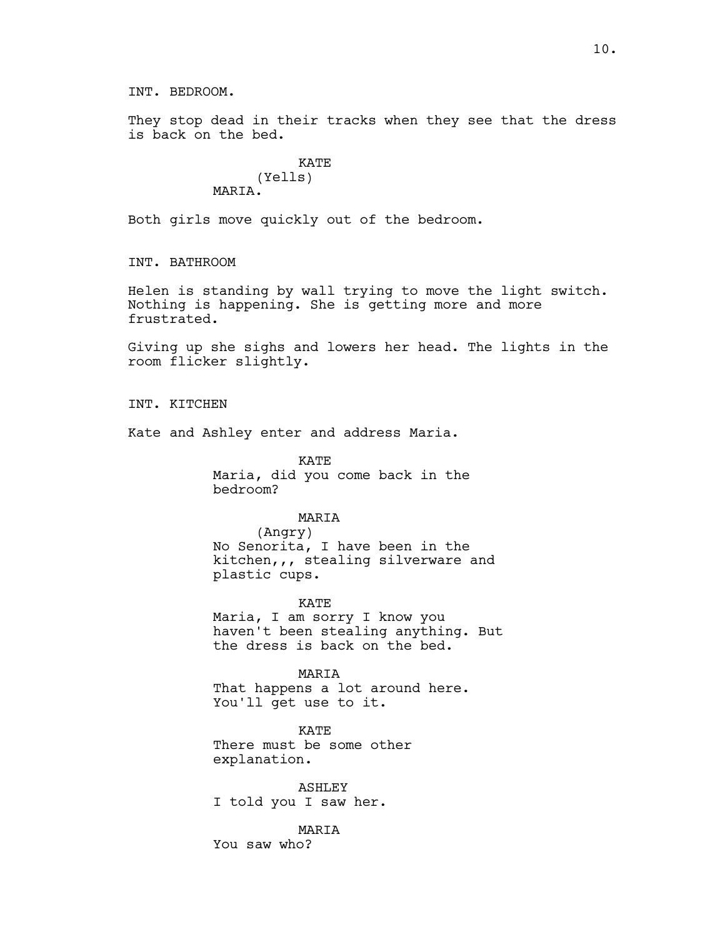INT. BEDROOM.

They stop dead in their tracks when they see that the dress is back on the bed.

# KATE (Yells) MARIA.

Both girls move quickly out of the bedroom.

INT. BATHROOM

Helen is standing by wall trying to move the light switch. Nothing is happening. She is getting more and more frustrated.

Giving up she sighs and lowers her head. The lights in the room flicker slightly.

INT. KITCHEN

Kate and Ashley enter and address Maria.

KATE Maria, did you come back in the bedroom?

# MARIA

(Angry) No Senorita, I have been in the kitchen,,, stealing silverware and plastic cups.

KATE

Maria, I am sorry I know you haven't been stealing anything. But the dress is back on the bed.

MARIA That happens a lot around here. You'll get use to it.

KATE There must be some other explanation.

ASHLEY I told you I saw her.

MARIA

You saw who?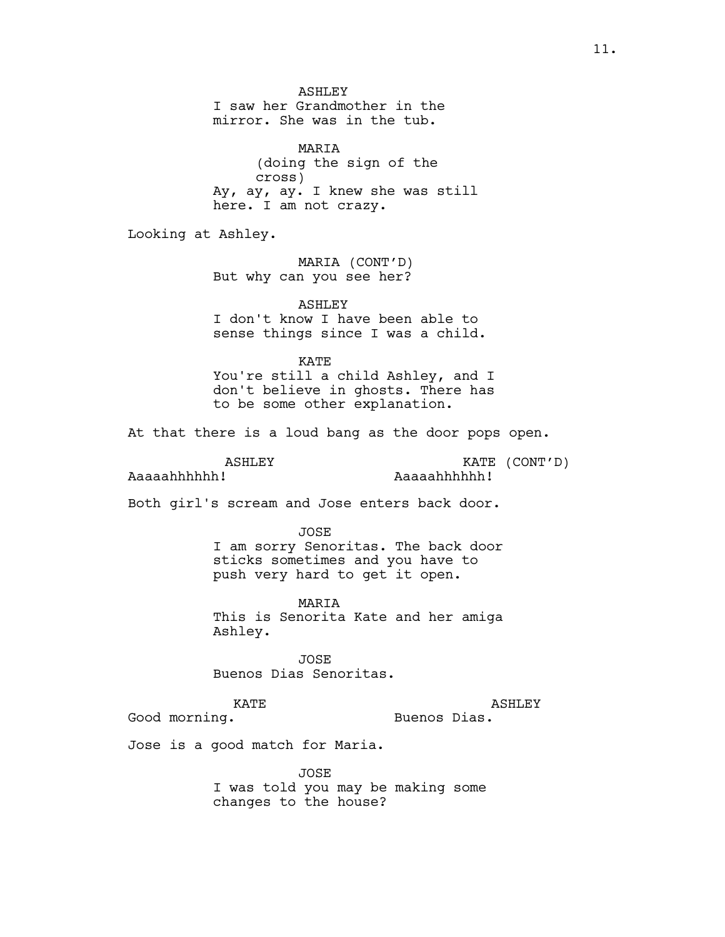ASHLEY I saw her Grandmother in the mirror. She was in the tub. MARIA (doing the sign of the cross) Ay, ay, ay. I knew she was still here. I am not crazy. Looking at Ashley. MARIA (CONT'D) But why can you see her? ASHLEY I don't know I have been able to sense things since I was a child. KATE You're still a child Ashley, and I don't believe in ghosts. There has to be some other explanation. At that there is a loud bang as the door pops open. ASHLEY Aaaaahhhhhh! KATE (CONT'D) Aaaaahhhhhh! Both girl's scream and Jose enters back door. JOSE I am sorry Senoritas. The back door sticks sometimes and you have to push very hard to get it open. MARIA This is Senorita Kate and her amiga Ashley. JOSE Buenos Dias Senoritas. KATE Good morning. ASHLEY Buenos Dias. Jose is a good match for Maria. JOSE I was told you may be making some changes to the house?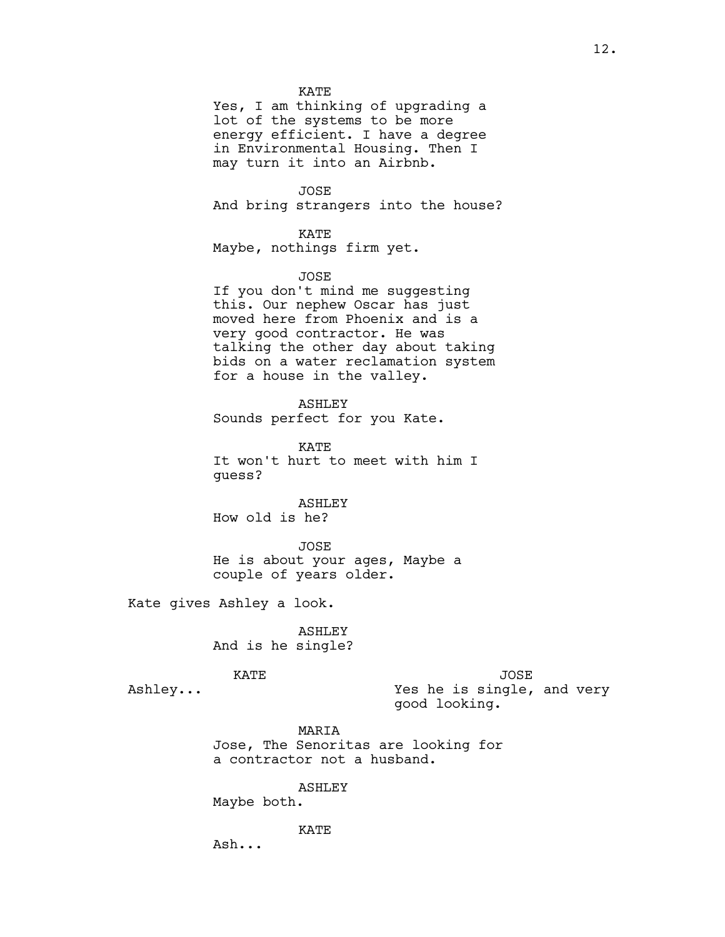KATE

Yes, I am thinking of upgrading a lot of the systems to be more energy efficient. I have a degree in Environmental Housing. Then I may turn it into an Airbnb.

JOSE

And bring strangers into the house?

### KATE

Maybe, nothings firm yet.

### JOSE

If you don't mind me suggesting this. Our nephew Oscar has just moved here from Phoenix and is a very good contractor. He was talking the other day about taking bids on a water reclamation system for a house in the valley.

ASHLEY

Sounds perfect for you Kate.

KATE It won't hurt to meet with him I guess?

ASHLEY How old is he?

# JOSE He is about your ages, Maybe a couple of years older.

Kate gives Ashley a look.

ASHLEY And is he single?

KATE

Ashley...

JOSE

Yes he is single, and very good looking.

MARIA Jose, The Senoritas are looking for a contractor not a husband.

ASHLEY

Maybe both.

KATE

Ash...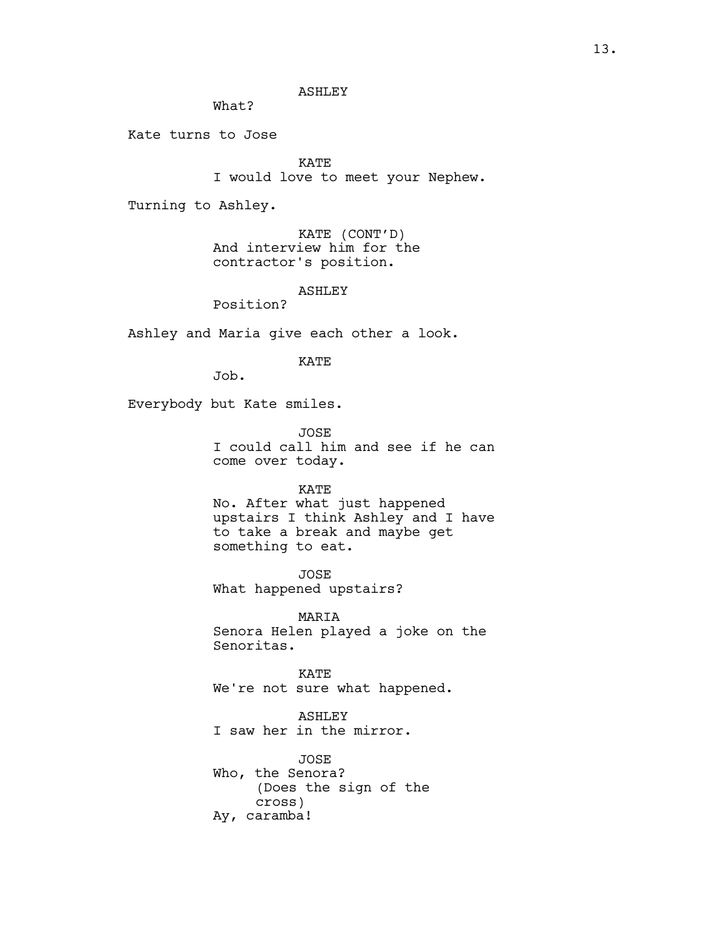ASHLEY

What?

Kate turns to Jose

KATE

I would love to meet your Nephew.

Turning to Ashley.

KATE (CONT'D) And interview him for the contractor's position.

ASHLEY

Position?

Ashley and Maria give each other a look.

KATE

Job.

Everybody but Kate smiles.

JOSE I could call him and see if he can come over today.

## KATE

No. After what just happened upstairs I think Ashley and I have to take a break and maybe get something to eat.

JOSE What happened upstairs?

MARIA Senora Helen played a joke on the Senoritas.

KATE We're not sure what happened.

ASHLEY I saw her in the mirror.

JOSE Who, the Senora? (Does the sign of the cross) Ay, caramba!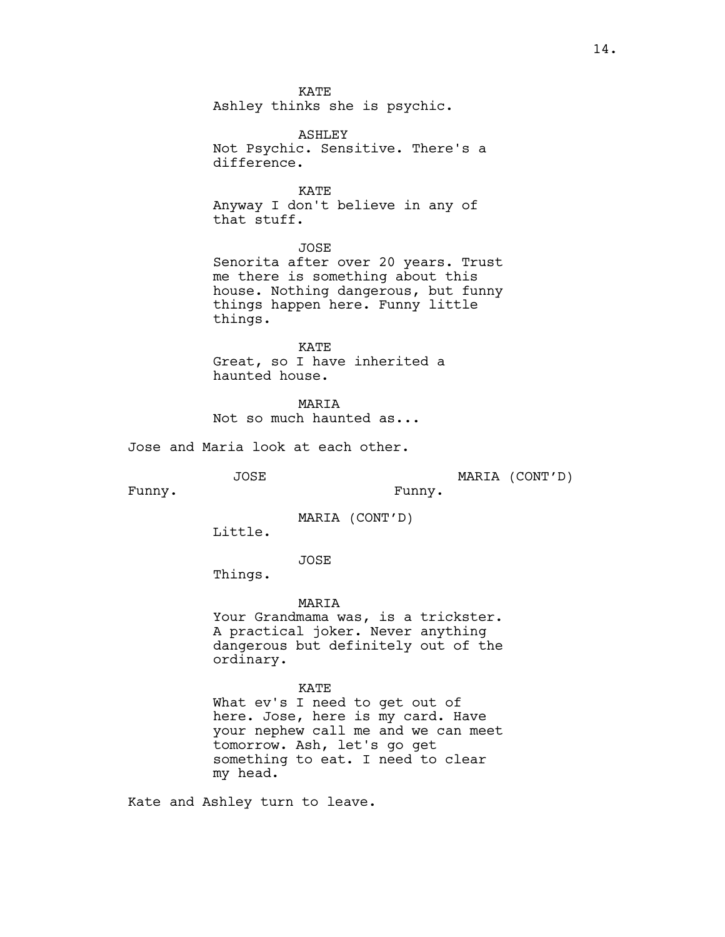KATE Ashley thinks she is psychic.

ASHLEY Not Psychic. Sensitive. There's a difference.

KATE Anyway I don't believe in any of that stuff.

JOSE

Senorita after over 20 years. Trust me there is something about this house. Nothing dangerous, but funny things happen here. Funny little things.

KATE Great, so I have inherited a haunted house.

**MARTA** Not so much haunted as...

Jose and Maria look at each other.

JOSE

MARIA (CONT'D)

Funny.

Funny.

MARIA (CONT'D)

Little.

JOSE

Things.

MARIA

Your Grandmama was, is a trickster. A practical joker. Never anything dangerous but definitely out of the ordinary.

KATE

What ev's I need to get out of here. Jose, here is my card. Have your nephew call me and we can meet tomorrow. Ash, let's go get something to eat. I need to clear my head.

Kate and Ashley turn to leave.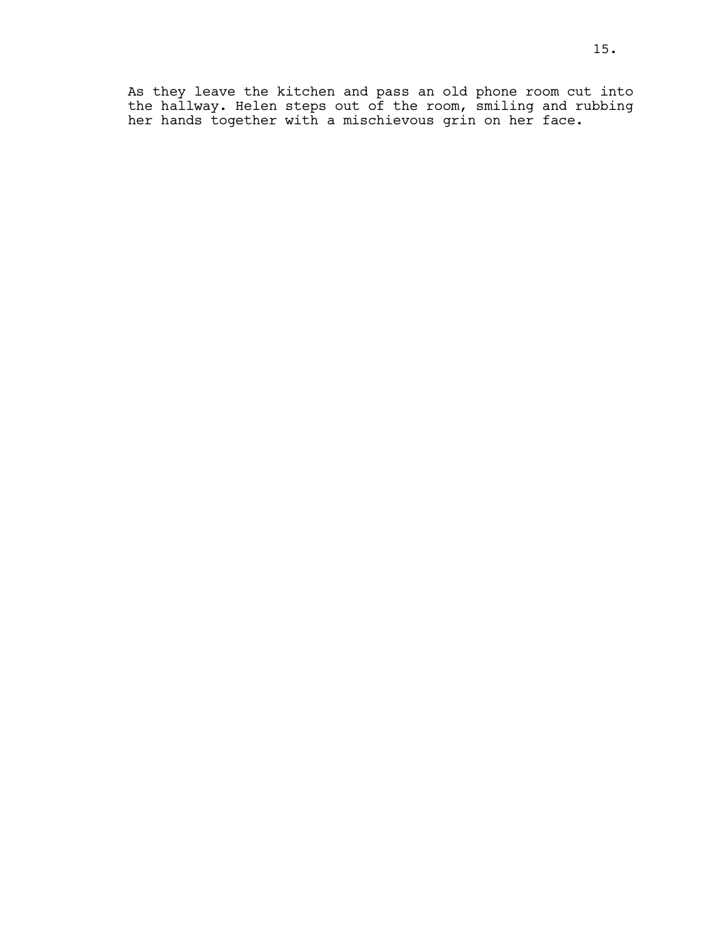As they leave the kitchen and pass an old phone room cut into the hallway. Helen steps out of the room, smiling and rubbing her hands together with a mischievous grin on her face.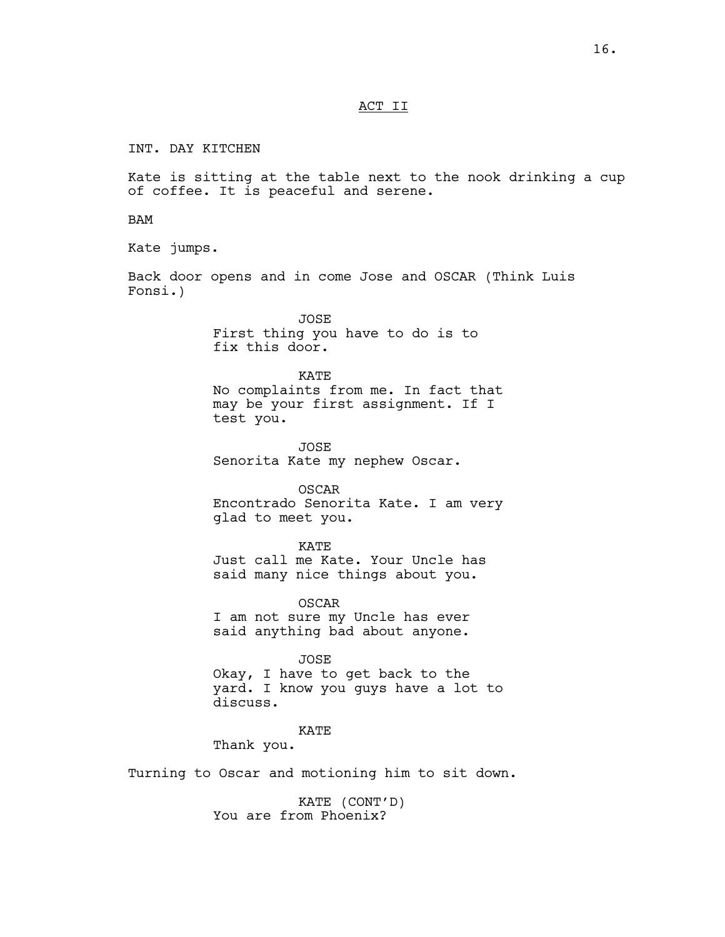### ACT II

INT. DAY KITCHEN

Kate is sitting at the table next to the nook drinking a cup of coffee. It is peaceful and serene.

BAM

Kate jumps.

Back door opens and in come Jose and OSCAR (Think Luis Fonsi.)

> JOSE First thing you have to do is to fix this door.

KATE No complaints from me. In fact that may be your first assignment. If I test you.

JOSE Senorita Kate my nephew Oscar.

OSCAR Encontrado Senorita Kate. I am very glad to meet you.

KATE

Just call me Kate. Your Uncle has said many nice things about you.

OSCAR I am not sure my Uncle has ever said anything bad about anyone.

JOSE Okay, I have to get back to the yard. I know you guys have a lot to discuss.

KATE

Thank you.

Turning to Oscar and motioning him to sit down.

KATE (CONT'D) You are from Phoenix?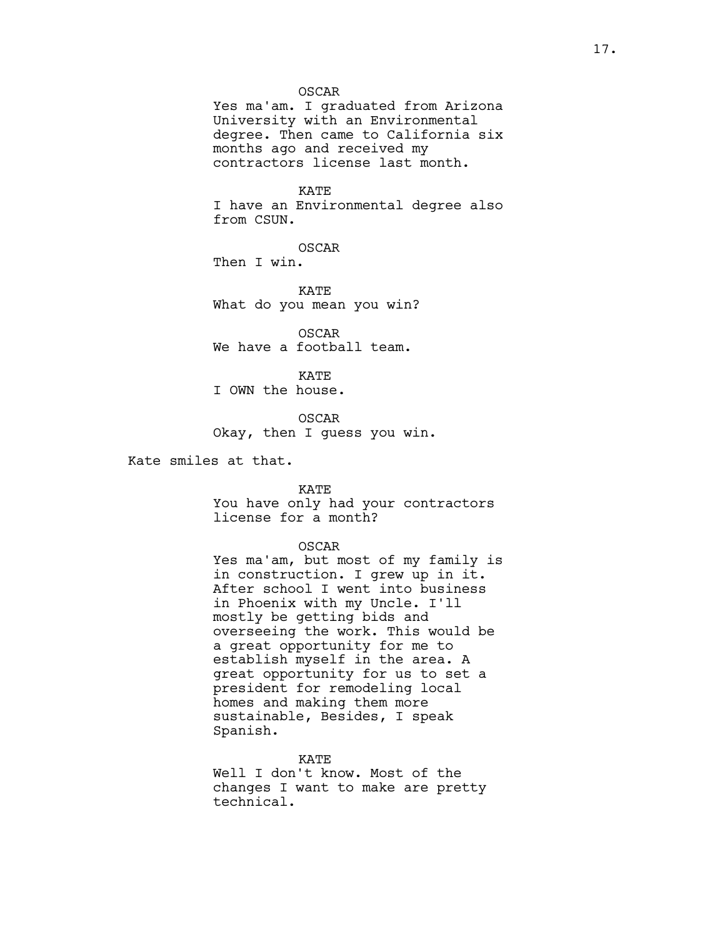### OSCAR

Yes ma'am. I graduated from Arizona University with an Environmental degree. Then came to California six months ago and received my contractors license last month.

### KATE

I have an Environmental degree also from CSUN.

OSCAR

Then I win.

KATE What do you mean you win?

OSCAR We have a football team.

KATE I OWN the house.

OSCAR Okay, then I guess you win.

Kate smiles at that.

### KATE

You have only had your contractors license for a month?

#### OSCAR

Yes ma'am, but most of my family is in construction. I grew up in it. After school I went into business in Phoenix with my Uncle. I'll mostly be getting bids and overseeing the work. This would be a great opportunity for me to establish myself in the area. A great opportunity for us to set a president for remodeling local homes and making them more sustainable, Besides, I speak Spanish.

#### KATE

Well I don't know. Most of the changes I want to make are pretty technical.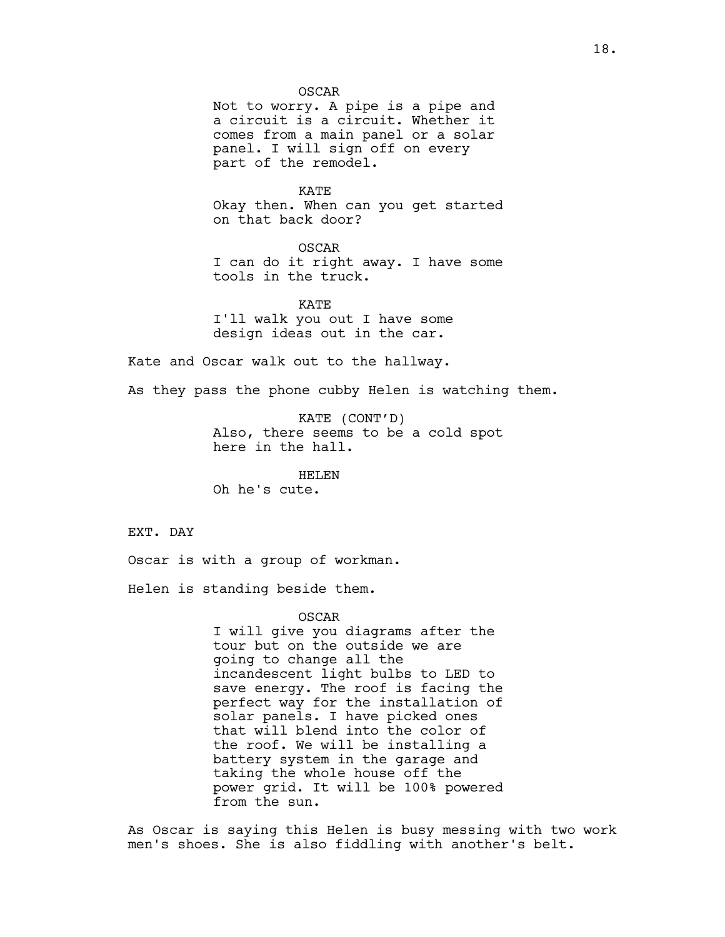OSCAR

Not to worry. A pipe is a pipe and a circuit is a circuit. Whether it comes from a main panel or a solar panel. I will sign off on every part of the remodel.

KATE Okay then. When can you get started on that back door?

OSCAR I can do it right away. I have some tools in the truck.

KATE I'll walk you out I have some design ideas out in the car.

Kate and Oscar walk out to the hallway.

As they pass the phone cubby Helen is watching them.

KATE (CONT'D) Also, there seems to be a cold spot here in the hall.

HELEN Oh he's cute.

EXT. DAY

Oscar is with a group of workman.

Helen is standing beside them.

OSCAR

I will give you diagrams after the tour but on the outside we are going to change all the incandescent light bulbs to LED to save energy. The roof is facing the perfect way for the installation of solar panels. I have picked ones that will blend into the color of the roof. We will be installing a battery system in the garage and taking the whole house off the power grid. It will be 100% powered from the sun.

As Oscar is saying this Helen is busy messing with two work men's shoes. She is also fiddling with another's belt.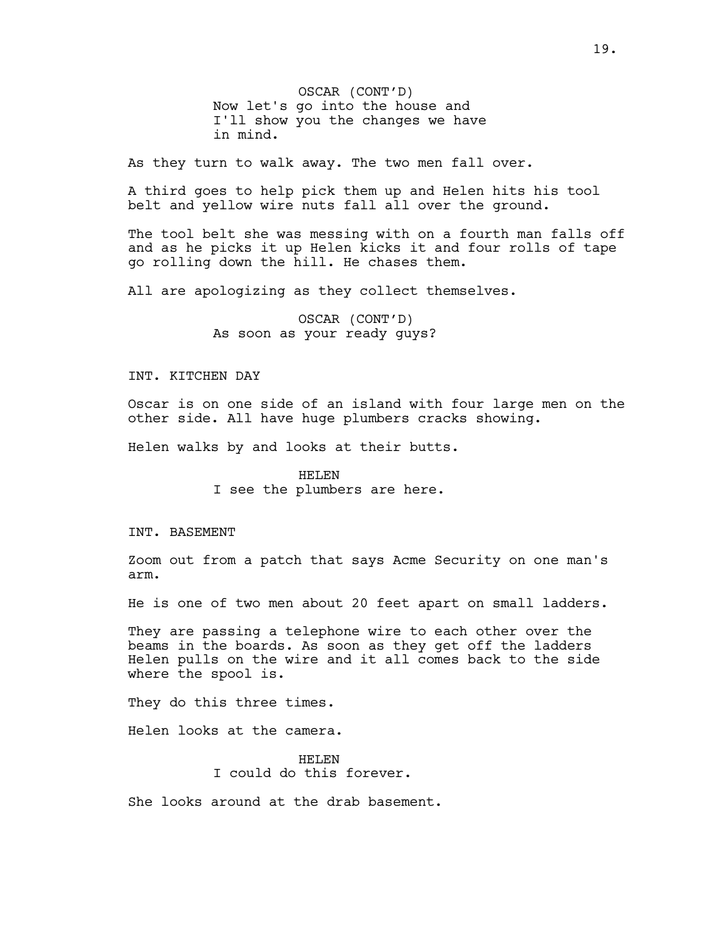OSCAR (CONT'D) Now let's go into the house and I'll show you the changes we have in mind.

As they turn to walk away. The two men fall over.

A third goes to help pick them up and Helen hits his tool belt and yellow wire nuts fall all over the ground.

The tool belt she was messing with on a fourth man falls off and as he picks it up Helen kicks it and four rolls of tape go rolling down the hill. He chases them.

All are apologizing as they collect themselves.

OSCAR (CONT'D) As soon as your ready guys?

### INT. KITCHEN DAY

Oscar is on one side of an island with four large men on the other side. All have huge plumbers cracks showing.

Helen walks by and looks at their butts.

### HELEN

I see the plumbers are here.

### INT. BASEMENT

Zoom out from a patch that says Acme Security on one man's arm.

He is one of two men about 20 feet apart on small ladders.

They are passing a telephone wire to each other over the beams in the boards. As soon as they get off the ladders Helen pulls on the wire and it all comes back to the side where the spool is.

They do this three times.

Helen looks at the camera.

HELEN I could do this forever.

She looks around at the drab basement.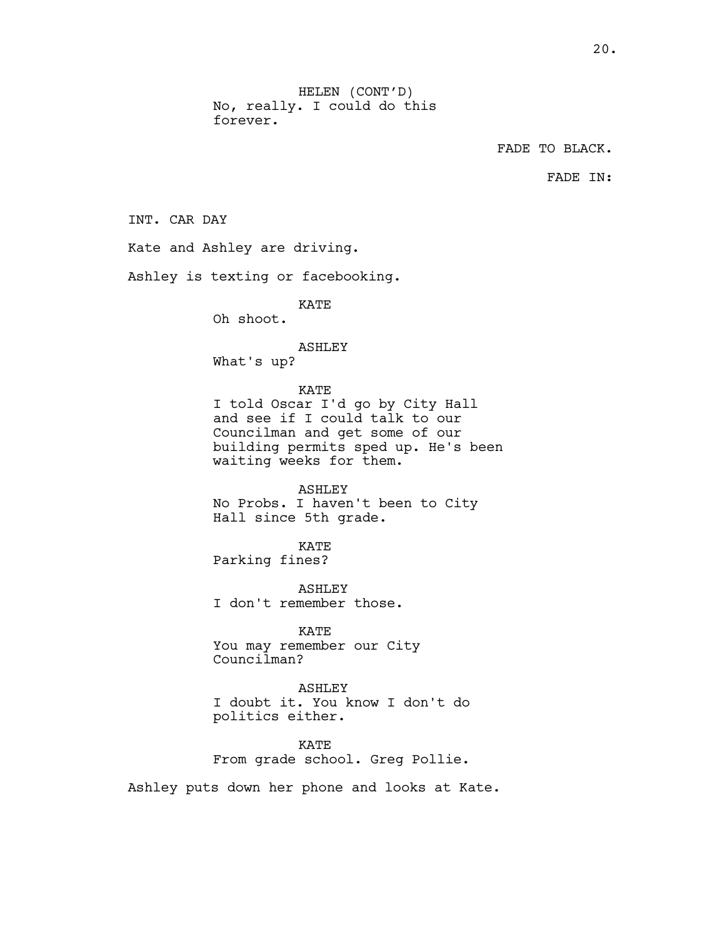FADE TO BLACK.

FADE IN:

INT. CAR DAY

Kate and Ashley are driving.

Ashley is texting or facebooking.

KATE

Oh shoot.

# ASHLEY

What's up?

# KATE

I told Oscar I'd go by City Hall and see if I could talk to our Councilman and get some of our building permits sped up. He's been waiting weeks for them.

#### ASHLEY

No Probs. I haven't been to City Hall since 5th grade.

KATE

Parking fines?

ASHLEY I don't remember those.

KATE You may remember our City Councilman?

ASHLEY I doubt it. You know I don't do politics either.

KATE From grade school. Greg Pollie.

Ashley puts down her phone and looks at Kate.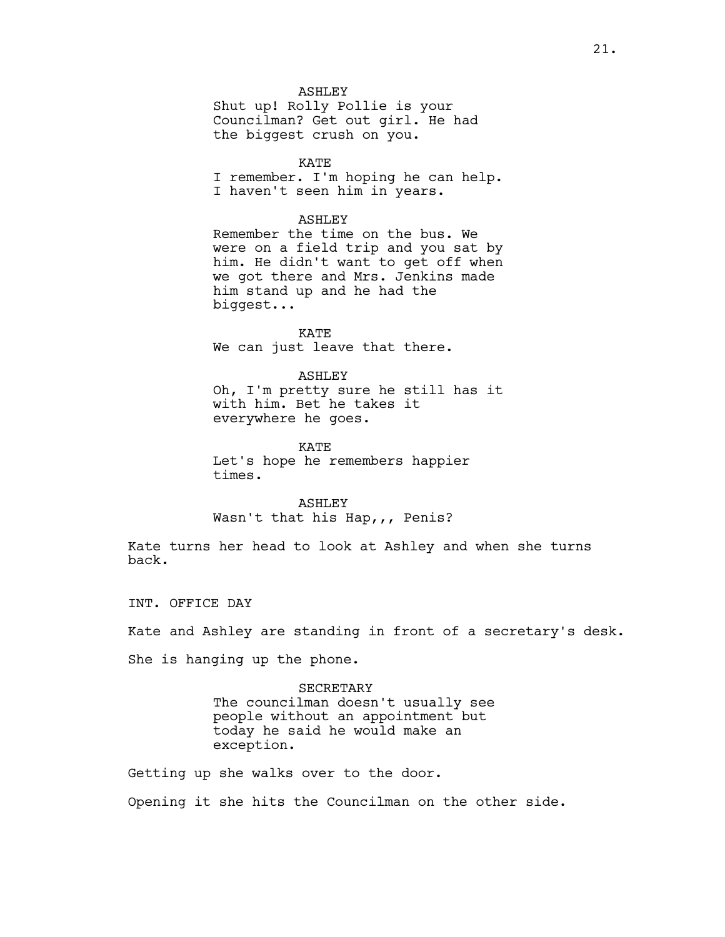### ASHLEY

Shut up! Rolly Pollie is your Councilman? Get out girl. He had the biggest crush on you.

KATE I remember. I'm hoping he can help. I haven't seen him in years.

## ASHLEY

Remember the time on the bus. We were on a field trip and you sat by him. He didn't want to get off when we got there and Mrs. Jenkins made him stand up and he had the biggest...

KATE We can just leave that there.

#### ASHLEY

Oh, I'm pretty sure he still has it with him. Bet he takes it everywhere he goes.

KATE

Let's hope he remembers happier times.

ASHLEY Wasn't that his Hap,,, Penis?

Kate turns her head to look at Ashley and when she turns back.

INT. OFFICE DAY

Kate and Ashley are standing in front of a secretary's desk.

She is hanging up the phone.

SECRETARY The councilman doesn't usually see people without an appointment but today he said he would make an exception.

Getting up she walks over to the door.

Opening it she hits the Councilman on the other side.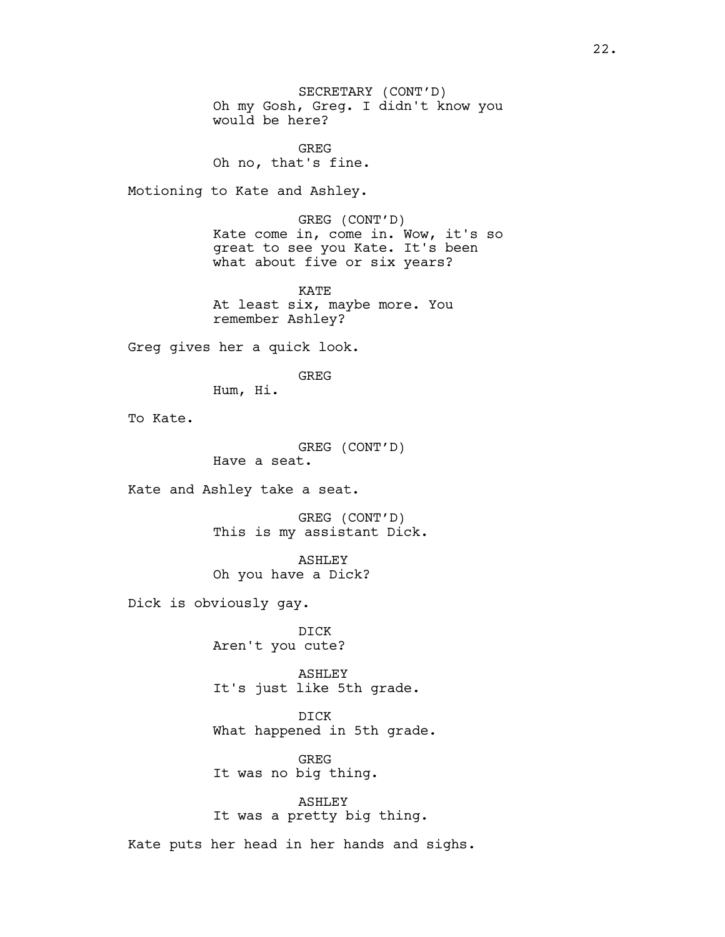SECRETARY (CONT'D) Oh my Gosh, Greg. I didn't know you would be here?

GREG Oh no, that's fine.

Motioning to Kate and Ashley.

GREG (CONT'D) Kate come in, come in. Wow, it's so great to see you Kate. It's been what about five or six years?

KATE At least six, maybe more. You remember Ashley?

Greg gives her a quick look.

GREG

Hum, Hi.

To Kate.

GREG (CONT'D) Have a seat.

Kate and Ashley take a seat.

GREG (CONT'D) This is my assistant Dick.

ASHLEY Oh you have a Dick?

Dick is obviously gay.

DICK Aren't you cute?

ASHLEY It's just like 5th grade.

DICK What happened in 5th grade.

GREG It was no big thing.

ASHLEY It was a pretty big thing.

Kate puts her head in her hands and sighs.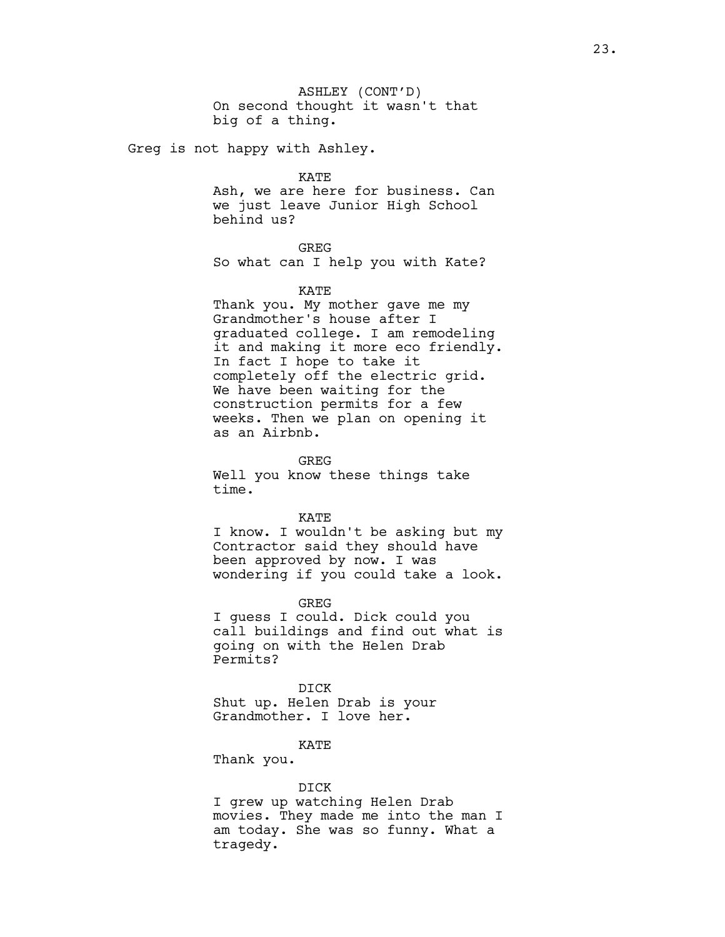ASHLEY (CONT'D) On second thought it wasn't that big of a thing.

Greg is not happy with Ashley.

KATE

Ash, we are here for business. Can we just leave Junior High School behind us?

GREG

So what can I help you with Kate?

### KATE

Thank you. My mother gave me my Grandmother's house after I graduated college. I am remodeling it and making it more eco friendly. In fact I hope to take it completely off the electric grid. We have been waiting for the construction permits for a few weeks. Then we plan on opening it as an Airbnb.

GREG

Well you know these things take time.

#### KATE

I know. I wouldn't be asking but my Contractor said they should have been approved by now. I was wondering if you could take a look.

GREG

I guess I could. Dick could you call buildings and find out what is going on with the Helen Drab Permits?

DICK Shut up. Helen Drab is your Grandmother. I love her.

KATE

Thank you.

### DICK

I grew up watching Helen Drab movies. They made me into the man I am today. She was so funny. What a tragedy.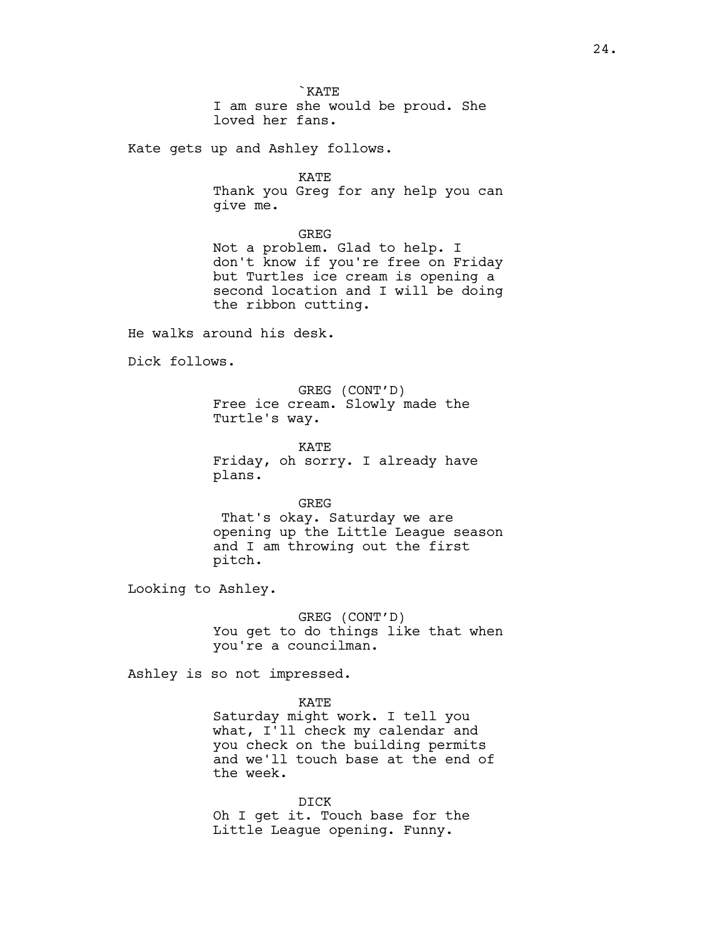`KATE I am sure she would be proud. She loved her fans.

Kate gets up and Ashley follows.

KATE

Thank you Greg for any help you can give me.

GREG

Not a problem. Glad to help. I don't know if you're free on Friday but Turtles ice cream is opening a second location and I will be doing the ribbon cutting.

He walks around his desk.

Dick follows.

GREG (CONT'D) Free ice cream. Slowly made the Turtle's way.

KATE Friday, oh sorry. I already have plans.

**GREG** 

 That's okay. Saturday we are opening up the Little League season and I am throwing out the first pitch.

Looking to Ashley.

GREG (CONT'D) You get to do things like that when you're a councilman.

Ashley is so not impressed.

KATE Saturday might work. I tell you what, I'll check my calendar and you check on the building permits and we'll touch base at the end of the week.

DICK Oh I get it. Touch base for the Little League opening. Funny.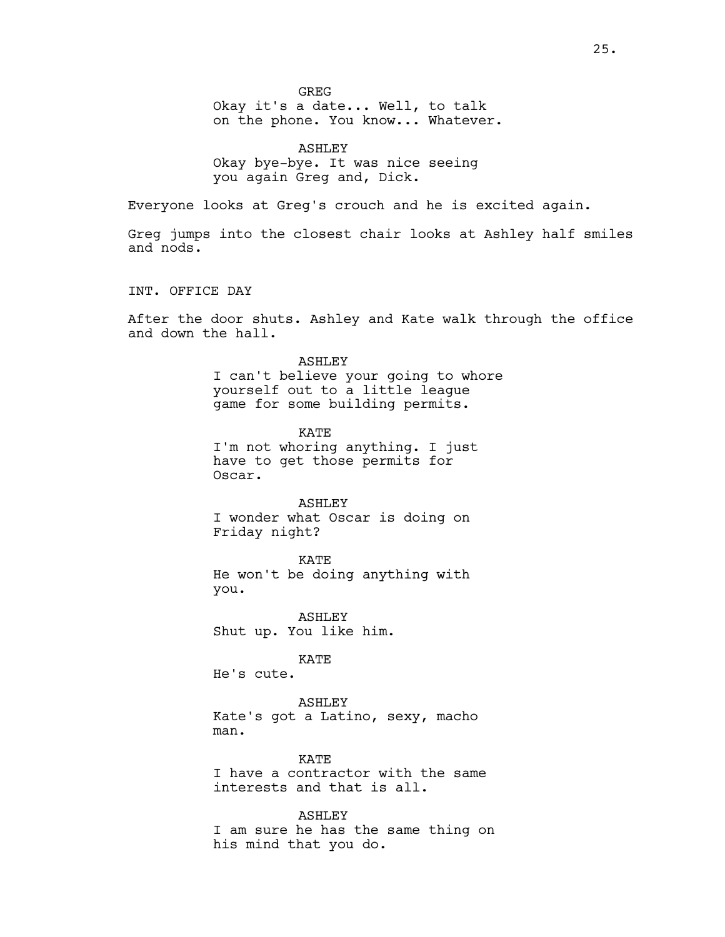**GREG** 

Okay it's a date... Well, to talk on the phone. You know... Whatever.

ASHLEY Okay bye-bye. It was nice seeing you again Greg and, Dick.

Everyone looks at Greg's crouch and he is excited again.

Greg jumps into the closest chair looks at Ashley half smiles and nods.

INT. OFFICE DAY

After the door shuts. Ashley and Kate walk through the office and down the hall.

> ASHLEY I can't believe your going to whore yourself out to a little league game for some building permits.

KATE I'm not whoring anything. I just have to get those permits for Oscar.

ASHLEY I wonder what Oscar is doing on Friday night?

KATE He won't be doing anything with you.

ASHLEY Shut up. You like him.

KATE

He's cute.

ASHLEY Kate's got a Latino, sexy, macho man.

KATE I have a contractor with the same interests and that is all.

ASHLEY I am sure he has the same thing on his mind that you do.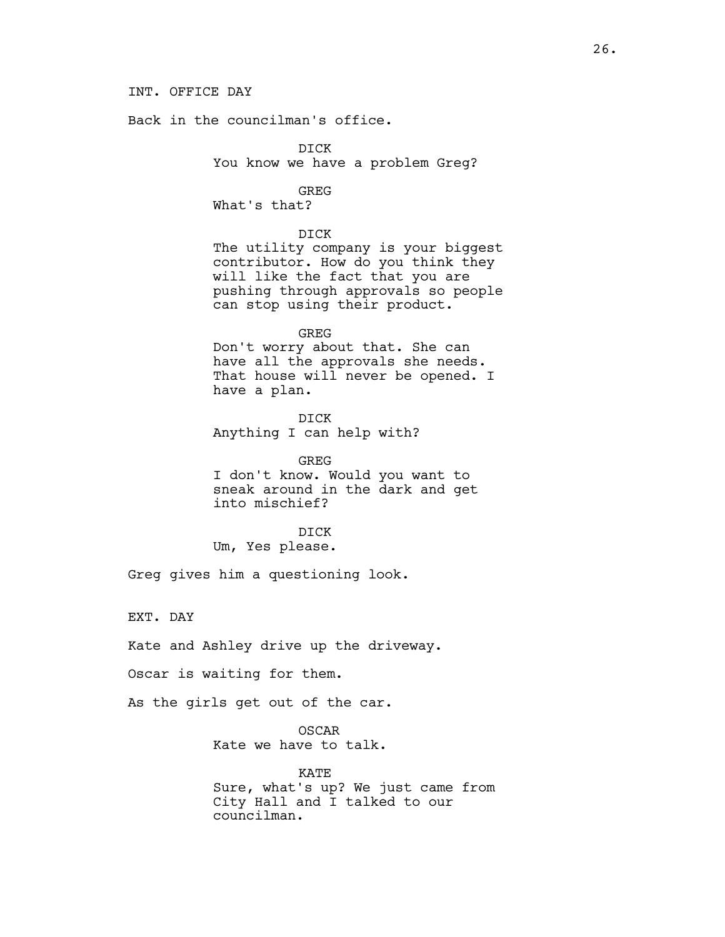# INT. OFFICE DAY

Back in the councilman's office.

DICK You know we have a problem Greg?

## GREG

What's that?

## DICK

The utility company is your biggest contributor. How do you think they will like the fact that you are pushing through approvals so people can stop using their product.

GREG Don't worry about that. She can have all the approvals she needs. That house will never be opened. I have a plan.

DICK Anything I can help with?

GREG I don't know. Would you want to sneak around in the dark and get into mischief?

DICK

Um, Yes please.

Greg gives him a questioning look.

EXT. DAY

Kate and Ashley drive up the driveway.

Oscar is waiting for them.

As the girls get out of the car.

OSCAR Kate we have to talk.

KATE Sure, what's up? We just came from City Hall and I talked to our councilman.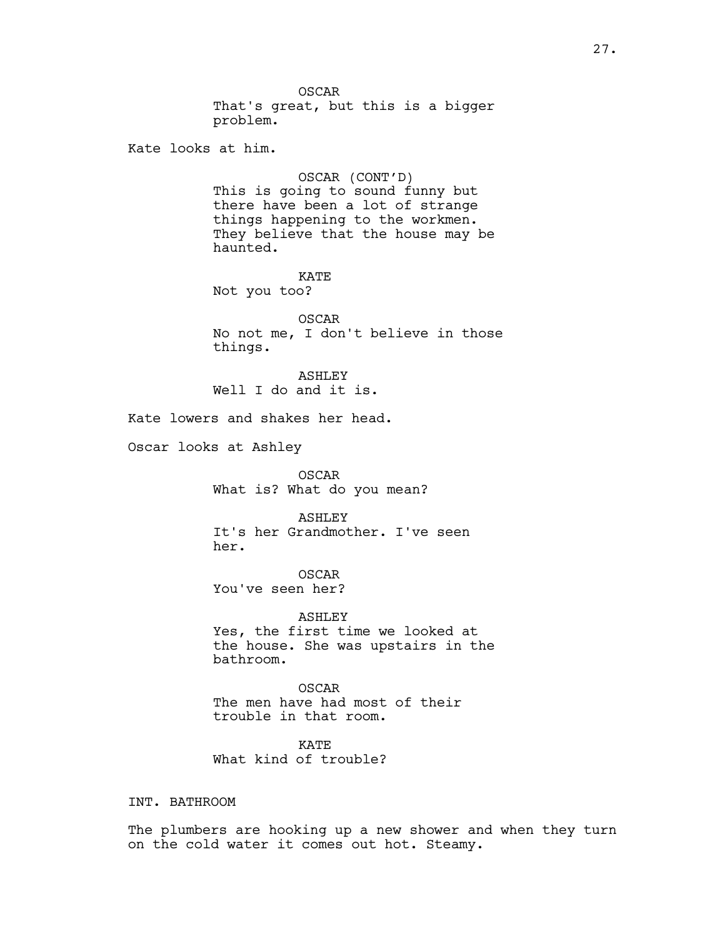OSCAR That's great, but this is a bigger problem. Kate looks at him. OSCAR (CONT'D) This is going to sound funny but

there have been a lot of strange things happening to the workmen. They believe that the house may be haunted.

KATE Not you too?

OSCAR No not me, I don't believe in those things.

ASHLEY Well I do and it is.

Kate lowers and shakes her head.

Oscar looks at Ashley

OSCAR What is? What do you mean?

ASHLEY It's her Grandmother. I've seen her.

OSCAR You've seen her?

ASHLEY Yes, the first time we looked at the house. She was upstairs in the bathroom.

OSCAR The men have had most of their trouble in that room.

KATE What kind of trouble?

INT. BATHROOM

The plumbers are hooking up a new shower and when they turn on the cold water it comes out hot. Steamy.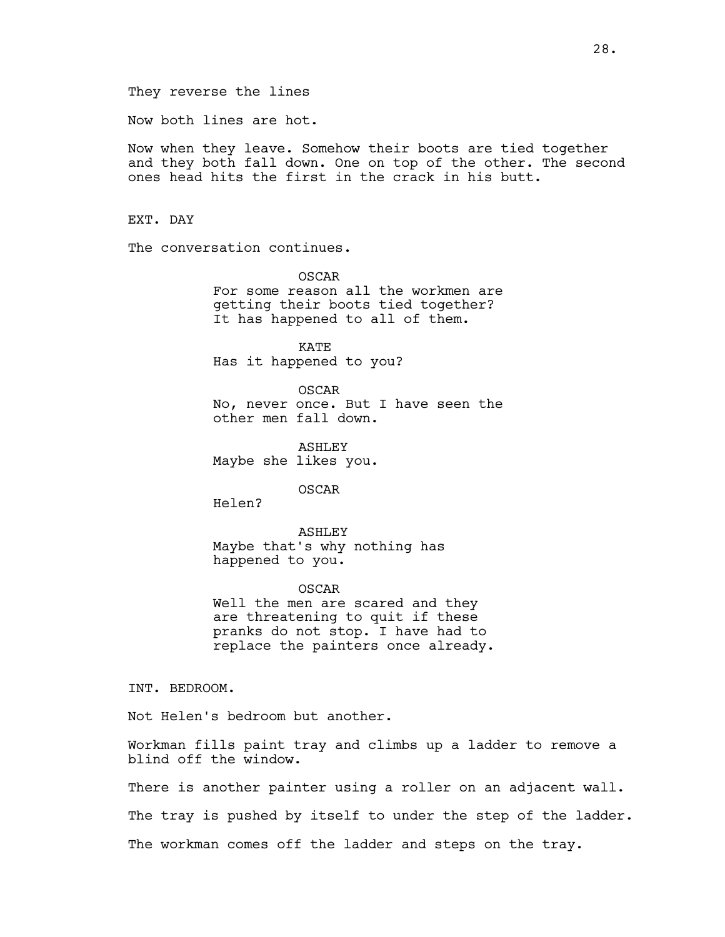Now both lines are hot.

Now when they leave. Somehow their boots are tied together and they both fall down. One on top of the other. The second ones head hits the first in the crack in his butt.

EXT. DAY

The conversation continues.

OSCAR For some reason all the workmen are getting their boots tied together? It has happened to all of them.

KATE Has it happened to you?

OSCAR No, never once. But I have seen the other men fall down.

ASHLEY Maybe she likes you.

OSCAR

Helen?

ASHLEY Maybe that's why nothing has happened to you.

OSCAR Well the men are scared and they are threatening to quit if these pranks do not stop. I have had to replace the painters once already.

INT. BEDROOM.

Not Helen's bedroom but another.

Workman fills paint tray and climbs up a ladder to remove a blind off the window.

There is another painter using a roller on an adjacent wall.

The tray is pushed by itself to under the step of the ladder.

The workman comes off the ladder and steps on the tray.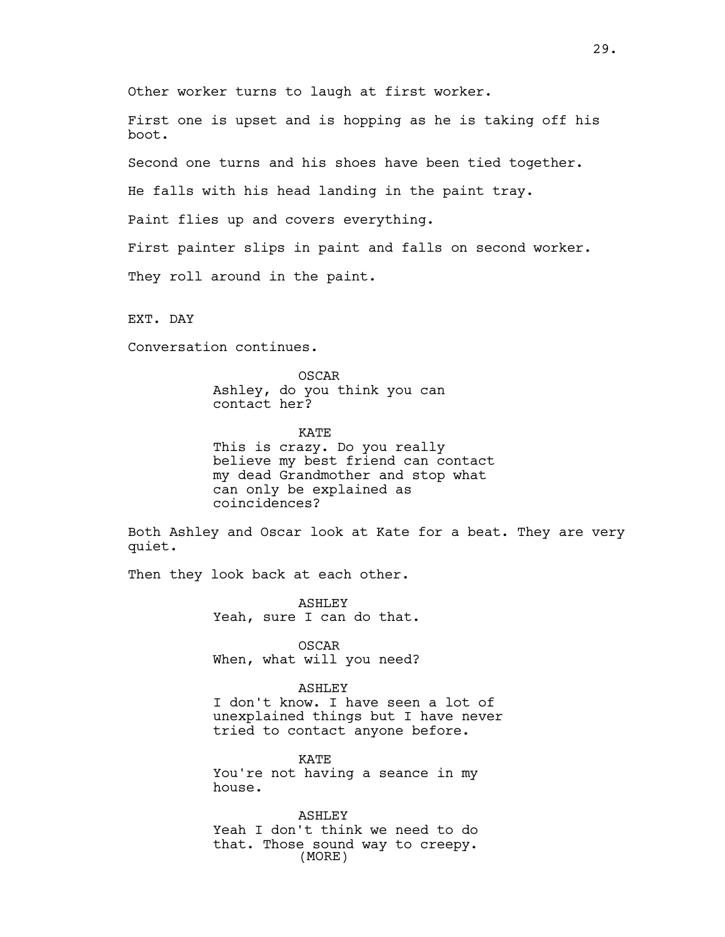Other worker turns to laugh at first worker.

First one is upset and is hopping as he is taking off his boot.

Second one turns and his shoes have been tied together.

He falls with his head landing in the paint tray.

Paint flies up and covers everything.

First painter slips in paint and falls on second worker.

They roll around in the paint.

EXT. DAY

Conversation continues.

OSCAR Ashley, do you think you can contact her?

KATE This is crazy. Do you really believe my best friend can contact my dead Grandmother and stop what can only be explained as coincidences?

Both Ashley and Oscar look at Kate for a beat. They are very quiet.

Then they look back at each other.

ASHLEY Yeah, sure I can do that.

OSCAR When, what will you need?

ASHLEY I don't know. I have seen a lot of unexplained things but I have never tried to contact anyone before.

KATE You're not having a seance in my house.

ASHLEY Yeah I don't think we need to do that. Those sound way to creepy. (MORE)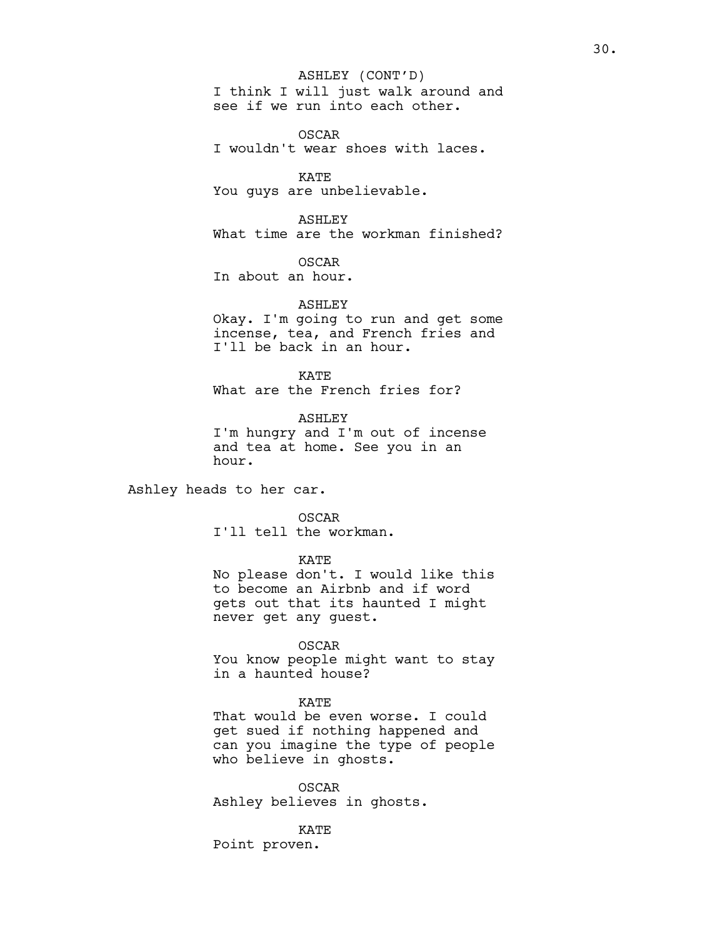# ASHLEY (CONT'D)

I think I will just walk around and see if we run into each other.

OSCAR I wouldn't wear shoes with laces.

KATE You guys are unbelievable.

ASHLEY What time are the workman finished?

OSCAR In about an hour.

# ASHLEY

Okay. I'm going to run and get some incense, tea, and French fries and I'll be back in an hour.

KATE What are the French fries for?

ASHLEY I'm hungry and I'm out of incense and tea at home. See you in an hour.

Ashley heads to her car.

## OSCAR

I'll tell the workman.

KATE

No please don't. I would like this to become an Airbnb and if word gets out that its haunted I might never get any guest.

#### OSCAR

You know people might want to stay in a haunted house?

# KATE

That would be even worse. I could get sued if nothing happened and can you imagine the type of people who believe in ghosts.

OSCAR Ashley believes in ghosts.

KATE Point proven.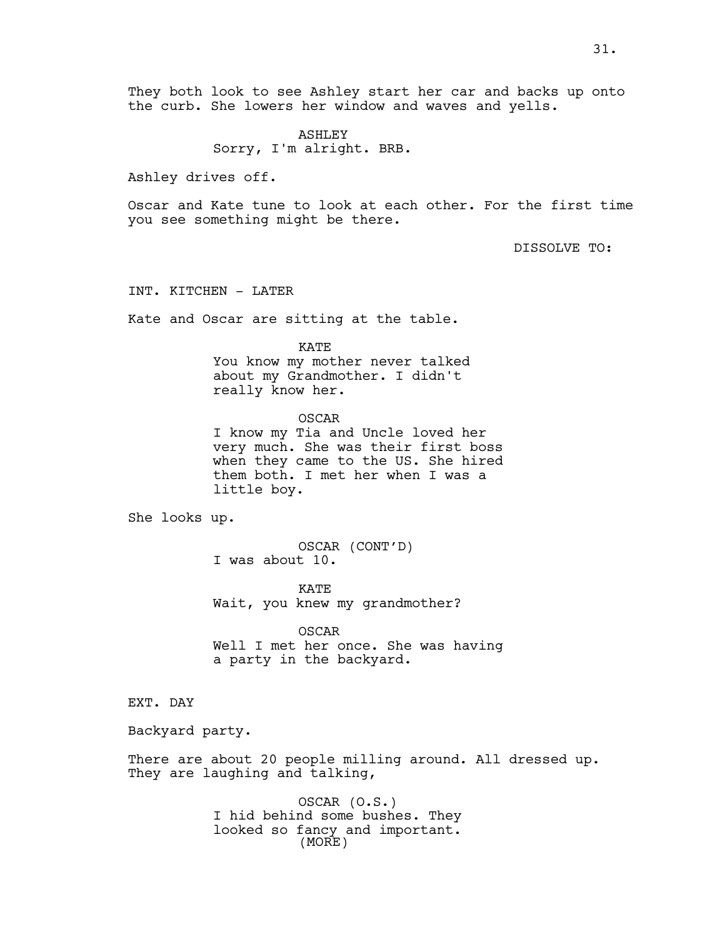They both look to see Ashley start her car and backs up onto the curb. She lowers her window and waves and yells.

> ASHLEY Sorry, I'm alright. BRB.

Ashley drives off.

Oscar and Kate tune to look at each other. For the first time you see something might be there.

DISSOLVE TO:

INT. KITCHEN - LATER

Kate and Oscar are sitting at the table.

KATE

You know my mother never talked about my Grandmother. I didn't really know her.

OSCAR I know my Tia and Uncle loved her very much. She was their first boss when they came to the US. She hired them both. I met her when I was a little boy.

She looks up.

OSCAR (CONT'D) I was about 10.

KATE Wait, you knew my grandmother?

OSCAR Well I met her once. She was having a party in the backyard.

# EXT. DAY

Backyard party.

There are about 20 people milling around. All dressed up. They are laughing and talking,

> OSCAR (O.S.) I hid behind some bushes. They looked so fancy and important. (MORE)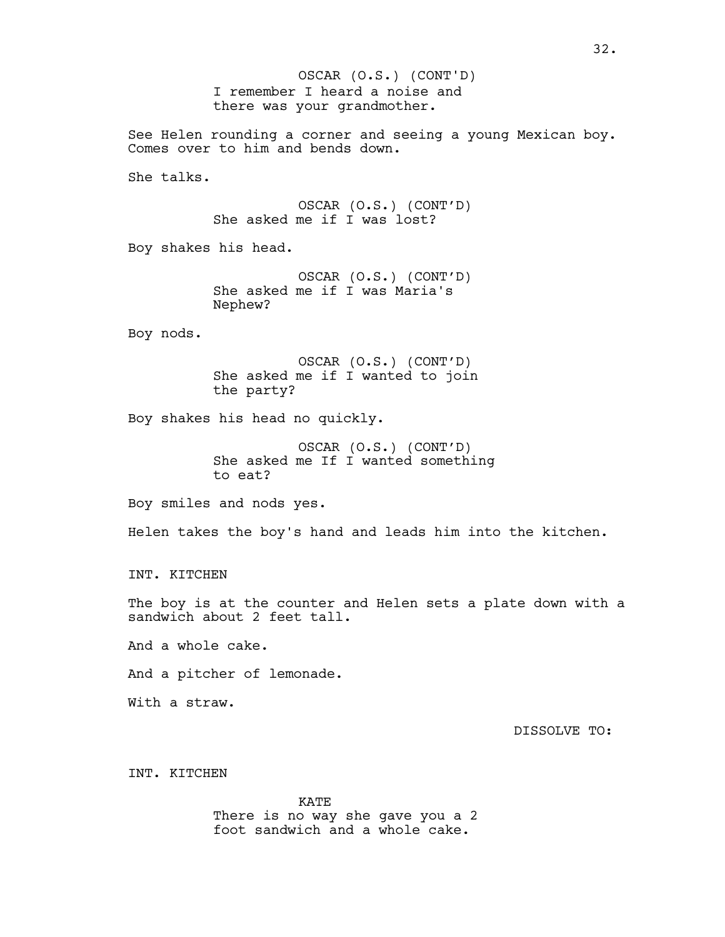I remember I heard a noise and there was your grandmother. OSCAR (O.S.) (CONT'D)

See Helen rounding a corner and seeing a young Mexican boy. Comes over to him and bends down.

She talks.

OSCAR (O.S.) (CONT'D) She asked me if I was lost?

Boy shakes his head.

OSCAR (O.S.) (CONT'D) She asked me if I was Maria's Nephew?

Boy nods.

OSCAR (O.S.) (CONT'D) She asked me if I wanted to join the party?

Boy shakes his head no quickly.

OSCAR (O.S.) (CONT'D) She asked me If I wanted something to eat?

Boy smiles and nods yes.

Helen takes the boy's hand and leads him into the kitchen.

INT. KITCHEN

The boy is at the counter and Helen sets a plate down with a sandwich about 2 feet tall.

And a whole cake.

And a pitcher of lemonade.

With a straw.

DISSOLVE TO:

INT. KITCHEN

KATE There is no way she gave you a 2 foot sandwich and a whole cake.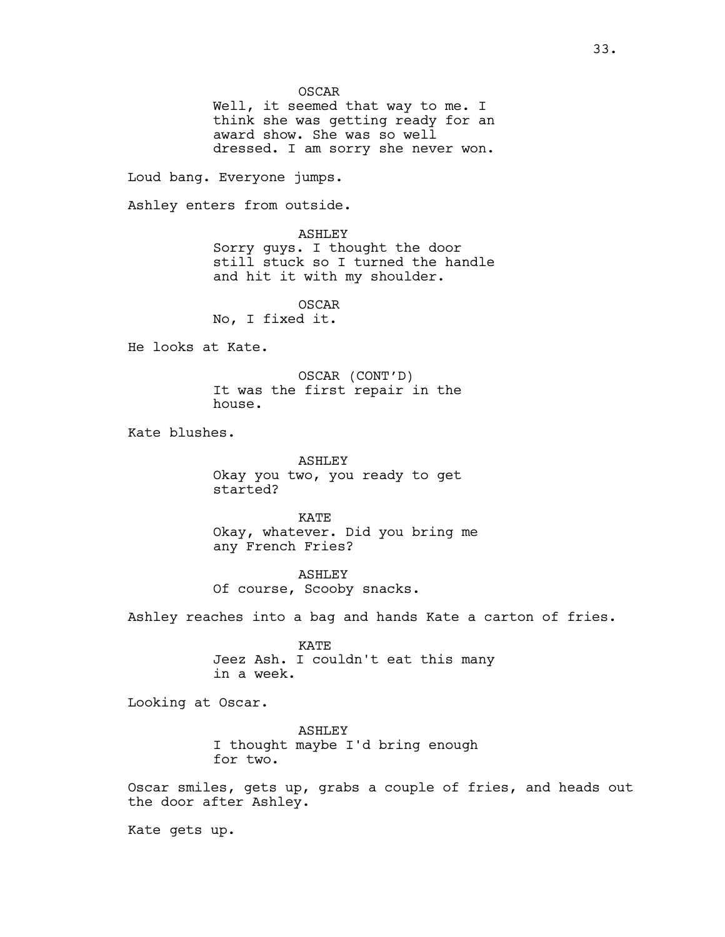OSCAR

Well, it seemed that way to me. I think she was getting ready for an award show. She was so well dressed. I am sorry she never won.

Loud bang. Everyone jumps.

Ashley enters from outside.

ASHLEY Sorry guys. I thought the door still stuck so I turned the handle and hit it with my shoulder.

OSCAR No, I fixed it.

He looks at Kate.

OSCAR (CONT'D) It was the first repair in the house.

Kate blushes.

ASHLEY Okay you two, you ready to get started?

KATE Okay, whatever. Did you bring me any French Fries?

ASHLEY Of course, Scooby snacks.

Ashley reaches into a bag and hands Kate a carton of fries.

KATE Jeez Ash. I couldn't eat this many in a week.

Looking at Oscar.

ASHLEY I thought maybe I'd bring enough for two.

Oscar smiles, gets up, grabs a couple of fries, and heads out the door after Ashley.

Kate gets up.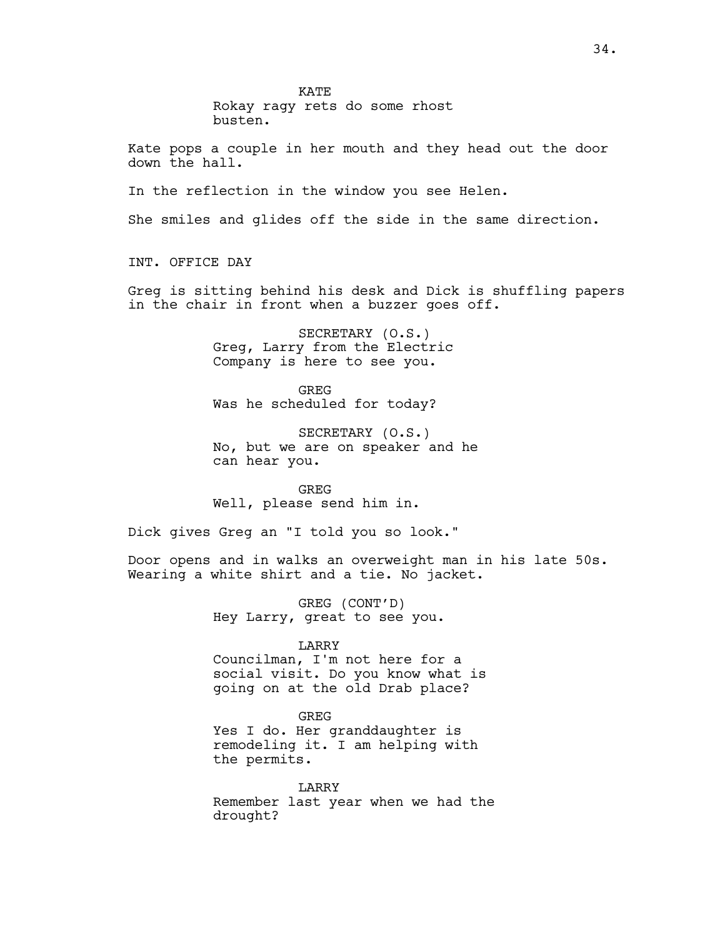KATE

Rokay ragy rets do some rhost busten.

Kate pops a couple in her mouth and they head out the door down the hall.

In the reflection in the window you see Helen.

She smiles and glides off the side in the same direction.

INT. OFFICE DAY

Greg is sitting behind his desk and Dick is shuffling papers in the chair in front when a buzzer goes off.

> SECRETARY (O.S.) Greg, Larry from the Electric Company is here to see you.

GREG Was he scheduled for today?

SECRETARY (O.S.) No, but we are on speaker and he can hear you.

GREG Well, please send him in.

Dick gives Greg an "I told you so look."

Door opens and in walks an overweight man in his late 50s. Wearing a white shirt and a tie. No jacket.

> GREG (CONT'D) Hey Larry, great to see you.

> > LARRY

Councilman, I'm not here for a social visit. Do you know what is going on at the old Drab place?

GREG Yes I do. Her granddaughter is remodeling it. I am helping with the permits.

LARRY Remember last year when we had the drought?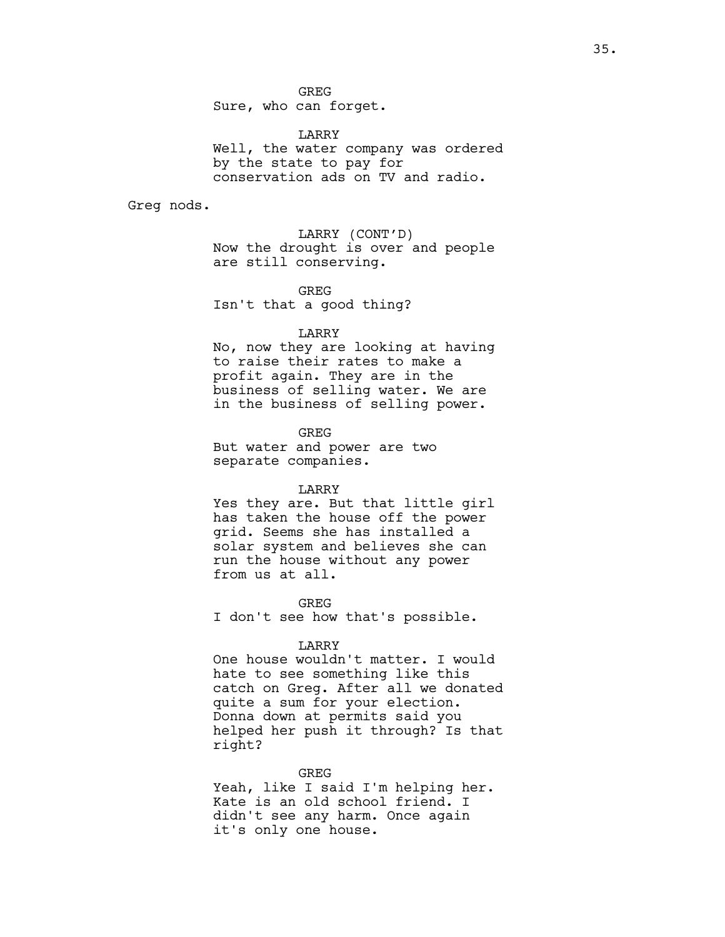GREG Sure, who can forget.

LARRY Well, the water company was ordered by the state to pay for conservation ads on TV and radio.

Greg nods.

LARRY (CONT'D) Now the drought is over and people are still conserving.

GREG Isn't that a good thing?

### LARRY

No, now they are looking at having to raise their rates to make a profit again. They are in the business of selling water. We are in the business of selling power.

**GREG** But water and power are two separate companies.

#### LARRY

Yes they are. But that little girl has taken the house off the power grid. Seems she has installed a solar system and believes she can run the house without any power from us at all.

GREG

I don't see how that's possible.

#### LARRY

One house wouldn't matter. I would hate to see something like this catch on Greg. After all we donated quite a sum for your election. Donna down at permits said you helped her push it through? Is that right?

GREG

Yeah, like I said I'm helping her. Kate is an old school friend. I didn't see any harm. Once again it's only one house.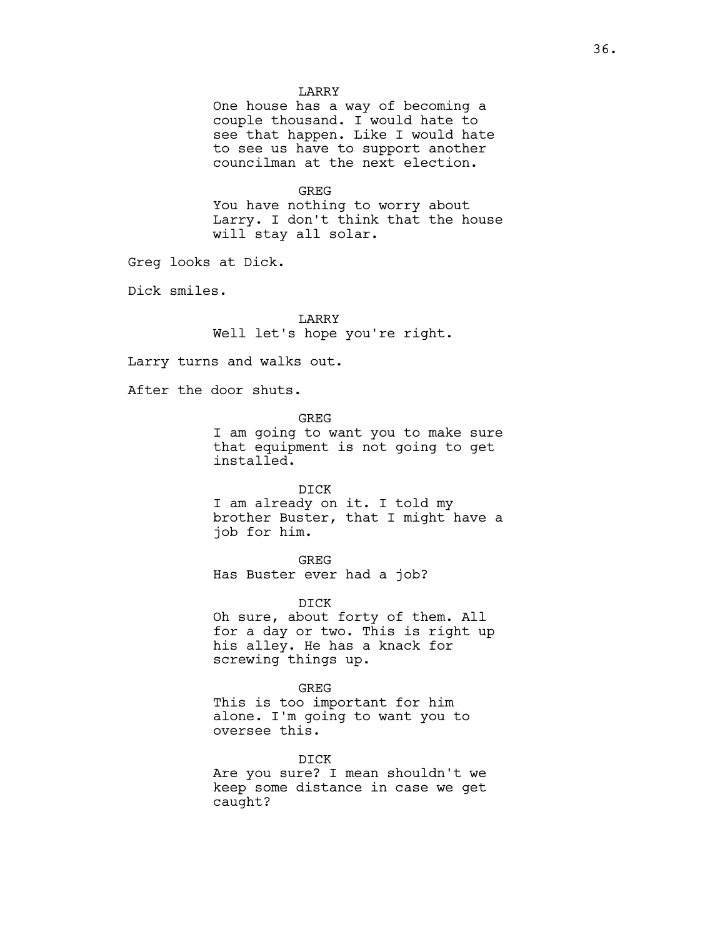## LARRY

One house has a way of becoming a couple thousand. I would hate to see that happen. Like I would hate to see us have to support another councilman at the next election.

#### GREG

You have nothing to worry about Larry. I don't think that the house will stay all solar.

Greg looks at Dick.

Dick smiles.

LARRY Well let's hope you're right.

Larry turns and walks out.

After the door shuts.

GREG I am going to want you to make sure that equipment is not going to get installed.

DICK

I am already on it. I told my brother Buster, that I might have a job for him.

GREG

Has Buster ever had a job?

DICK Oh sure, about forty of them. All for a day or two. This is right up his alley. He has a knack for screwing things up.

GREG This is too important for him alone. I'm going to want you to oversee this.

DICK

Are you sure? I mean shouldn't we keep some distance in case we get caught?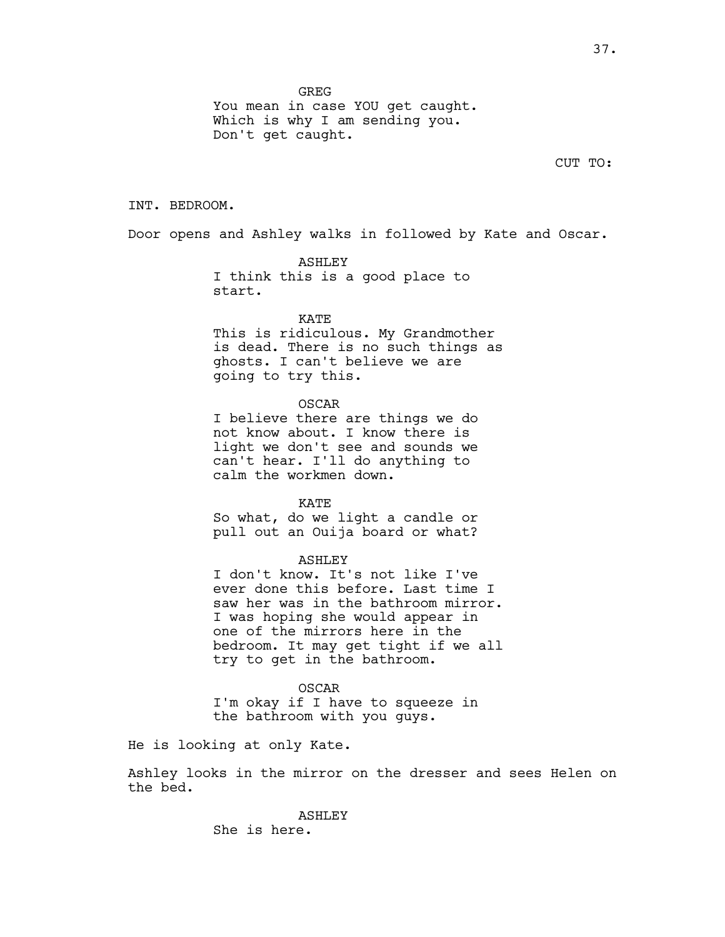**GREG** 

You mean in case YOU get caught. Which is why I am sending you. Don't get caught.

CUT TO:

### INT. BEDROOM.

Door opens and Ashley walks in followed by Kate and Oscar.

ASHLEY I think this is a good place to start.

KATE

This is ridiculous. My Grandmother is dead. There is no such things as ghosts. I can't believe we are going to try this.

OSCAR

I believe there are things we do not know about. I know there is light we don't see and sounds we can't hear. I'll do anything to calm the workmen down.

KATE

So what, do we light a candle or pull out an Ouija board or what?

## ASHLEY

I don't know. It's not like I've ever done this before. Last time I saw her was in the bathroom mirror. I was hoping she would appear in one of the mirrors here in the bedroom. It may get tight if we all try to get in the bathroom.

OSCAR I'm okay if I have to squeeze in the bathroom with you guys.

He is looking at only Kate.

Ashley looks in the mirror on the dresser and sees Helen on the bed.

> ASHLEY She is here.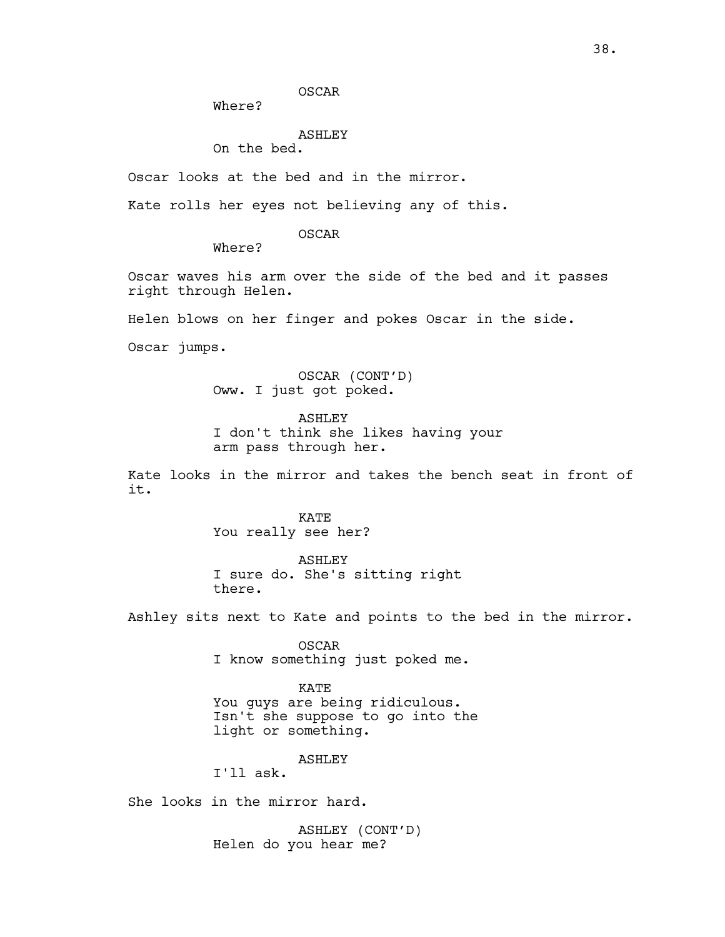OSCAR

Where?

# ASHLEY

On the bed.

Oscar looks at the bed and in the mirror.

Kate rolls her eyes not believing any of this.

OSCAR

Where?

Oscar waves his arm over the side of the bed and it passes right through Helen.

Helen blows on her finger and pokes Oscar in the side.

Oscar jumps.

OSCAR (CONT'D) Oww. I just got poked.

ASHLEY I don't think she likes having your arm pass through her.

Kate looks in the mirror and takes the bench seat in front of it.

> KATE You really see her?

ASHLEY I sure do. She's sitting right there.

Ashley sits next to Kate and points to the bed in the mirror.

OSCAR I know something just poked me.

KATE You guys are being ridiculous. Isn't she suppose to go into the light or something.

ASHLEY

I'll ask.

She looks in the mirror hard.

ASHLEY (CONT'D) Helen do you hear me?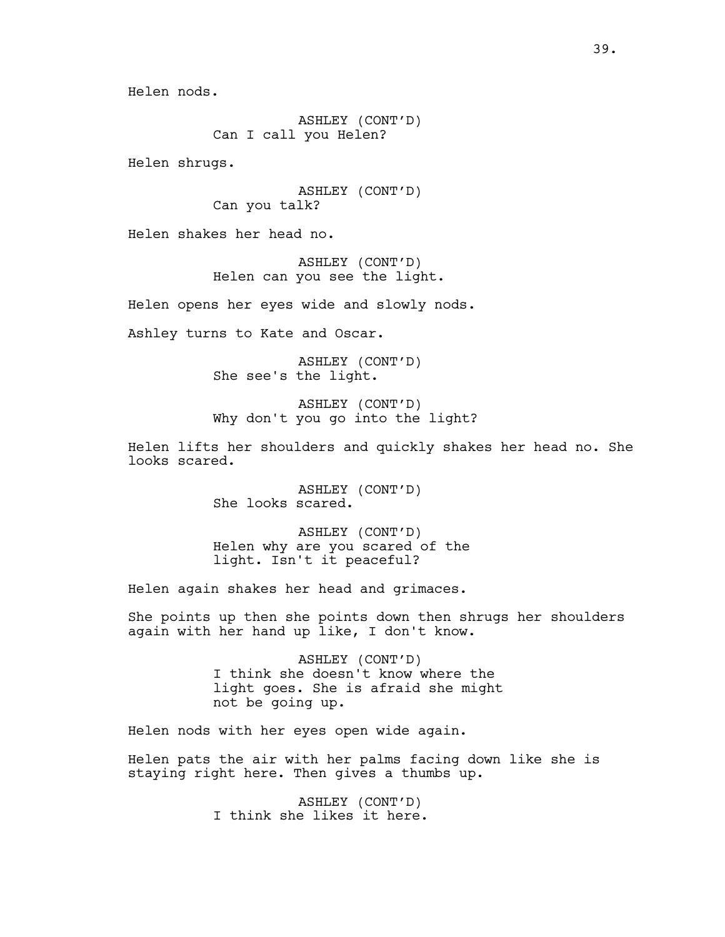ASHLEY (CONT'D) Can I call you Helen?

Helen shrugs.

ASHLEY (CONT'D) Can you talk?

Helen shakes her head no.

ASHLEY (CONT'D) Helen can you see the light.

Helen opens her eyes wide and slowly nods.

Ashley turns to Kate and Oscar.

ASHLEY (CONT'D) She see's the light.

ASHLEY (CONT'D) Why don't you go into the light?

Helen lifts her shoulders and quickly shakes her head no. She looks scared.

> ASHLEY (CONT'D) She looks scared.

ASHLEY (CONT'D) Helen why are you scared of the light. Isn't it peaceful?

Helen again shakes her head and grimaces.

She points up then she points down then shrugs her shoulders again with her hand up like, I don't know.

> ASHLEY (CONT'D) I think she doesn't know where the light goes. She is afraid she might not be going up.

Helen nods with her eyes open wide again.

Helen pats the air with her palms facing down like she is staying right here. Then gives a thumbs up.

> ASHLEY (CONT'D) I think she likes it here.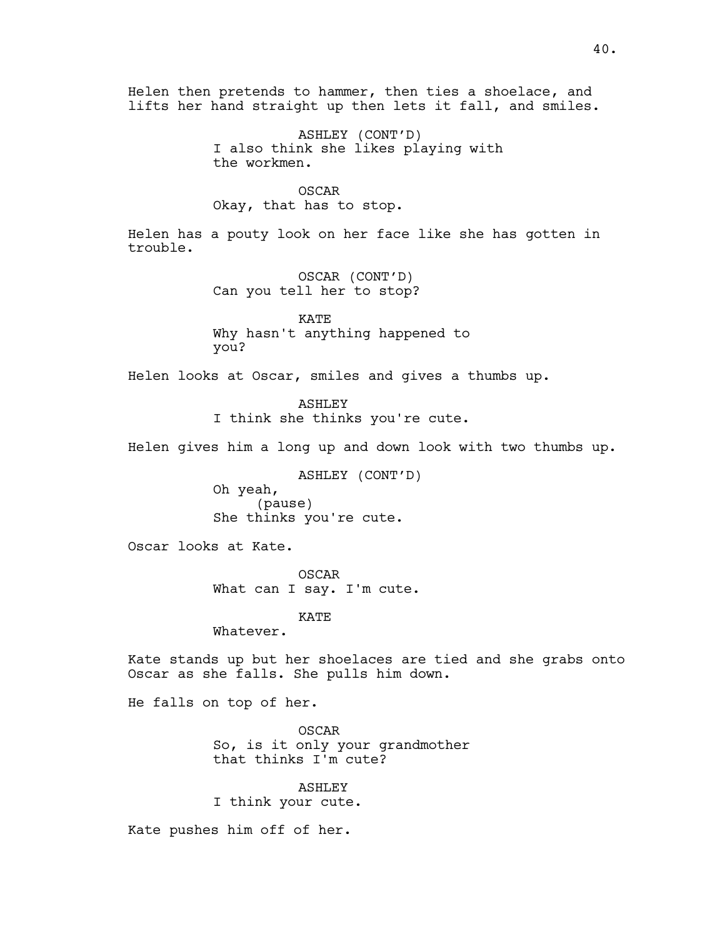Helen then pretends to hammer, then ties a shoelace, and lifts her hand straight up then lets it fall, and smiles.

> ASHLEY (CONT'D) I also think she likes playing with the workmen.

OSCAR Okay, that has to stop.

Helen has a pouty look on her face like she has gotten in trouble.

> OSCAR (CONT'D) Can you tell her to stop?

KATE Why hasn't anything happened to you?

Helen looks at Oscar, smiles and gives a thumbs up.

ASHLEY I think she thinks you're cute.

Helen gives him a long up and down look with two thumbs up.

ASHLEY (CONT'D) Oh yeah, (pause) She thinks you're cute.

Oscar looks at Kate.

OSCAR What can I say. I'm cute.

KATE

Whatever.

Kate stands up but her shoelaces are tied and she grabs onto Oscar as she falls. She pulls him down.

He falls on top of her.

OSCAR So, is it only your grandmother that thinks I'm cute?

ASHLEY I think your cute.

Kate pushes him off of her.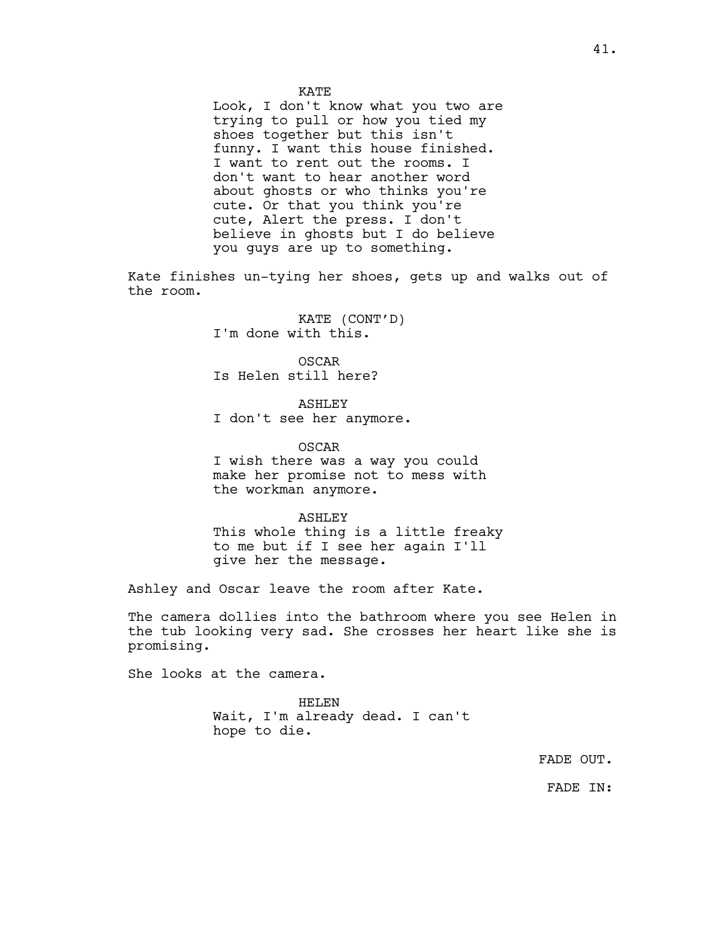Look, I don't know what you two are trying to pull or how you tied my shoes together but this isn't funny. I want this house finished. I want to rent out the rooms. I don't want to hear another word about ghosts or who thinks you're cute. Or that you think you're cute, Alert the press. I don't believe in ghosts but I do believe you guys are up to something.

Kate finishes un-tying her shoes, gets up and walks out of the room.

> KATE (CONT'D) I'm done with this.

OSCAR Is Helen still here?

ASHLEY I don't see her anymore.

OSCAR I wish there was a way you could make her promise not to mess with the workman anymore.

ASHLEY This whole thing is a little freaky to me but if I see her again I'll give her the message.

Ashley and Oscar leave the room after Kate.

The camera dollies into the bathroom where you see Helen in the tub looking very sad. She crosses her heart like she is promising.

She looks at the camera.

HELEN Wait, I'm already dead. I can't hope to die.

FADE OUT.

FADE IN: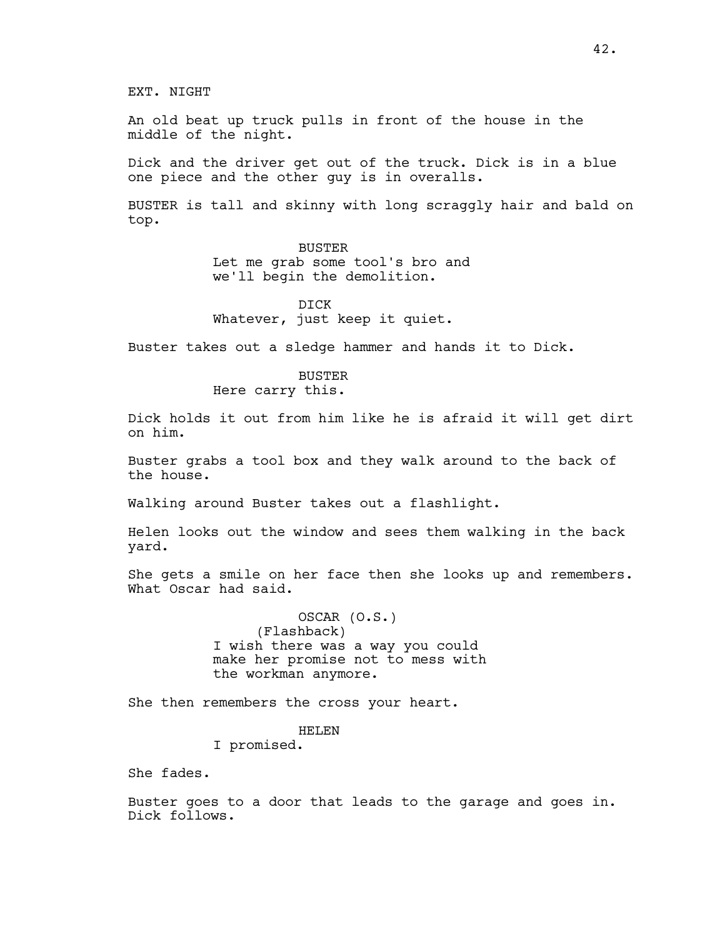EXT. NIGHT

An old beat up truck pulls in front of the house in the middle of the night.

Dick and the driver get out of the truck. Dick is in a blue one piece and the other guy is in overalls.

BUSTER is tall and skinny with long scraggly hair and bald on top.

> BUSTER Let me grab some tool's bro and we'll begin the demolition.

DICK Whatever, just keep it quiet.

Buster takes out a sledge hammer and hands it to Dick.

# **BUSTER**

Here carry this.

Dick holds it out from him like he is afraid it will get dirt on him.

Buster grabs a tool box and they walk around to the back of the house.

Walking around Buster takes out a flashlight.

Helen looks out the window and sees them walking in the back yard.

She gets a smile on her face then she looks up and remembers. What Oscar had said.

> OSCAR (O.S.) (Flashback) I wish there was a way you could make her promise not to mess with the workman anymore.

She then remembers the cross your heart.

# HELEN

I promised.

She fades.

Buster goes to a door that leads to the garage and goes in. Dick follows.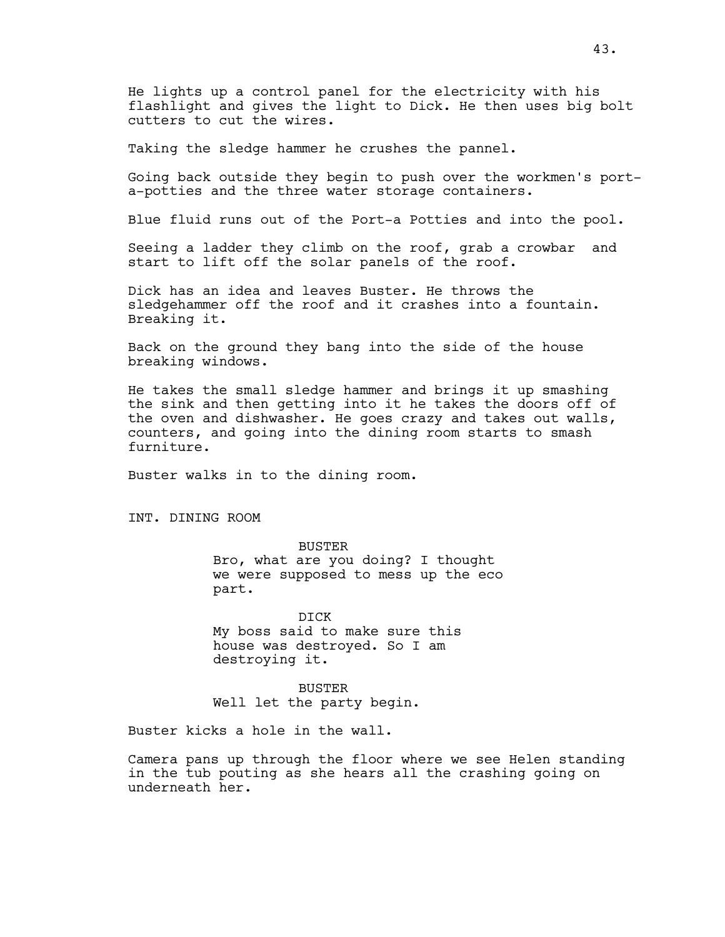He lights up a control panel for the electricity with his flashlight and gives the light to Dick. He then uses big bolt cutters to cut the wires.

Taking the sledge hammer he crushes the pannel.

Going back outside they begin to push over the workmen's porta-potties and the three water storage containers.

Blue fluid runs out of the Port-a Potties and into the pool.

Seeing a ladder they climb on the roof, grab a crowbar and start to lift off the solar panels of the roof.

Dick has an idea and leaves Buster. He throws the sledgehammer off the roof and it crashes into a fountain. Breaking it.

Back on the ground they bang into the side of the house breaking windows.

He takes the small sledge hammer and brings it up smashing the sink and then getting into it he takes the doors off of the oven and dishwasher. He goes crazy and takes out walls, counters, and going into the dining room starts to smash furniture.

Buster walks in to the dining room.

INT. DINING ROOM

BUSTER Bro, what are you doing? I thought we were supposed to mess up the eco part.

DICK My boss said to make sure this house was destroyed. So I am destroying it.

BUSTER Well let the party begin.

Buster kicks a hole in the wall.

Camera pans up through the floor where we see Helen standing in the tub pouting as she hears all the crashing going on underneath her.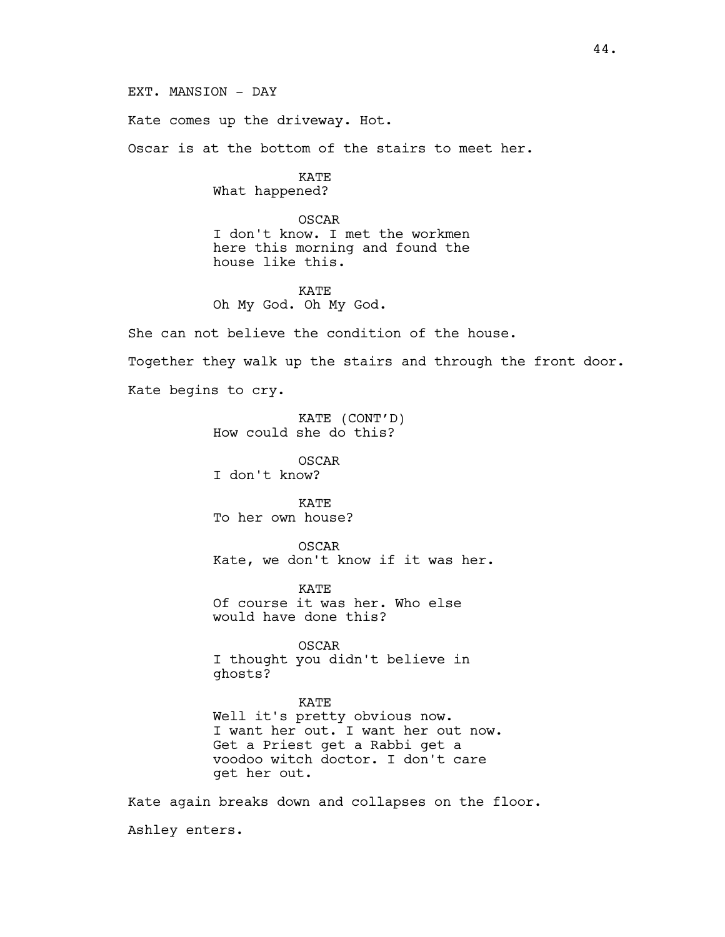EXT. MANSION - DAY

Kate comes up the driveway. Hot.

Oscar is at the bottom of the stairs to meet her.

KATE What happened?

OSCAR I don't know. I met the workmen here this morning and found the house like this.

KATE Oh My God. Oh My God.

She can not believe the condition of the house. Together they walk up the stairs and through the front door. Kate begins to cry.

> KATE (CONT'D) How could she do this?

OSCAR I don't know?

KATE To her own house?

OSCAR Kate, we don't know if it was her.

KATE Of course it was her. Who else would have done this?

OSCAR I thought you didn't believe in ghosts?

KATE Well it's pretty obvious now. I want her out. I want her out now. Get a Priest get a Rabbi get a voodoo witch doctor. I don't care get her out.

Kate again breaks down and collapses on the floor. Ashley enters.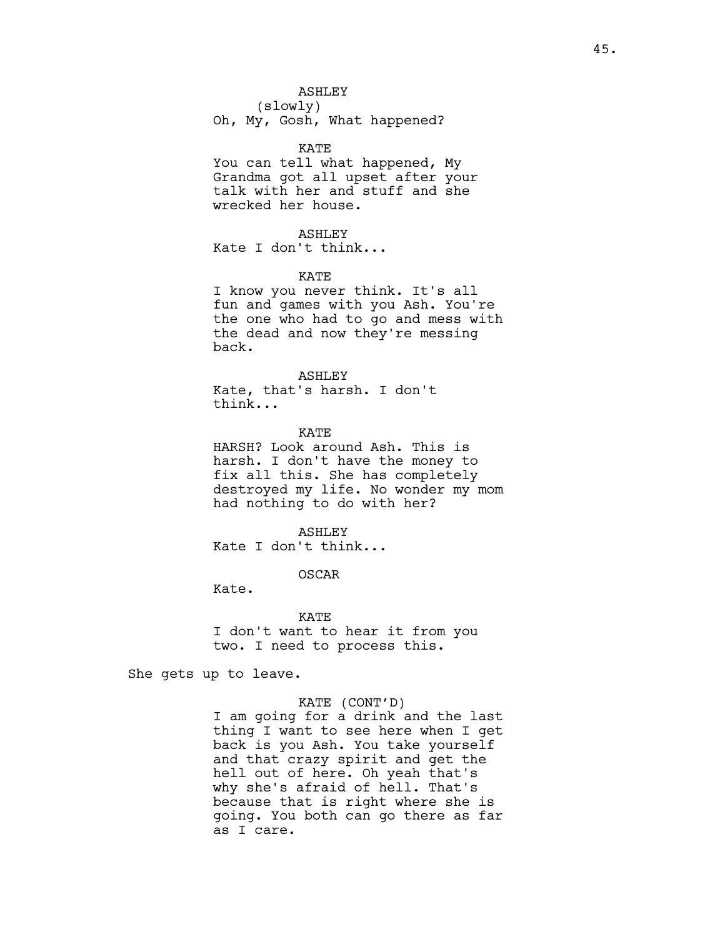# ASHLEY (slowly)

Oh, My, Gosh, What happened?

## KATE

You can tell what happened, My Grandma got all upset after your talk with her and stuff and she wrecked her house.

# ASHLEY

Kate I don't think...

# KATE

I know you never think. It's all fun and games with you Ash. You're the one who had to go and mess with the dead and now they're messing back.

# ASHLEY

Kate, that's harsh. I don't think...

### KATE

HARSH? Look around Ash. This is harsh. I don't have the money to fix all this. She has completely destroyed my life. No wonder my mom had nothing to do with her?

# ASHLEY

Kate I don't think...

# OSCAR

Kate.

## KATE

I don't want to hear it from you two. I need to process this.

She gets up to leave.

# KATE (CONT'D)

I am going for a drink and the last thing I want to see here when I get back is you Ash. You take yourself and that crazy spirit and get the hell out of here. Oh yeah that's why she's afraid of hell. That's because that is right where she is going. You both can go there as far as I care.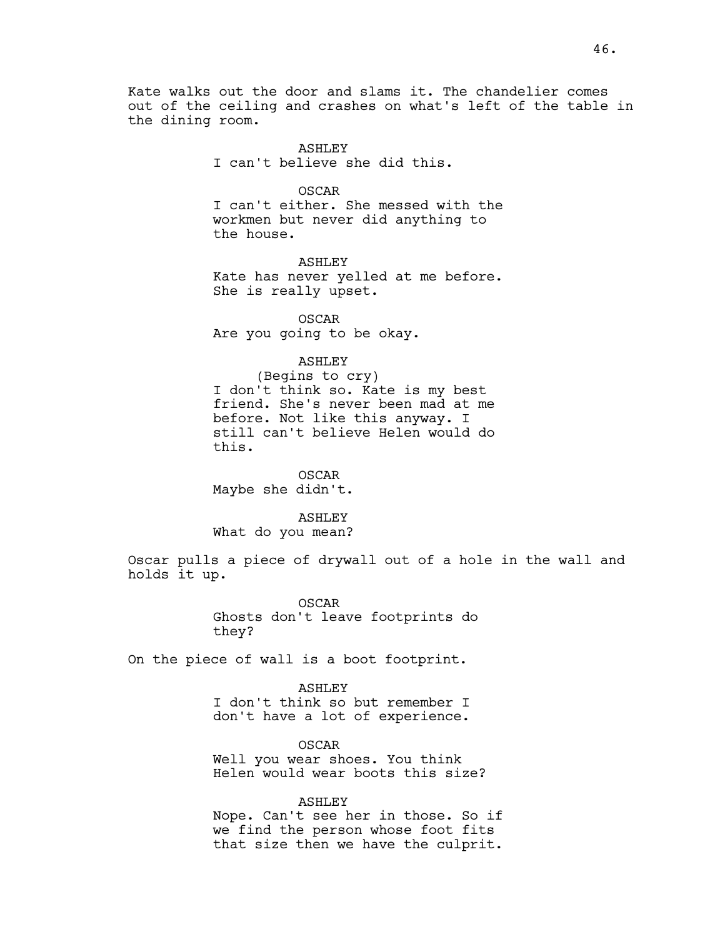Kate walks out the door and slams it. The chandelier comes out of the ceiling and crashes on what's left of the table in the dining room.

> ASHLEY I can't believe she did this.

> > OSCAR

I can't either. She messed with the workmen but never did anything to the house.

ASHLEY Kate has never yelled at me before. She is really upset.

OSCAR Are you going to be okay.

ASHLEY

(Begins to cry) I don't think so. Kate is my best friend. She's never been mad at me before. Not like this anyway. I still can't believe Helen would do this.

OSCAR Maybe she didn't.

ASHLEY

What do you mean?

Oscar pulls a piece of drywall out of a hole in the wall and holds it up.

> OSCAR Ghosts don't leave footprints do they?

On the piece of wall is a boot footprint.

ASHLEY I don't think so but remember I don't have a lot of experience.

OSCAR Well you wear shoes. You think Helen would wear boots this size?

ASHLEY Nope. Can't see her in those. So if we find the person whose foot fits that size then we have the culprit.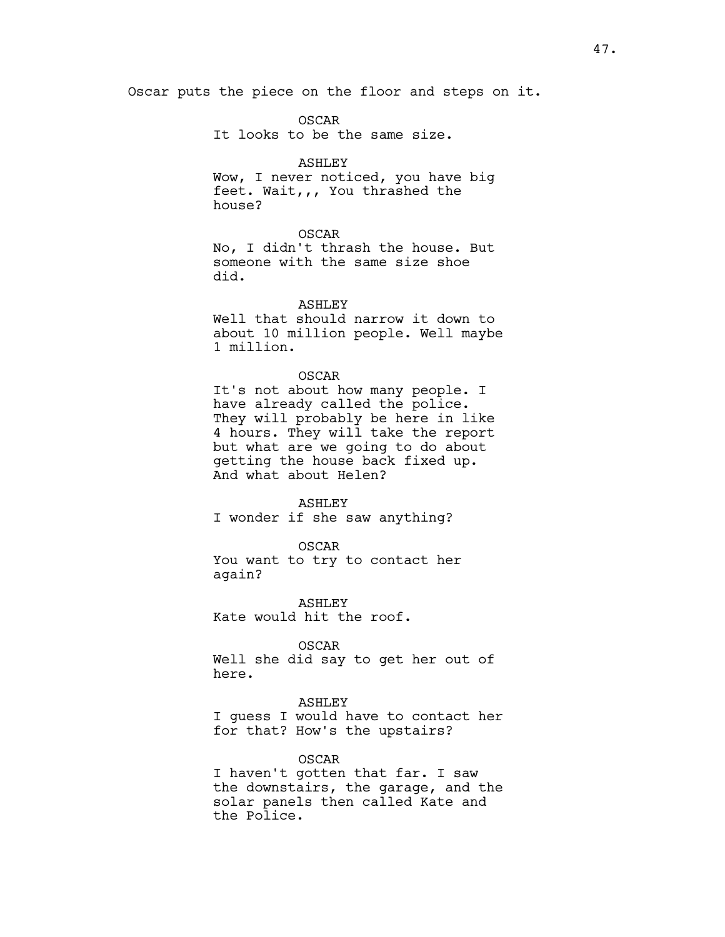Oscar puts the piece on the floor and steps on it.

OSCAR It looks to be the same size.

# ASHLEY

Wow, I never noticed, you have big feet. Wait,,, You thrashed the house?

### OSCAR

No, I didn't thrash the house. But someone with the same size shoe did.

### ASHLEY

Well that should narrow it down to about 10 million people. Well maybe 1 million.

### OSCAR

It's not about how many people. I have already called the police. They will probably be here in like 4 hours. They will take the report but what are we going to do about getting the house back fixed up. And what about Helen?

### ASHLEY

I wonder if she saw anything?

#### OSCAR

You want to try to contact her again?

ASHLEY Kate would hit the roof.

# OSCAR

Well she did say to get her out of here.

### ASHLEY

I guess I would have to contact her for that? How's the upstairs?

### OSCAR

I haven't gotten that far. I saw the downstairs, the garage, and the solar panels then called Kate and the Police.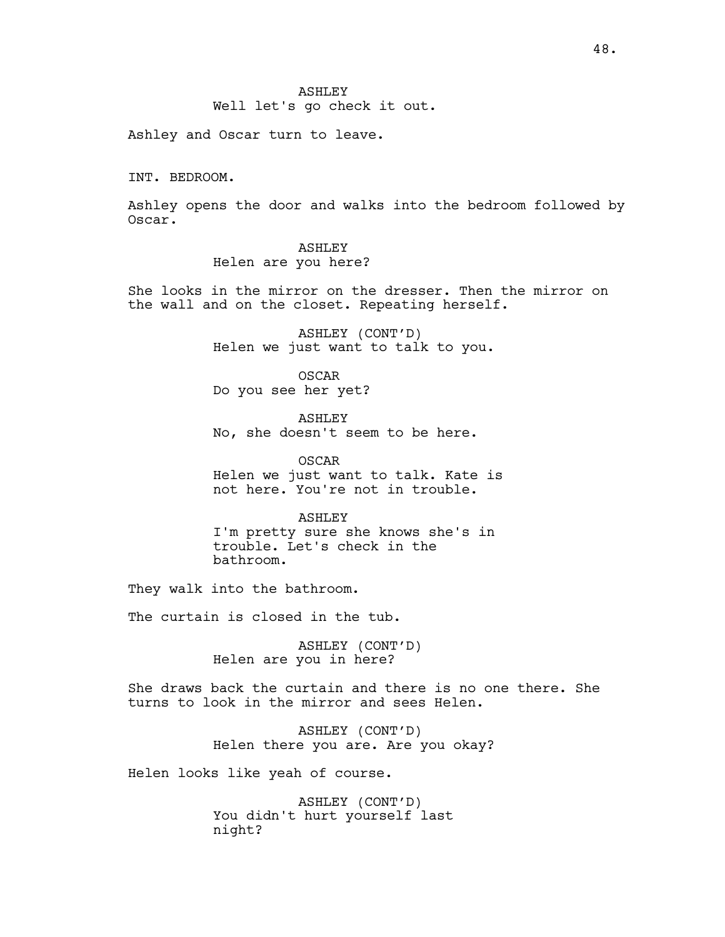Well let's go check it out.

Ashley and Oscar turn to leave.

INT. BEDROOM.

Ashley opens the door and walks into the bedroom followed by Oscar.

# ASHLEY

Helen are you here?

She looks in the mirror on the dresser. Then the mirror on the wall and on the closet. Repeating herself.

> ASHLEY (CONT'D) Helen we just want to talk to you.

OSCAR Do you see her yet?

ASHLEY No, she doesn't seem to be here.

OSCAR Helen we just want to talk. Kate is not here. You're not in trouble.

ASHLEY I'm pretty sure she knows she's in trouble. Let's check in the bathroom.

They walk into the bathroom.

The curtain is closed in the tub.

ASHLEY (CONT'D) Helen are you in here?

She draws back the curtain and there is no one there. She turns to look in the mirror and sees Helen.

> ASHLEY (CONT'D) Helen there you are. Are you okay?

Helen looks like yeah of course.

ASHLEY (CONT'D) You didn't hurt yourself last night?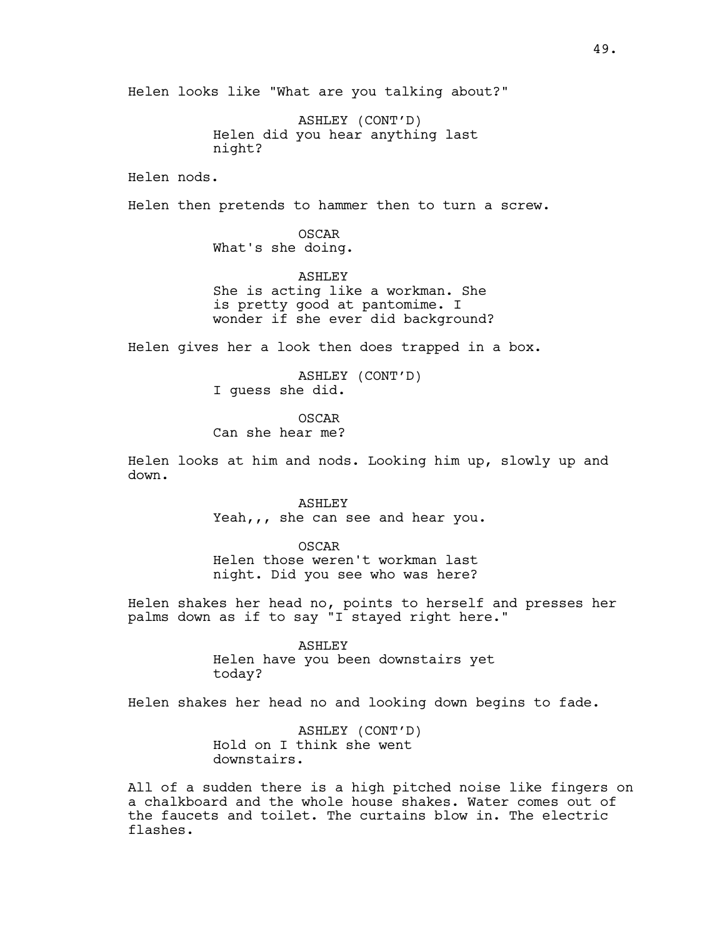Helen looks like "What are you talking about?"

ASHLEY (CONT'D) Helen did you hear anything last night?

Helen nods.

Helen then pretends to hammer then to turn a screw.

OSCAR What's she doing.

ASHLEY She is acting like a workman. She is pretty good at pantomime. I wonder if she ever did background?

Helen gives her a look then does trapped in a box.

ASHLEY (CONT'D) I guess she did.

OSCAR

Can she hear me?

Helen looks at him and nods. Looking him up, slowly up and down.

> ASHLEY Yeah,,, she can see and hear you.

OSCAR Helen those weren't workman last night. Did you see who was here?

Helen shakes her head no, points to herself and presses her palms down as if to say "I stayed right here."

> ASHLEY Helen have you been downstairs yet today?

Helen shakes her head no and looking down begins to fade.

ASHLEY (CONT'D) Hold on I think she went downstairs.

All of a sudden there is a high pitched noise like fingers on a chalkboard and the whole house shakes. Water comes out of the faucets and toilet. The curtains blow in. The electric flashes.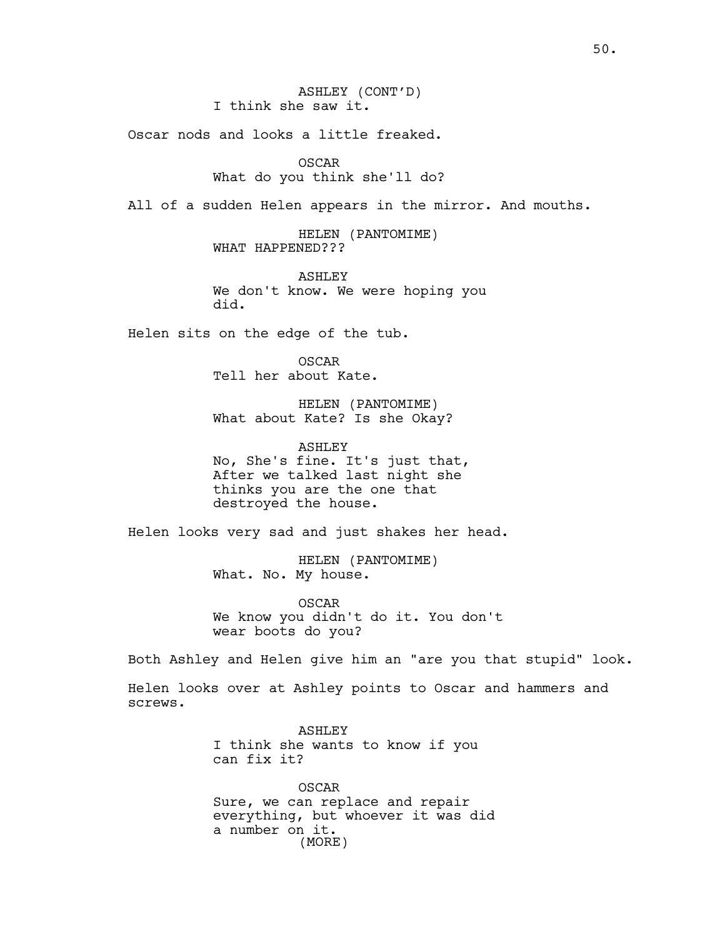Oscar nods and looks a little freaked.

# OSCAR What do you think she'll do?

All of a sudden Helen appears in the mirror. And mouths.

HELEN (PANTOMIME) WHAT HAPPENED???

ASHLEY We don't know. We were hoping you did.

Helen sits on the edge of the tub.

OSCAR Tell her about Kate.

HELEN (PANTOMIME) What about Kate? Is she Okay?

ASHLEY No, She's fine. It's just that, After we talked last night she thinks you are the one that destroyed the house.

Helen looks very sad and just shakes her head.

HELEN (PANTOMIME) What. No. My house.

OSCAR We know you didn't do it. You don't wear boots do you?

Both Ashley and Helen give him an "are you that stupid" look.

Helen looks over at Ashley points to Oscar and hammers and screws.

> ASHLEY I think she wants to know if you can fix it?

OSCAR Sure, we can replace and repair everything, but whoever it was did a number on it. (MORE)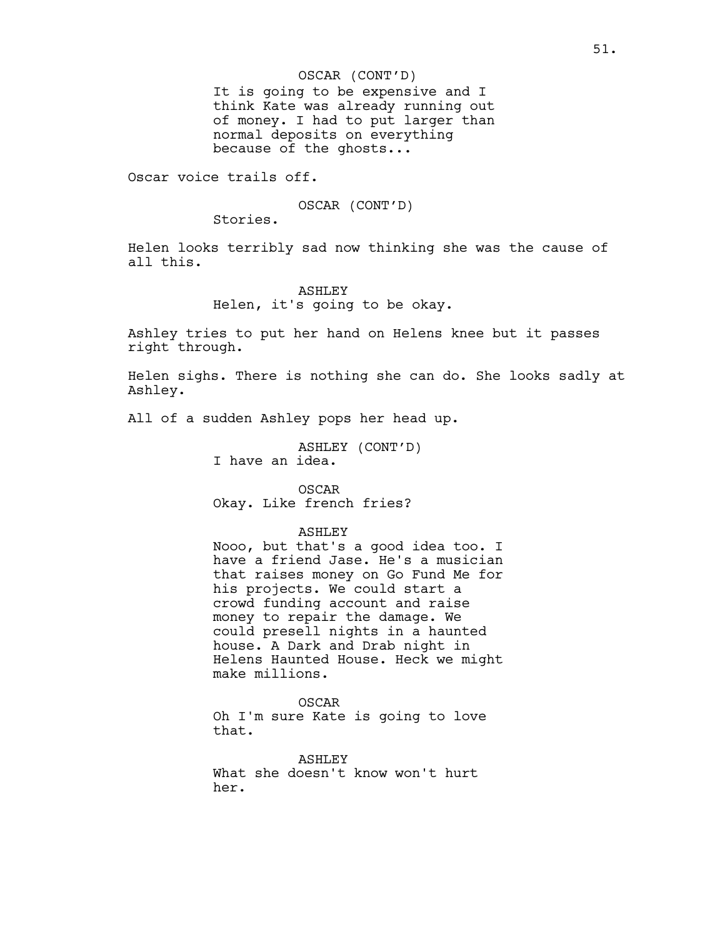# OSCAR (CONT'D)

It is going to be expensive and I think Kate was already running out of money. I had to put larger than normal deposits on everything because of the ghosts...

Oscar voice trails off.

# OSCAR (CONT'D)

Stories.

Helen looks terribly sad now thinking she was the cause of all this.

# ASHLEY

Helen, it's going to be okay.

Ashley tries to put her hand on Helens knee but it passes right through.

Helen sighs. There is nothing she can do. She looks sadly at Ashley.

All of a sudden Ashley pops her head up.

ASHLEY (CONT'D) I have an idea.

OSCAR Okay. Like french fries?

## ASHLEY

Nooo, but that's a good idea too. I have a friend Jase. He's a musician that raises money on Go Fund Me for his projects. We could start a crowd funding account and raise money to repair the damage. We could presell nights in a haunted house. A Dark and Drab night in Helens Haunted House. Heck we might make millions.

#### OSCAR

Oh I'm sure Kate is going to love that.

ASHLEY What she doesn't know won't hurt her.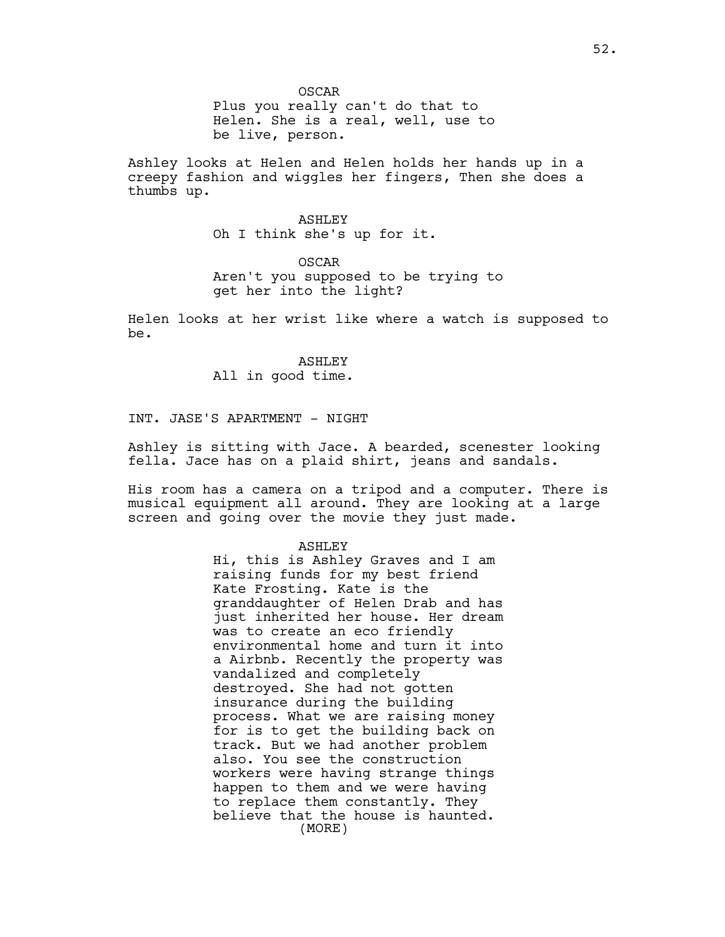OSCAR Plus you really can't do that to Helen. She is a real, well, use to be live, person.

Ashley looks at Helen and Helen holds her hands up in a creepy fashion and wiggles her fingers, Then she does a thumbs up.

> ASHLEY Oh I think she's up for it.

OSCAR Aren't you supposed to be trying to get her into the light?

Helen looks at her wrist like where a watch is supposed to be.

> ASHLEY All in good time.

INT. JASE'S APARTMENT - NIGHT

Ashley is sitting with Jace. A bearded, scenester looking fella. Jace has on a plaid shirt, jeans and sandals.

His room has a camera on a tripod and a computer. There is musical equipment all around. They are looking at a large screen and going over the movie they just made.

#### ASHLEY

Hi, this is Ashley Graves and I am raising funds for my best friend Kate Frosting. Kate is the granddaughter of Helen Drab and has just inherited her house. Her dream was to create an eco friendly environmental home and turn it into a Airbnb. Recently the property was vandalized and completely destroyed. She had not gotten insurance during the building process. What we are raising money for is to get the building back on track. But we had another problem also. You see the construction workers were having strange things happen to them and we were having to replace them constantly. They believe that the house is haunted. (MORE)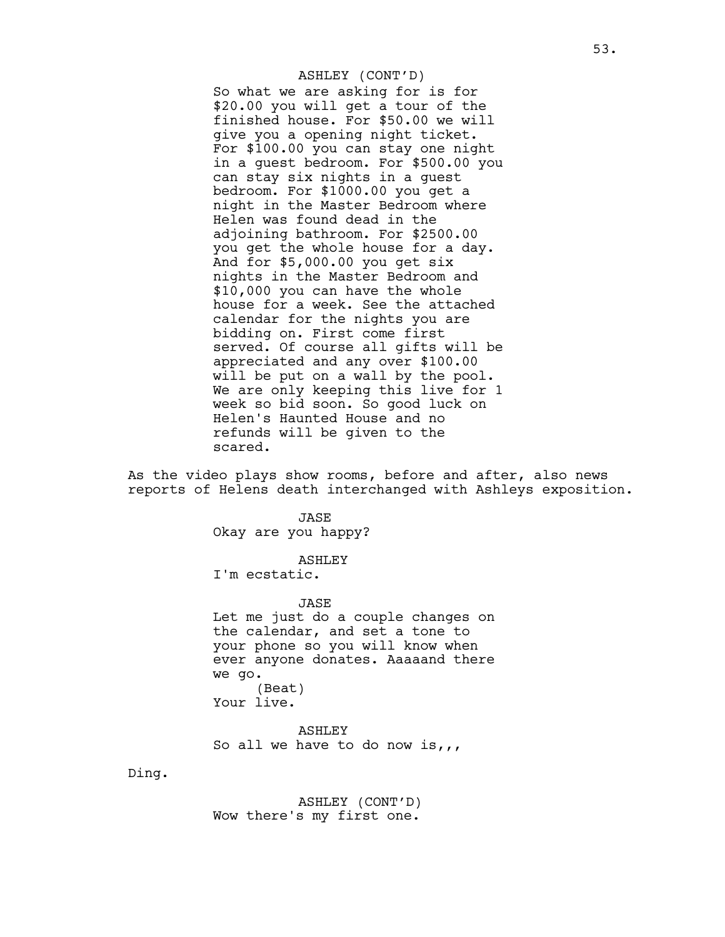# So what we are asking for is for \$20.00 you will get a tour of the finished house. For \$50.00 we will give you a opening night ticket. For \$100.00 you can stay one night in a guest bedroom. For \$500.00 you can stay six nights in a guest bedroom. For \$1000.00 you get a night in the Master Bedroom where Helen was found dead in the adjoining bathroom. For \$2500.00 you get the whole house for a day. And for \$5,000.00 you get six nights in the Master Bedroom and \$10,000 you can have the whole house for a week. See the attached calendar for the nights you are bidding on. First come first served. Of course all gifts will be appreciated and any over \$100.00 will be put on a wall by the pool. We are only keeping this live for 1 week so bid soon. So good luck on Helen's Haunted House and no refunds will be given to the scared. ASHLEY (CONT'D)

As the video plays show rooms, before and after, also news reports of Helens death interchanged with Ashleys exposition.

> JASE Okay are you happy?

# ASHLEY

I'm ecstatic.

JASE

Let me just do a couple changes on the calendar, and set a tone to your phone so you will know when ever anyone donates. Aaaaand there we go. (Beat) Your live.

ASHLEY So all we have to do now is,,,

Ding.

ASHLEY (CONT'D) Wow there's my first one.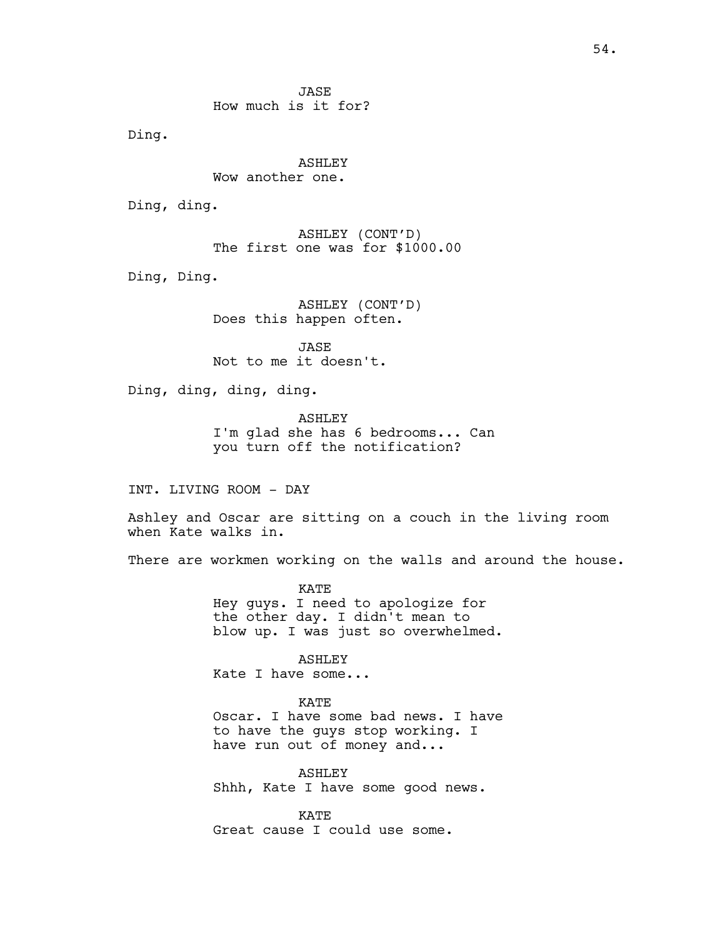**JASE** How much is it for?

Ding.

ASHLEY Wow another one.

Ding, ding.

ASHLEY (CONT'D) The first one was for \$1000.00

Ding, Ding.

ASHLEY (CONT'D) Does this happen often.

JASE Not to me it doesn't.

Ding, ding, ding, ding.

ASHLEY I'm glad she has 6 bedrooms... Can you turn off the notification?

INT. LIVING ROOM - DAY

Ashley and Oscar are sitting on a couch in the living room when Kate walks in.

There are workmen working on the walls and around the house.

KATE Hey guys. I need to apologize for the other day. I didn't mean to blow up. I was just so overwhelmed.

ASHLEY

Kate I have some...

KATE

Oscar. I have some bad news. I have to have the guys stop working. I have run out of money and...

ASHLEY Shhh, Kate I have some good news.

KATE Great cause I could use some.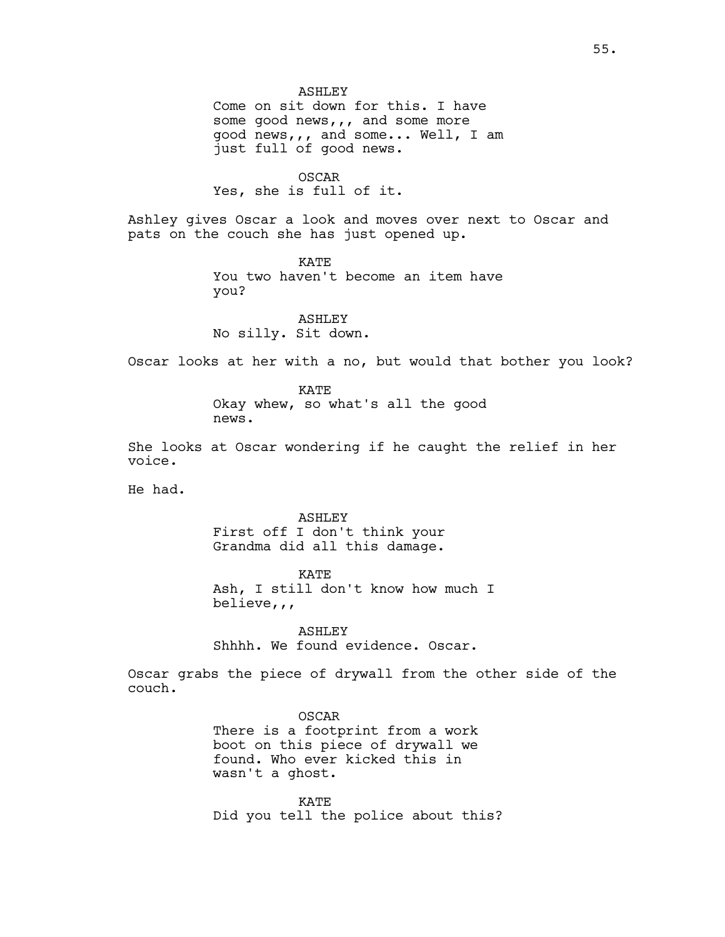ASHLEY Come on sit down for this. I have some good news,,, and some more good news,,, and some... Well, I am just full of good news.

OSCAR Yes, she is full of it.

Ashley gives Oscar a look and moves over next to Oscar and pats on the couch she has just opened up.

> KATE You two haven't become an item have you?

ASHLEY No silly. Sit down.

Oscar looks at her with a no, but would that bother you look?

KATE Okay whew, so what's all the good news.

She looks at Oscar wondering if he caught the relief in her voice.

He had.

ASHLEY First off I don't think your Grandma did all this damage.

KATE Ash, I still don't know how much I believe,,,

ASHLEY Shhhh. We found evidence. Oscar.

Oscar grabs the piece of drywall from the other side of the couch.

> OSCAR There is a footprint from a work boot on this piece of drywall we found. Who ever kicked this in wasn't a ghost.

KATE Did you tell the police about this?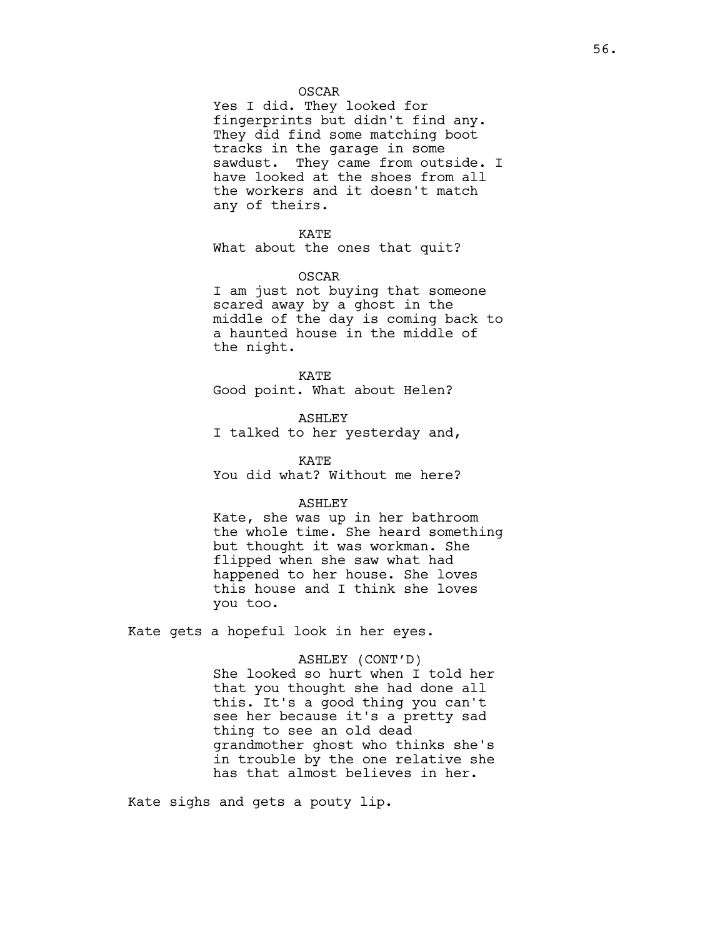# OSCAR

Yes I did. They looked for fingerprints but didn't find any. They did find some matching boot tracks in the garage in some sawdust. They came from outside. I have looked at the shoes from all the workers and it doesn't match any of theirs.

#### KATE

What about the ones that quit?

#### OSCAR

I am just not buying that someone scared away by a ghost in the middle of the day is coming back to a haunted house in the middle of the night.

KATE Good point. What about Helen?

ASHLEY I talked to her yesterday and,

KATE You did what? Without me here?

### ASHLEY

Kate, she was up in her bathroom the whole time. She heard something but thought it was workman. She flipped when she saw what had happened to her house. She loves this house and I think she loves you too.

Kate gets a hopeful look in her eyes.

# ASHLEY (CONT'D)

She looked so hurt when I told her that you thought she had done all this. It's a good thing you can't see her because it's a pretty sad thing to see an old dead grandmother ghost who thinks she's in trouble by the one relative she has that almost believes in her.

Kate sighs and gets a pouty lip.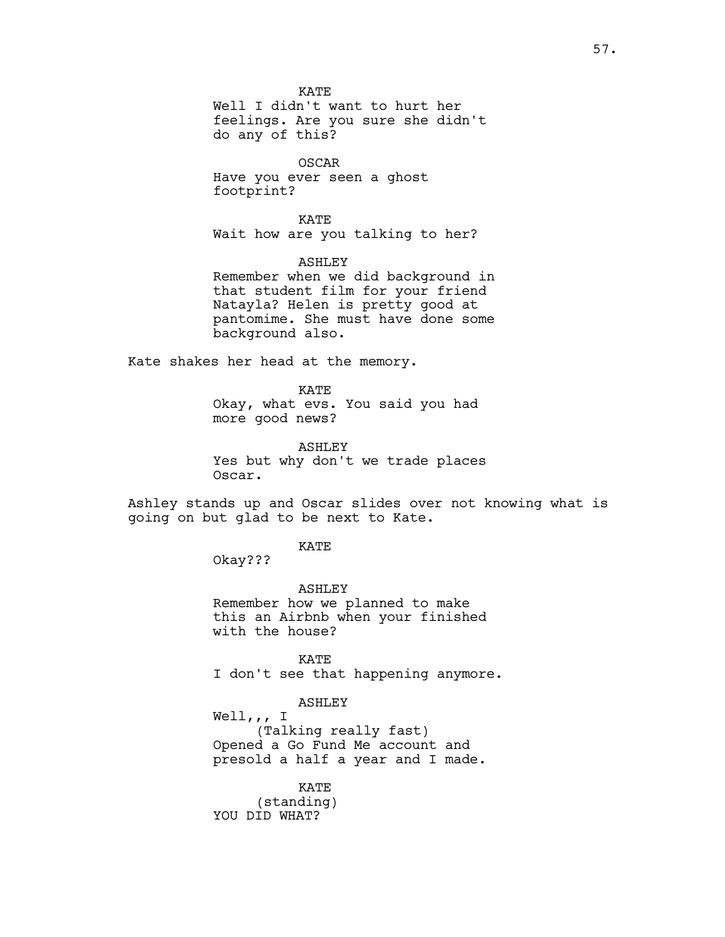KATE

Well I didn't want to hurt her feelings. Are you sure she didn't do any of this?

OSCAR Have you ever seen a ghost footprint?

KATE Wait how are you talking to her?

ASHLEY Remember when we did background in that student film for your friend Natayla? Helen is pretty good at pantomime. She must have done some background also.

Kate shakes her head at the memory.

KATE Okay, what evs. You said you had more good news?

ASHLEY Yes but why don't we trade places Oscar.

Ashley stands up and Oscar slides over not knowing what is going on but glad to be next to Kate.

KATE

Okay???

ASHLEY Remember how we planned to make this an Airbnb when your finished with the house?

KATE I don't see that happening anymore.

# ASHLEY

Well,,, I (Talking really fast) Opened a Go Fund Me account and presold a half a year and I made.

KATE (standing) YOU DID WHAT?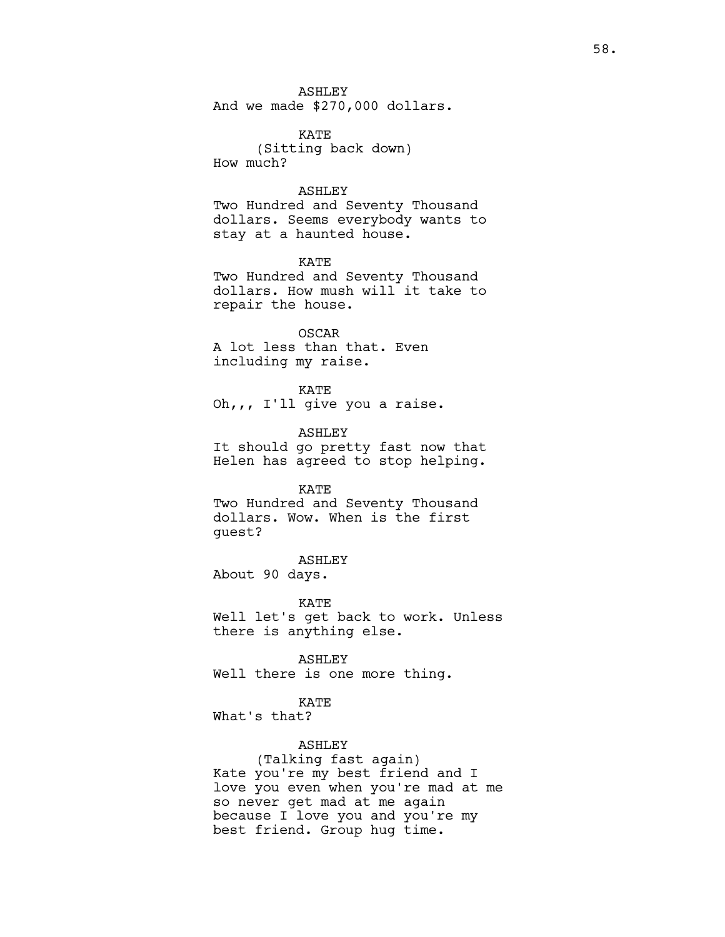ASHLEY And we made \$270,000 dollars.

KATE (Sitting back down) How much?

### ASHLEY

Two Hundred and Seventy Thousand dollars. Seems everybody wants to stay at a haunted house.

KATE Two Hundred and Seventy Thousand dollars. How mush will it take to repair the house.

OSCAR A lot less than that. Even including my raise.

KATE Oh,,, I'll give you a raise.

ASHLEY It should go pretty fast now that Helen has agreed to stop helping.

KATE Two Hundred and Seventy Thousand dollars. Wow. When is the first guest?

ASHLEY About 90 days.

KATE Well let's get back to work. Unless there is anything else.

ASHLEY Well there is one more thing.

KATE What's that?

ASHLEY

(Talking fast again) Kate you're my best friend and I love you even when you're mad at me so never get mad at me again because I love you and you're my best friend. Group hug time.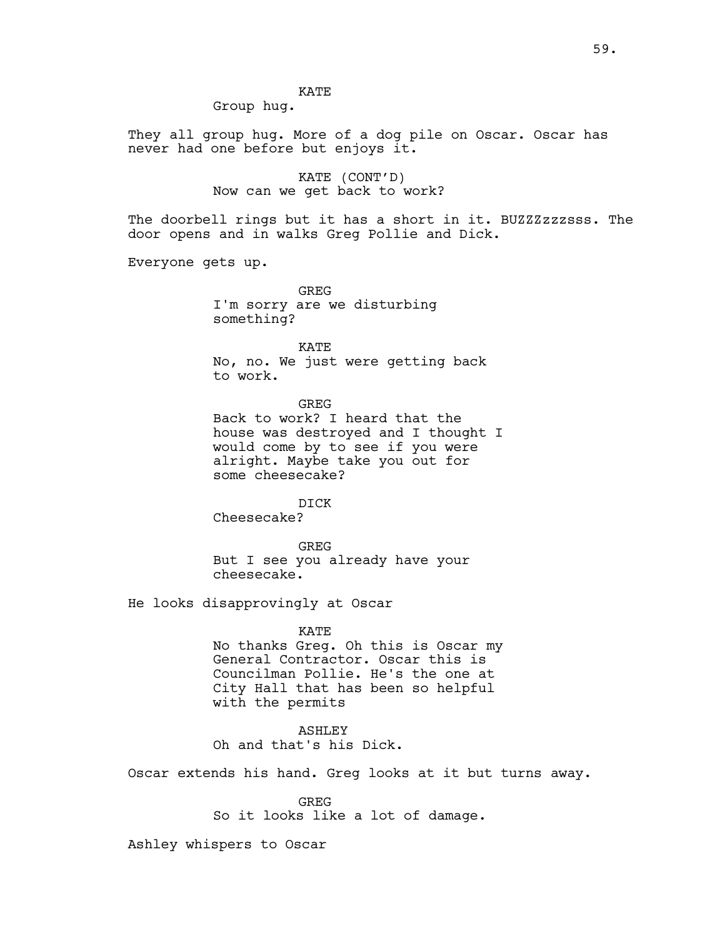# KATE

Group hug.

They all group hug. More of a dog pile on Oscar. Oscar has never had one before but enjoys it.

> KATE (CONT'D) Now can we get back to work?

The doorbell rings but it has a short in it. BUZZZzzzzsss. The door opens and in walks Greg Pollie and Dick.

Everyone gets up.

GREG I'm sorry are we disturbing something?

KATE No, no. We just were getting back to work.

**GREG** 

Back to work? I heard that the house was destroyed and I thought I would come by to see if you were alright. Maybe take you out for some cheesecake?

DICK

Cheesecake?

GREG But I see you already have your cheesecake.

He looks disapprovingly at Oscar

KATE

No thanks Greg. Oh this is Oscar my General Contractor. Oscar this is Councilman Pollie. He's the one at City Hall that has been so helpful with the permits

ASHLEY Oh and that's his Dick.

Oscar extends his hand. Greg looks at it but turns away.

GREG

So it looks like a lot of damage.

Ashley whispers to Oscar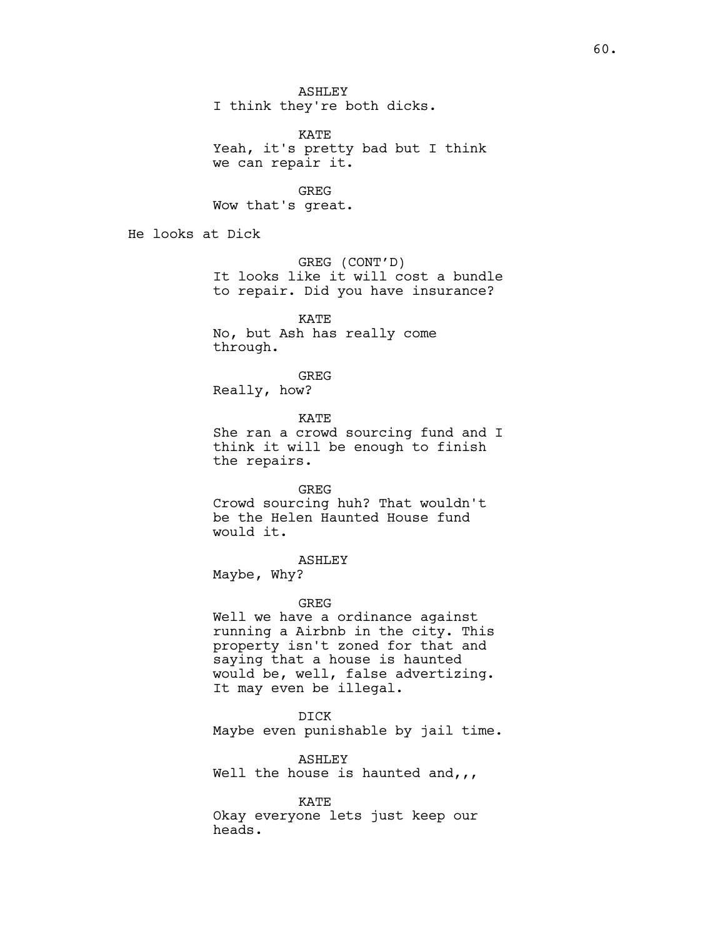ASHLEY I think they're both dicks.

KATE Yeah, it's pretty bad but I think we can repair it.

GREG

Wow that's great.

He looks at Dick

GREG (CONT'D) It looks like it will cost a bundle to repair. Did you have insurance?

KATE No, but Ash has really come through.

GREG

Really, how?

KATE She ran a crowd sourcing fund and I think it will be enough to finish the repairs.

GREG

Crowd sourcing huh? That wouldn't be the Helen Haunted House fund would it.

# ASHLEY

Maybe, Why?

## GREG

Well we have a ordinance against running a Airbnb in the city. This property isn't zoned for that and saying that a house is haunted would be, well, false advertizing. It may even be illegal.

DICK

Maybe even punishable by jail time.

ASHLEY

Well the house is haunted and,  $,$ 

KATE

Okay everyone lets just keep our heads.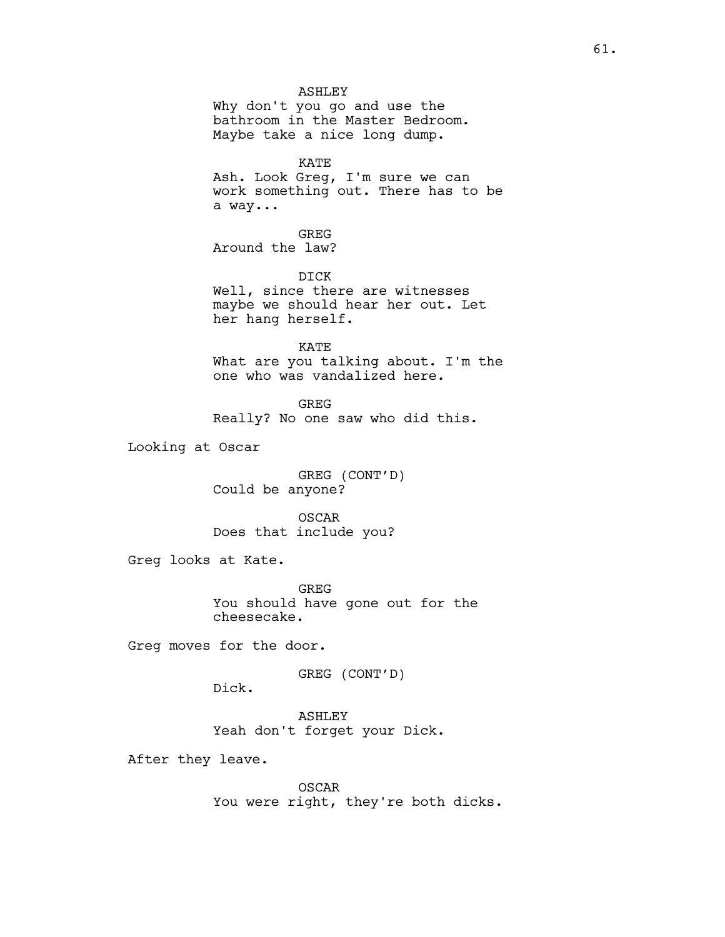ASHLEY Why don't you go and use the bathroom in the Master Bedroom. Maybe take a nice long dump.

KATE

Ash. Look Greg, I'm sure we can work something out. There has to be a way...

GREG Around the law?

DICK Well, since there are witnesses maybe we should hear her out. Let her hang herself.

KATE What are you talking about. I'm the one who was vandalized here.

**GREG** Really? No one saw who did this.

Looking at Oscar

GREG (CONT'D) Could be anyone?

OSCAR Does that include you?

Greg looks at Kate.

GREG You should have gone out for the cheesecake.

Greg moves for the door.

GREG (CONT'D)

Dick.

ASHLEY Yeah don't forget your Dick.

After they leave.

OSCAR You were right, they're both dicks.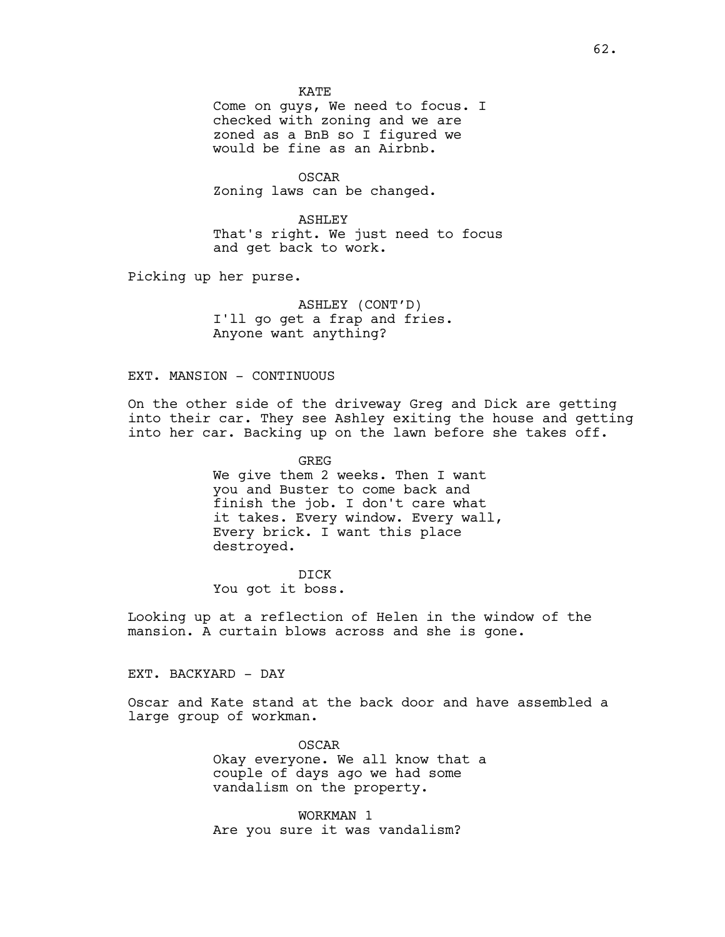KATE

Come on guys, We need to focus. I checked with zoning and we are zoned as a BnB so I figured we would be fine as an Airbnb.

OSCAR Zoning laws can be changed.

ASHLEY That's right. We just need to focus and get back to work.

Picking up her purse.

ASHLEY (CONT'D) I'll go get a frap and fries. Anyone want anything?

EXT. MANSION - CONTINUOUS

On the other side of the driveway Greg and Dick are getting into their car. They see Ashley exiting the house and getting into her car. Backing up on the lawn before she takes off.

> GREG We give them 2 weeks. Then I want you and Buster to come back and finish the job. I don't care what it takes. Every window. Every wall, Every brick. I want this place destroyed.

DICK You got it boss.

Looking up at a reflection of Helen in the window of the mansion. A curtain blows across and she is gone.

EXT. BACKYARD - DAY

Oscar and Kate stand at the back door and have assembled a large group of workman.

> OSCAR Okay everyone. We all know that a couple of days ago we had some vandalism on the property.

WORKMAN 1 Are you sure it was vandalism?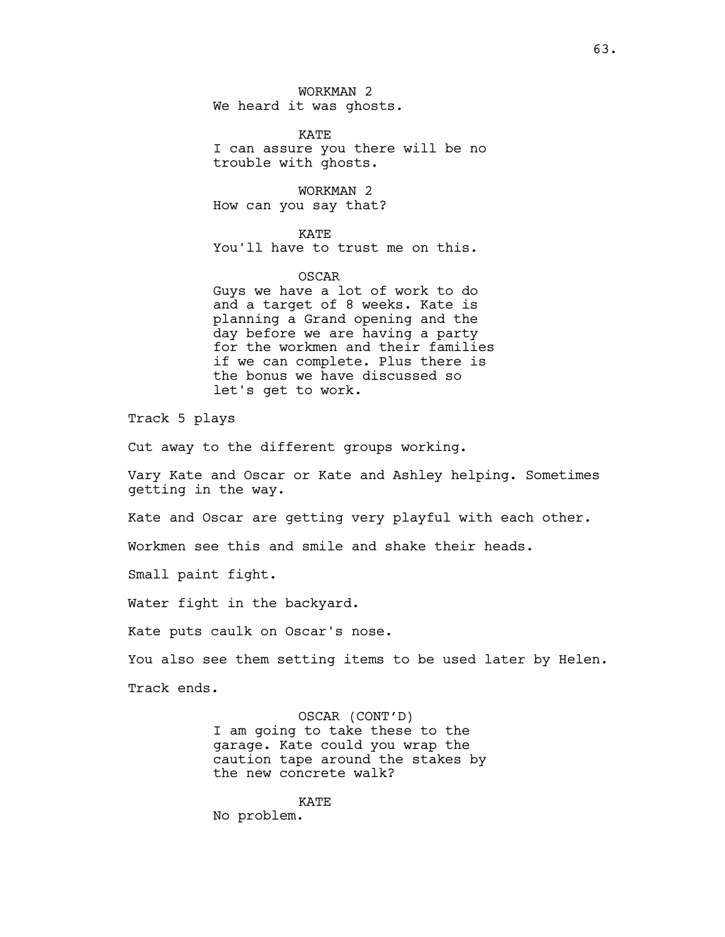WORKMAN 2 We heard it was ghosts.

KATE I can assure you there will be no trouble with ghosts.

WORKMAN 2 How can you say that?

KATE You'll have to trust me on this.

# OSCAR Guys we have a lot of work to do and a target of 8 weeks. Kate is planning a Grand opening and the day before we are having a party for the workmen and their families if we can complete. Plus there is the bonus we have discussed so let's get to work.

Track 5 plays

Cut away to the different groups working.

Vary Kate and Oscar or Kate and Ashley helping. Sometimes getting in the way.

Kate and Oscar are getting very playful with each other.

Workmen see this and smile and shake their heads.

Small paint fight.

Water fight in the backyard.

Kate puts caulk on Oscar's nose.

You also see them setting items to be used later by Helen.

Track ends.

OSCAR (CONT'D) I am going to take these to the garage. Kate could you wrap the caution tape around the stakes by the new concrete walk?

KATE No problem.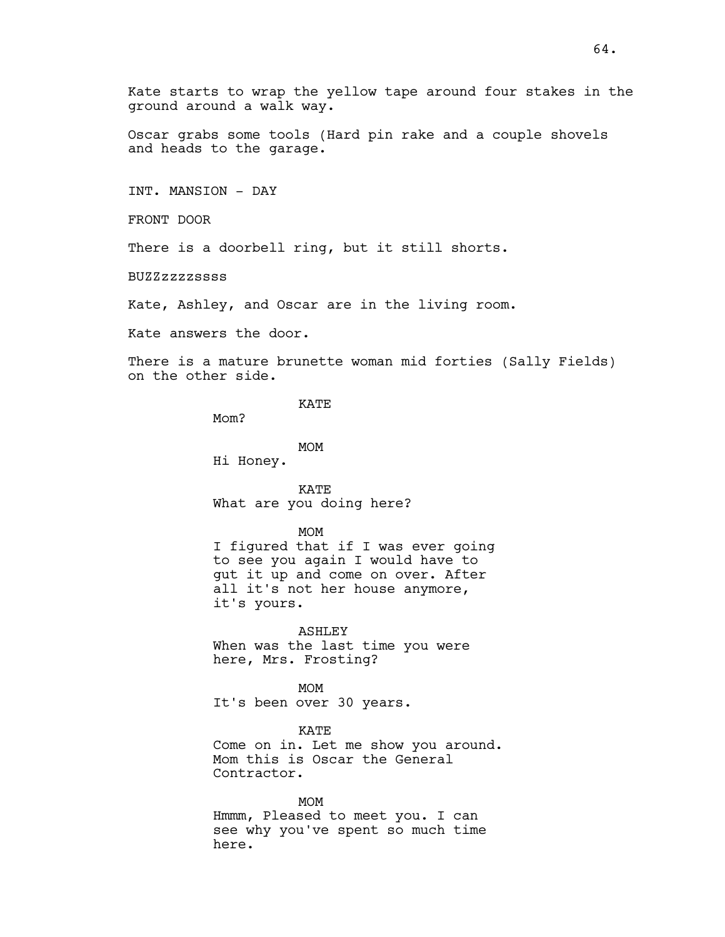Kate starts to wrap the yellow tape around four stakes in the ground around a walk way.

Oscar grabs some tools (Hard pin rake and a couple shovels and heads to the garage.

INT. MANSION - DAY

FRONT DOOR

There is a doorbell ring, but it still shorts.

BUZZzzzzssss

Kate, Ashley, and Oscar are in the living room.

Kate answers the door.

There is a mature brunette woman mid forties (Sally Fields) on the other side.

KATE

Mom?

MOM

Hi Honey.

KATE What are you doing here?

MOM

I figured that if I was ever going to see you again I would have to gut it up and come on over. After all it's not her house anymore, it's yours.

ASHLEY When was the last time you were here, Mrs. Frosting?

MOM It's been over 30 years.

KATE Come on in. Let me show you around. Mom this is Oscar the General Contractor.

MOM Hmmm, Pleased to meet you. I can see why you've spent so much time here.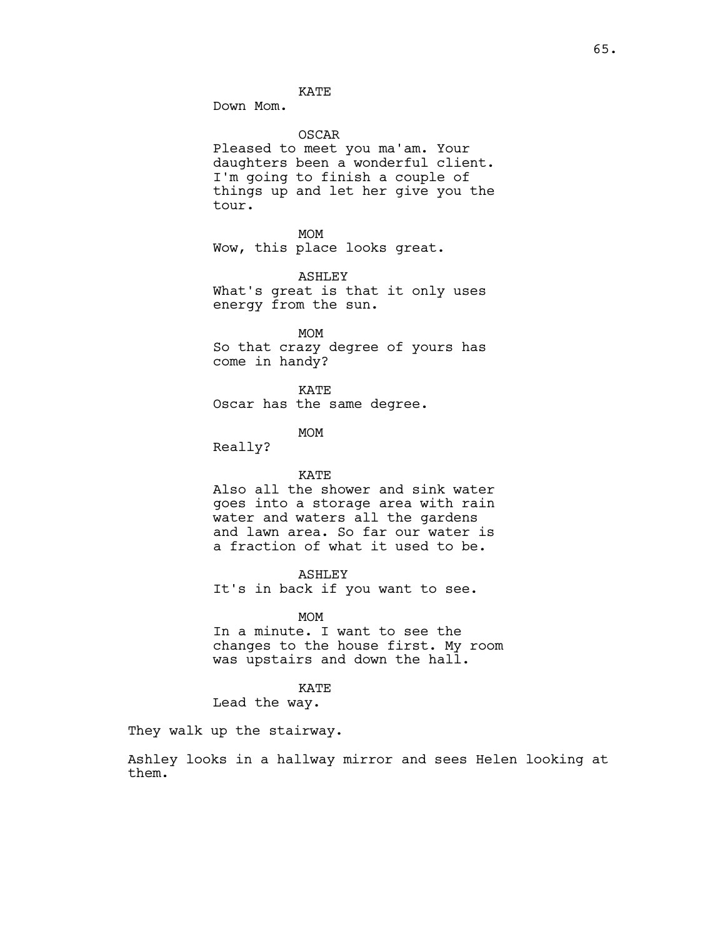KATE

Down Mom.

OSCAR

Pleased to meet you ma'am. Your daughters been a wonderful client. I'm going to finish a couple of things up and let her give you the tour.

MOM Wow, this place looks great.

ASHLEY What's great is that it only uses energy from the sun.

MOM So that crazy degree of yours has come in handy?

KATE Oscar has the same degree.

MOM

Really?

### KATE

Also all the shower and sink water goes into a storage area with rain water and waters all the gardens and lawn area. So far our water is a fraction of what it used to be.

## ASHLEY

It's in back if you want to see.

## MOM

In a minute. I want to see the changes to the house first. My room was upstairs and down the hall.

#### KATE

Lead the way.

They walk up the stairway.

Ashley looks in a hallway mirror and sees Helen looking at them.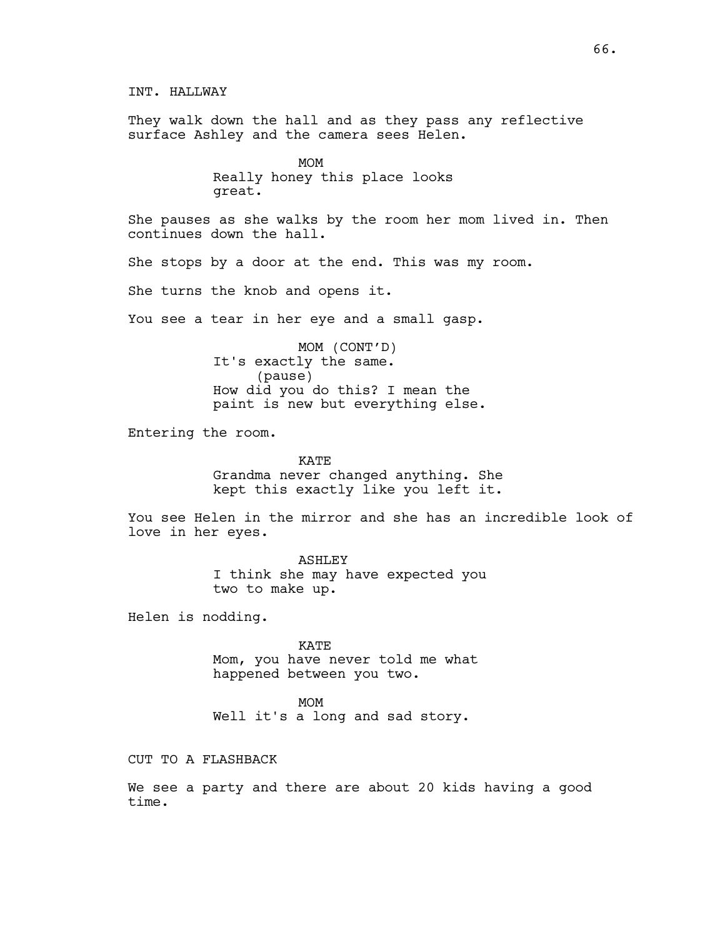INT. HALLWAY They walk down the hall and as they pass any reflective surface Ashley and the camera sees Helen. MOM Really honey this place looks great. She pauses as she walks by the room her mom lived in. Then continues down the hall. She stops by a door at the end. This was my room. She turns the knob and opens it. You see a tear in her eye and a small gasp. MOM (CONT'D) It's exactly the same. (pause) How did you do this? I mean the paint is new but everything else. Entering the room. KATE Grandma never changed anything. She kept this exactly like you left it. You see Helen in the mirror and she has an incredible look of love in her eyes. ASHLEY I think she may have expected you two to make up. Helen is nodding. KATE Mom, you have never told me what happened between you two. MOM Well it's a long and sad story. CUT TO A FLASHBACK

We see a party and there are about 20 kids having a good time.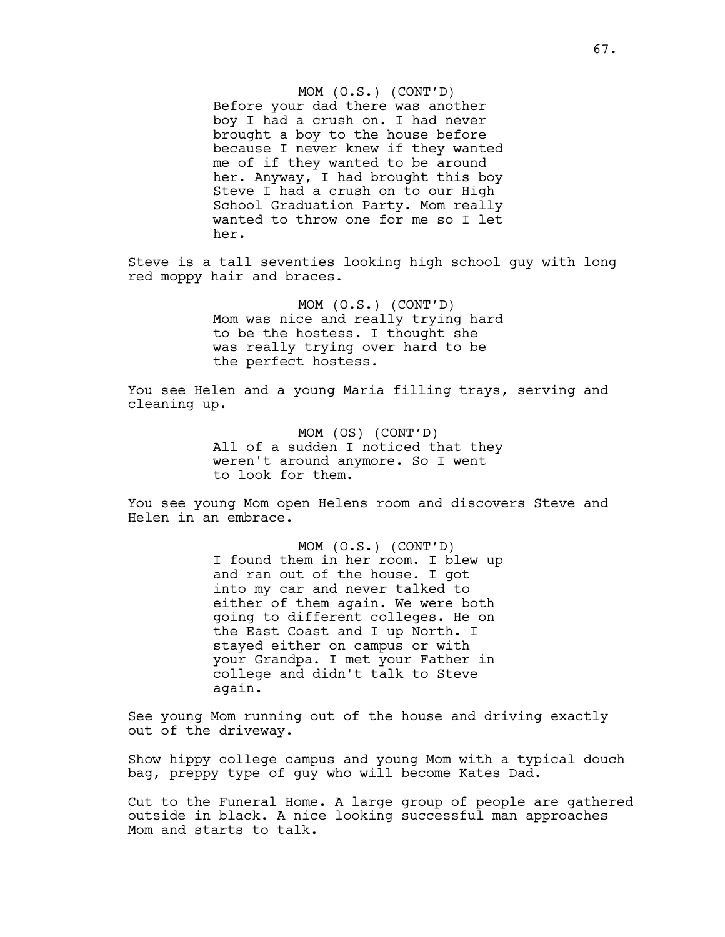MOM (O.S.) (CONT'D) Before your dad there was another boy I had a crush on. I had never brought a boy to the house before because I never knew if they wanted me of if they wanted to be around her. Anyway, I had brought this boy Steve I had a crush on to our High School Graduation Party. Mom really wanted to throw one for me so I let her.

Steve is a tall seventies looking high school guy with long red moppy hair and braces.

> MOM (O.S.) (CONT'D) Mom was nice and really trying hard to be the hostess. I thought she was really trying over hard to be the perfect hostess.

You see Helen and a young Maria filling trays, serving and cleaning up.

> MOM (OS) (CONT'D) All of a sudden I noticed that they weren't around anymore. So I went to look for them.

You see young Mom open Helens room and discovers Steve and Helen in an embrace.

> MOM (O.S.) (CONT'D) I found them in her room. I blew up and ran out of the house. I got into my car and never talked to either of them again. We were both going to different colleges. He on the East Coast and I up North. I stayed either on campus or with your Grandpa. I met your Father in college and didn't talk to Steve again.

See young Mom running out of the house and driving exactly out of the driveway.

Show hippy college campus and young Mom with a typical douch bag, preppy type of guy who will become Kates Dad.

Cut to the Funeral Home. A large group of people are gathered outside in black. A nice looking successful man approaches Mom and starts to talk.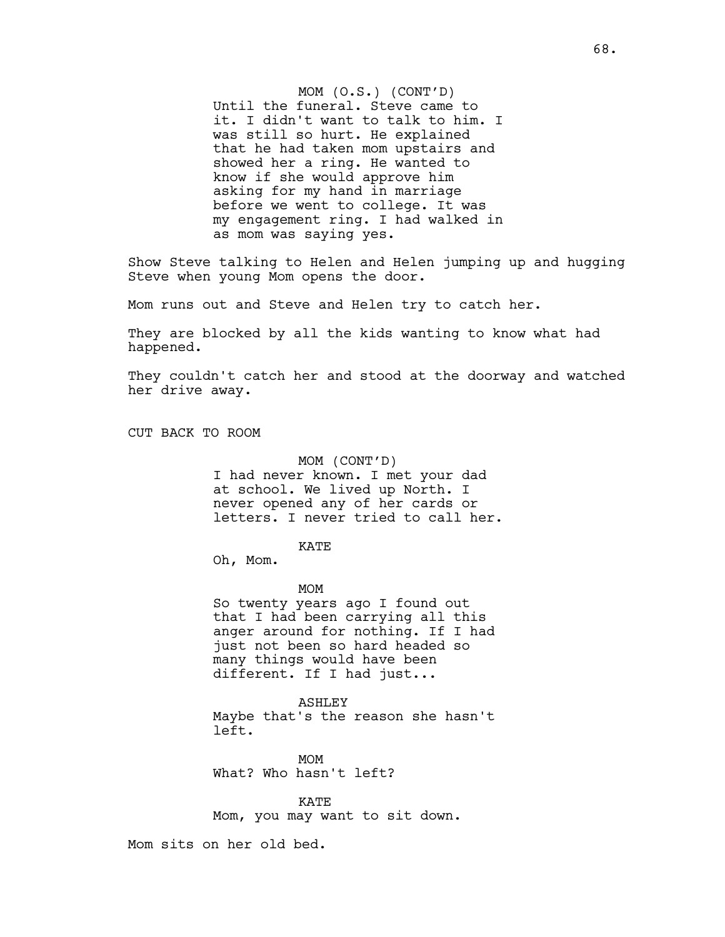MOM (O.S.) (CONT'D) Until the funeral. Steve came to it. I didn't want to talk to him. I was still so hurt. He explained that he had taken mom upstairs and showed her a ring. He wanted to know if she would approve him asking for my hand in marriage before we went to college. It was my engagement ring. I had walked in as mom was saying yes.

Show Steve talking to Helen and Helen jumping up and hugging Steve when young Mom opens the door.

Mom runs out and Steve and Helen try to catch her.

They are blocked by all the kids wanting to know what had happened.

They couldn't catch her and stood at the doorway and watched her drive away.

CUT BACK TO ROOM

MOM (CONT'D) I had never known. I met your dad at school. We lived up North. I never opened any of her cards or letters. I never tried to call her.

KATE

Oh, Mom.

MOM

So twenty years ago I found out that I had been carrying all this anger around for nothing. If I had just not been so hard headed so many things would have been different. If I had just...

ASHLEY

Maybe that's the reason she hasn't left.

MOM What? Who hasn't left?

KATE Mom, you may want to sit down.

Mom sits on her old bed.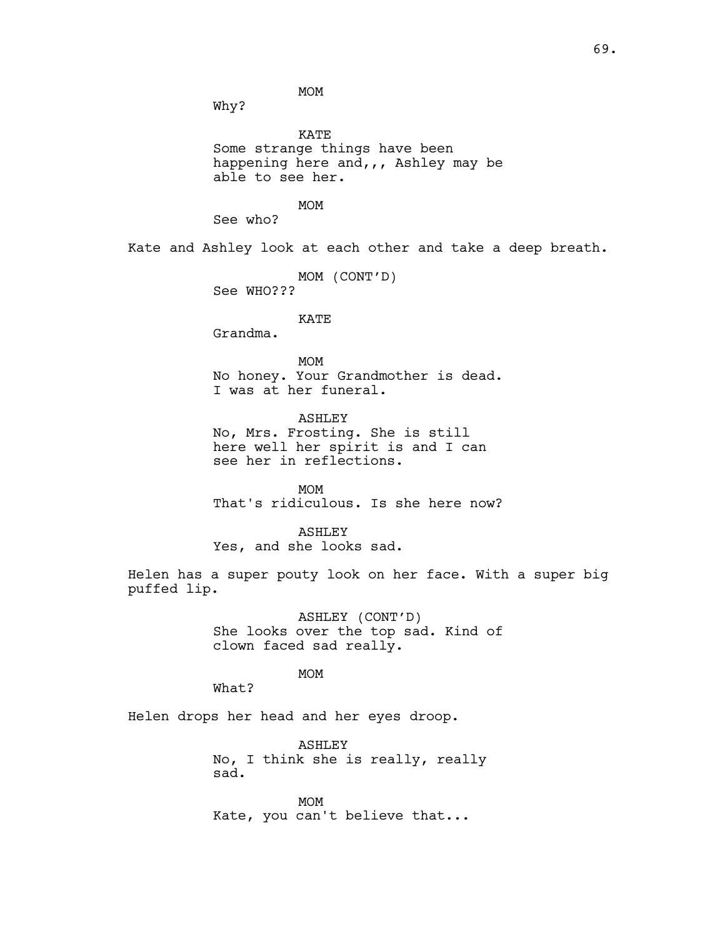MOM

Why?

KATE Some strange things have been happening here and,,, Ashley may be able to see her. MOM See who? Kate and Ashley look at each other and take a deep breath. MOM (CONT'D) See WHO??? KATE Grandma. MOM

> No honey. Your Grandmother is dead. I was at her funeral.

ASHLEY No, Mrs. Frosting. She is still here well her spirit is and I can see her in reflections.

MOM That's ridiculous. Is she here now?

ASHLEY Yes, and she looks sad.

Helen has a super pouty look on her face. With a super big puffed lip.

> ASHLEY (CONT'D) She looks over the top sad. Kind of clown faced sad really.

> > MOM

What?

Helen drops her head and her eyes droop.

ASHLEY No, I think she is really, really sad. MOM Kate, you can't believe that...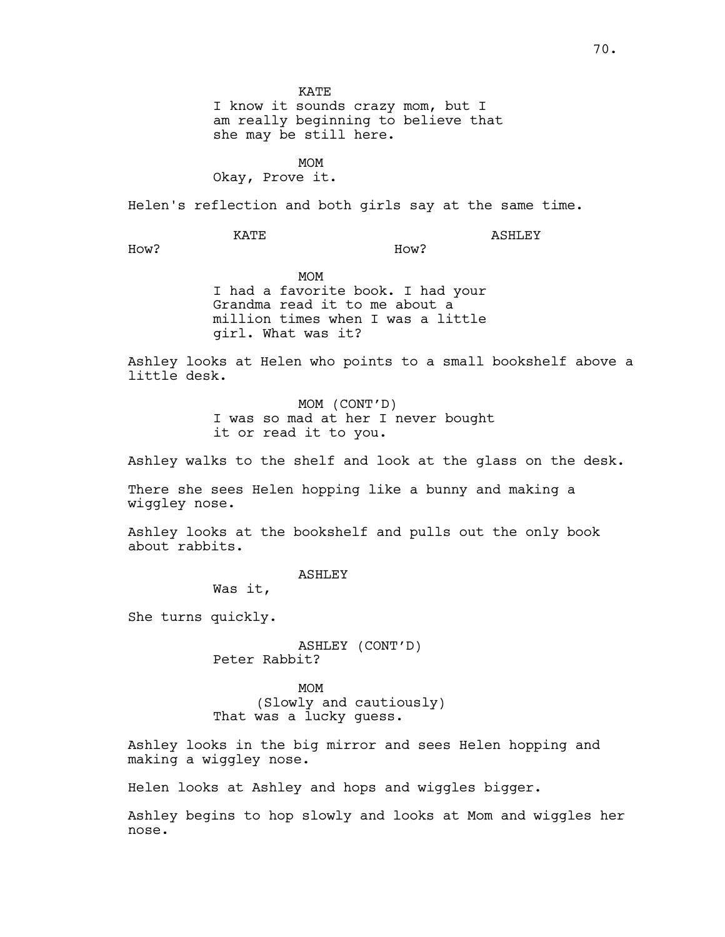KATE I know it sounds crazy mom, but I am really beginning to believe that she may be still here.

MOM Okay, Prove it.

Helen's reflection and both girls say at the same time.

KATE

ASHLEY

How?

MOM I had a favorite book. I had your Grandma read it to me about a million times when I was a little girl. What was it?

Ashley looks at Helen who points to a small bookshelf above a little desk.

How?

MOM (CONT'D) I was so mad at her I never bought it or read it to you.

Ashley walks to the shelf and look at the glass on the desk.

There she sees Helen hopping like a bunny and making a wiggley nose.

Ashley looks at the bookshelf and pulls out the only book about rabbits.

ASHLEY

Was it,

She turns quickly.

ASHLEY (CONT'D) Peter Rabbit?

MOM (Slowly and cautiously) That was a lucky guess.

Ashley looks in the big mirror and sees Helen hopping and making a wiggley nose.

Helen looks at Ashley and hops and wiggles bigger.

Ashley begins to hop slowly and looks at Mom and wiggles her nose.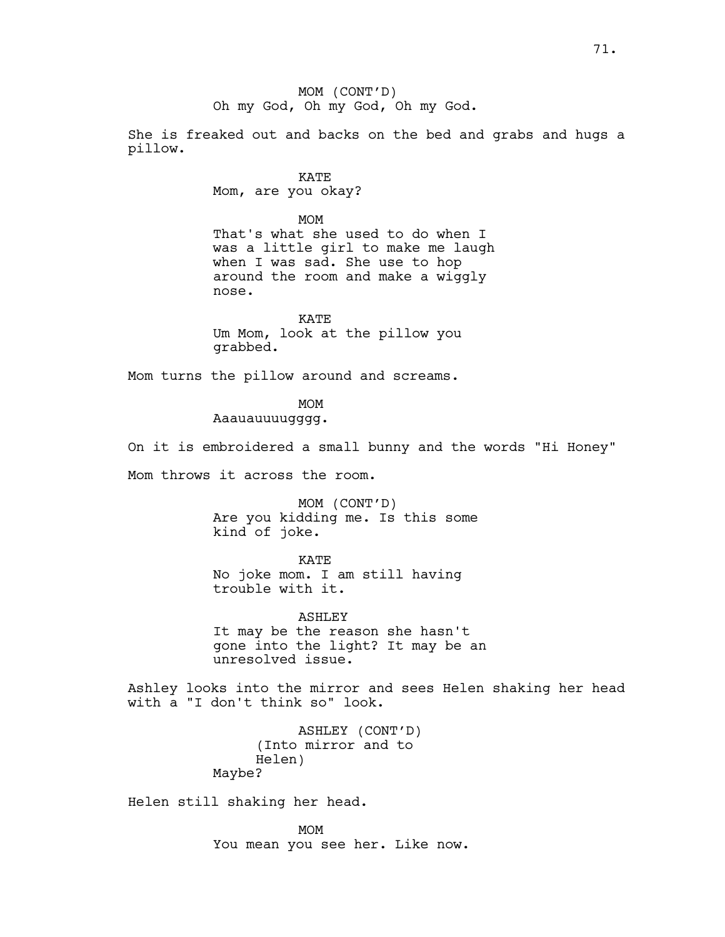MOM (CONT'D) Oh my God, Oh my God, Oh my God.

She is freaked out and backs on the bed and grabs and hugs a pillow.

> KATE Mom, are you okay?

MOM That's what she used to do when I was a little girl to make me laugh when I was sad. She use to hop around the room and make a wiggly nose.

KATE Um Mom, look at the pillow you grabbed.

Mom turns the pillow around and screams.

MOM

Aaauauuuugggg.

On it is embroidered a small bunny and the words "Hi Honey"

Mom throws it across the room.

MOM (CONT'D) Are you kidding me. Is this some kind of joke.

KATE No joke mom. I am still having trouble with it.

ASHLEY It may be the reason she hasn't gone into the light? It may be an unresolved issue.

Ashley looks into the mirror and sees Helen shaking her head with a "I don't think so" look.

> ASHLEY (CONT'D) (Into mirror and to Helen) Maybe?

Helen still shaking her head.

MOM You mean you see her. Like now.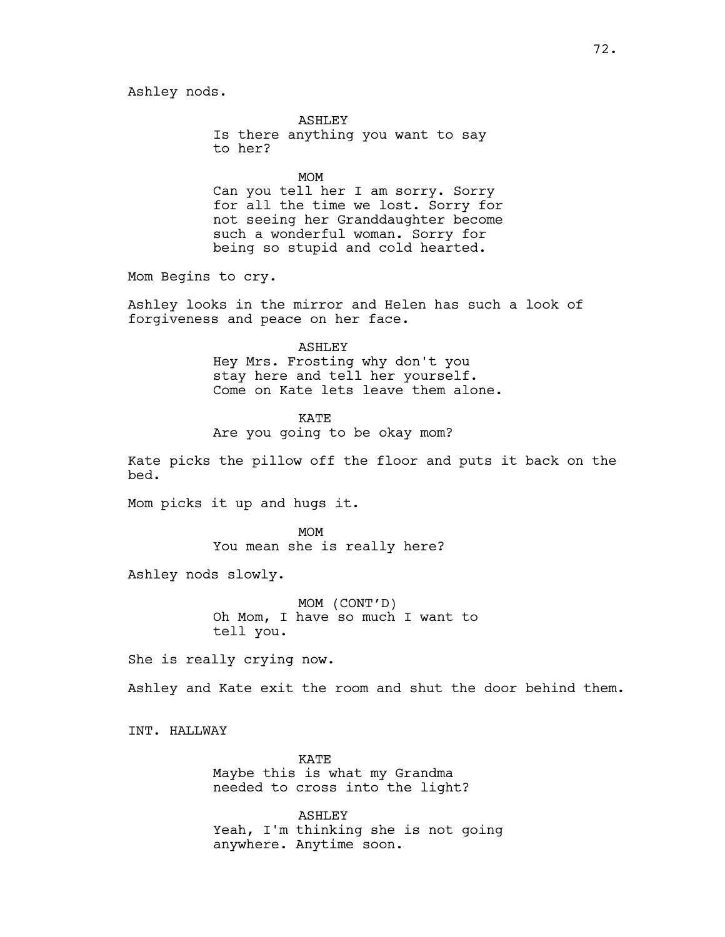ASHLEY Is there anything you want to say to her? MOM

Can you tell her I am sorry. Sorry for all the time we lost. Sorry for not seeing her Granddaughter become such a wonderful woman. Sorry for being so stupid and cold hearted.

Mom Begins to cry.

Ashley looks in the mirror and Helen has such a look of forgiveness and peace on her face.

#### ASHLEY

Hey Mrs. Frosting why don't you stay here and tell her yourself. Come on Kate lets leave them alone.

KATE Are you going to be okay mom?

Kate picks the pillow off the floor and puts it back on the bed.

Mom picks it up and hugs it.

MOM You mean she is really here?

Ashley nods slowly.

MOM (CONT'D) Oh Mom, I have so much I want to tell you.

She is really crying now.

Ashley and Kate exit the room and shut the door behind them.

INT. HALLWAY

KATE Maybe this is what my Grandma needed to cross into the light?

ASHLEY Yeah, I'm thinking she is not going anywhere. Anytime soon.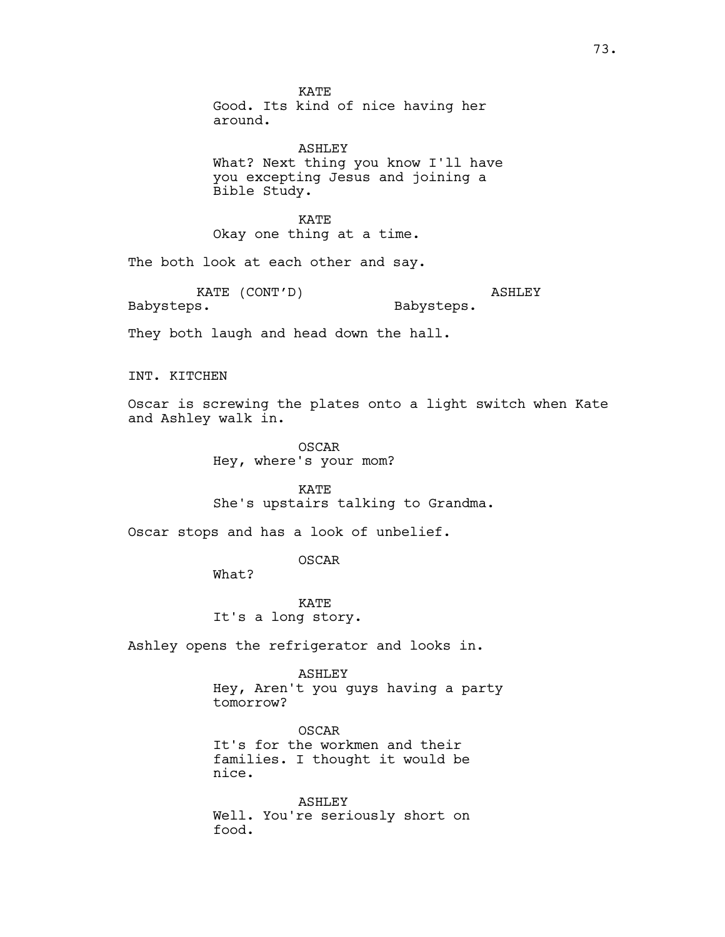KATE Good. Its kind of nice having her around.

ASHLEY What? Next thing you know I'll have you excepting Jesus and joining a Bible Study.

KATE Okay one thing at a time.

The both look at each other and say.

KATE (CONT'D) Babysteps. ASHLEY Babysteps.

They both laugh and head down the hall.

INT. KITCHEN

Oscar is screwing the plates onto a light switch when Kate and Ashley walk in.

> OSCAR Hey, where's your mom?

KATE She's upstairs talking to Grandma.

Oscar stops and has a look of unbelief.

OSCAR

What?

KATE It's a long story.

Ashley opens the refrigerator and looks in.

ASHLEY Hey, Aren't you guys having a party tomorrow?

OSCAR It's for the workmen and their families. I thought it would be nice.

ASHLEY Well. You're seriously short on food.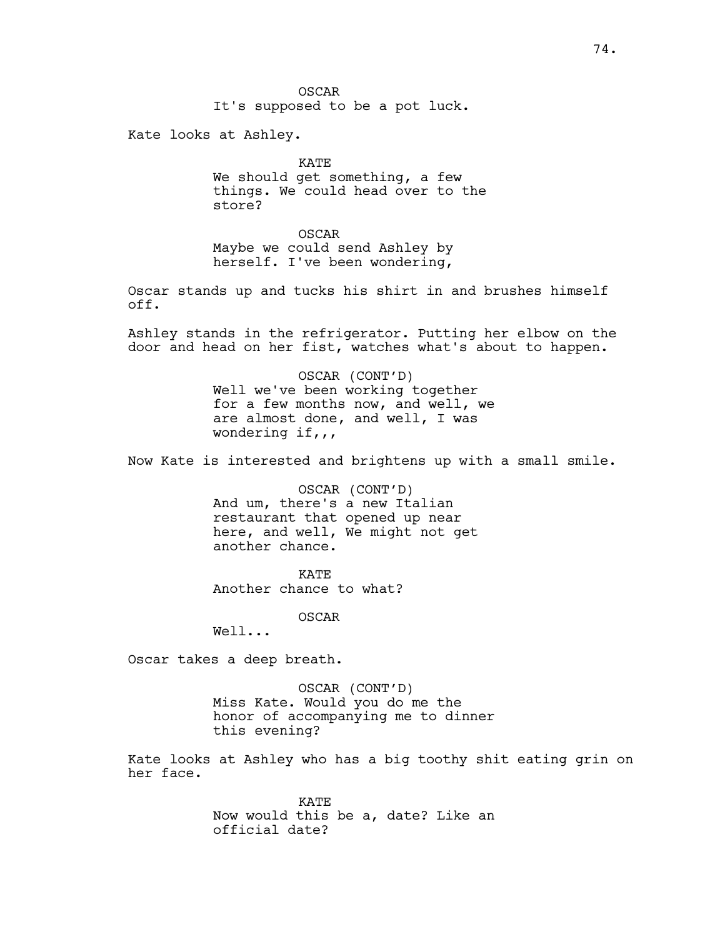OSCAR It's supposed to be a pot luck.

Kate looks at Ashley.

KATE We should get something, a few things. We could head over to the store?

OSCAR Maybe we could send Ashley by herself. I've been wondering,

Oscar stands up and tucks his shirt in and brushes himself off.

Ashley stands in the refrigerator. Putting her elbow on the door and head on her fist, watches what's about to happen.

> OSCAR (CONT'D) Well we've been working together for a few months now, and well, we are almost done, and well, I was wondering  $if,$ ,

Now Kate is interested and brightens up with a small smile.

OSCAR (CONT'D) And um, there's a new Italian restaurant that opened up near here, and well, We might not get another chance.

KATE Another chance to what?

OSCAR

Well...

Oscar takes a deep breath.

OSCAR (CONT'D) Miss Kate. Would you do me the honor of accompanying me to dinner this evening?

Kate looks at Ashley who has a big toothy shit eating grin on her face.

> KATE Now would this be a, date? Like an official date?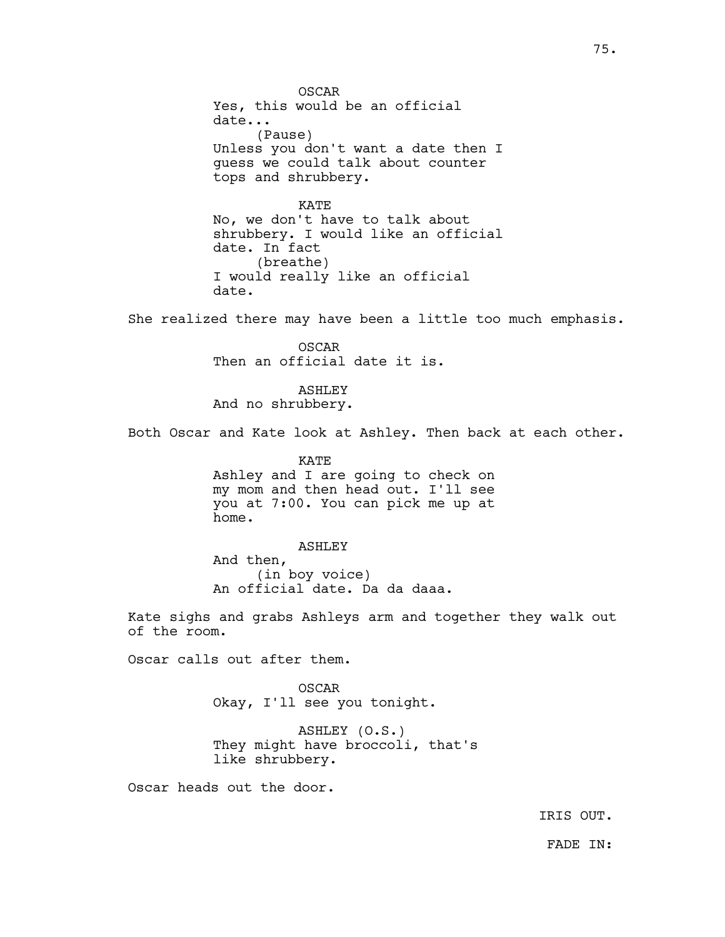OSCAR Yes, this would be an official date... (Pause) Unless you don't want a date then I guess we could talk about counter tops and shrubbery.

KATE No, we don't have to talk about shrubbery. I would like an official date. In fact (breathe) I would really like an official date.

She realized there may have been a little too much emphasis.

OSCAR Then an official date it is.

ASHLEY And no shrubbery.

Both Oscar and Kate look at Ashley. Then back at each other.

KATE Ashley and I are going to check on my mom and then head out. I'll see you at 7:00. You can pick me up at home.

ASHLEY And then, (in boy voice) An official date. Da da daaa.

Kate sighs and grabs Ashleys arm and together they walk out of the room.

Oscar calls out after them.

OSCAR Okay, I'll see you tonight.

ASHLEY (O.S.) They might have broccoli, that's like shrubbery.

Oscar heads out the door.

IRIS OUT.

FADE IN: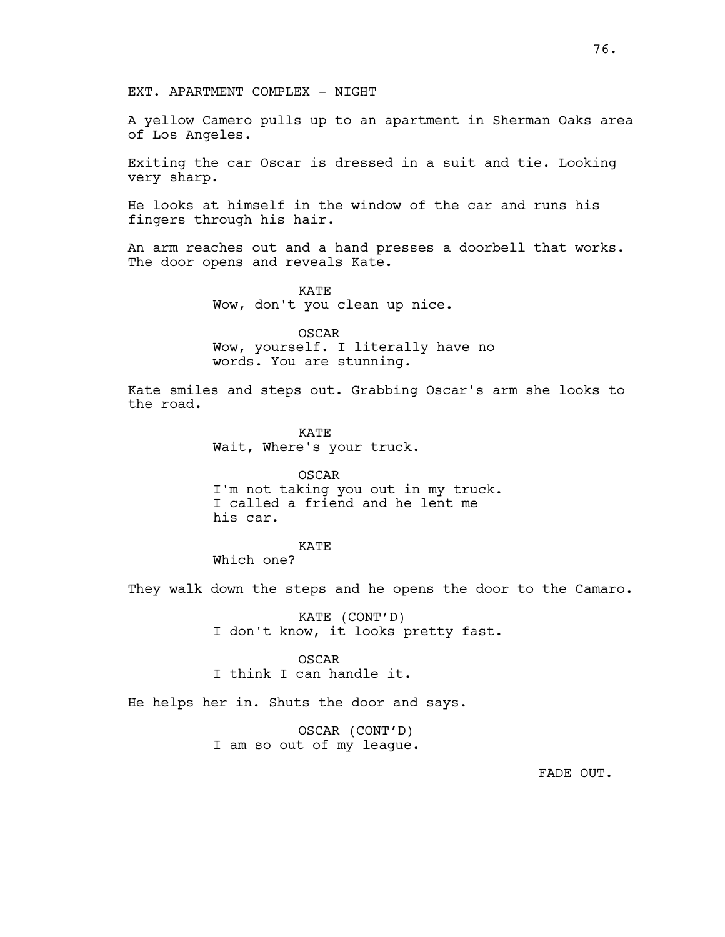EXT. APARTMENT COMPLEX - NIGHT

A yellow Camero pulls up to an apartment in Sherman Oaks area of Los Angeles.

Exiting the car Oscar is dressed in a suit and tie. Looking very sharp.

He looks at himself in the window of the car and runs his fingers through his hair.

An arm reaches out and a hand presses a doorbell that works. The door opens and reveals Kate.

> KATE Wow, don't you clean up nice.

OSCAR Wow, yourself. I literally have no words. You are stunning.

Kate smiles and steps out. Grabbing Oscar's arm she looks to the road.

> KATE Wait, Where's your truck.

OSCAR I'm not taking you out in my truck. I called a friend and he lent me his car.

KATE Which one?

They walk down the steps and he opens the door to the Camaro.

KATE (CONT'D) I don't know, it looks pretty fast.

OSCAR I think I can handle it.

He helps her in. Shuts the door and says.

OSCAR (CONT'D) I am so out of my league.

FADE OUT.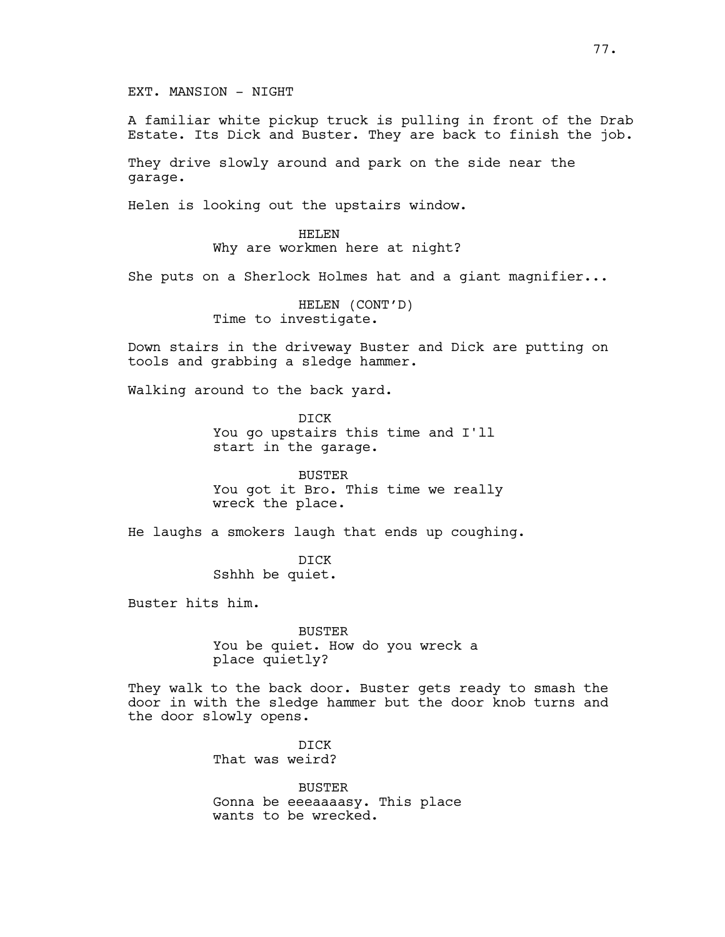A familiar white pickup truck is pulling in front of the Drab Estate. Its Dick and Buster. They are back to finish the job.

They drive slowly around and park on the side near the garage.

Helen is looking out the upstairs window.

HELEN Why are workmen here at night?

She puts on a Sherlock Holmes hat and a giant magnifier...

HELEN (CONT'D) Time to investigate.

Down stairs in the driveway Buster and Dick are putting on tools and grabbing a sledge hammer.

Walking around to the back yard.

DICK You go upstairs this time and I'll start in the garage.

BUSTER You got it Bro. This time we really wreck the place.

He laughs a smokers laugh that ends up coughing.

DICK Sshhh be quiet.

Buster hits him.

BUSTER You be quiet. How do you wreck a place quietly?

They walk to the back door. Buster gets ready to smash the door in with the sledge hammer but the door knob turns and the door slowly opens.

> DICK That was weird?

BUSTER Gonna be eeeaaaasy. This place wants to be wrecked.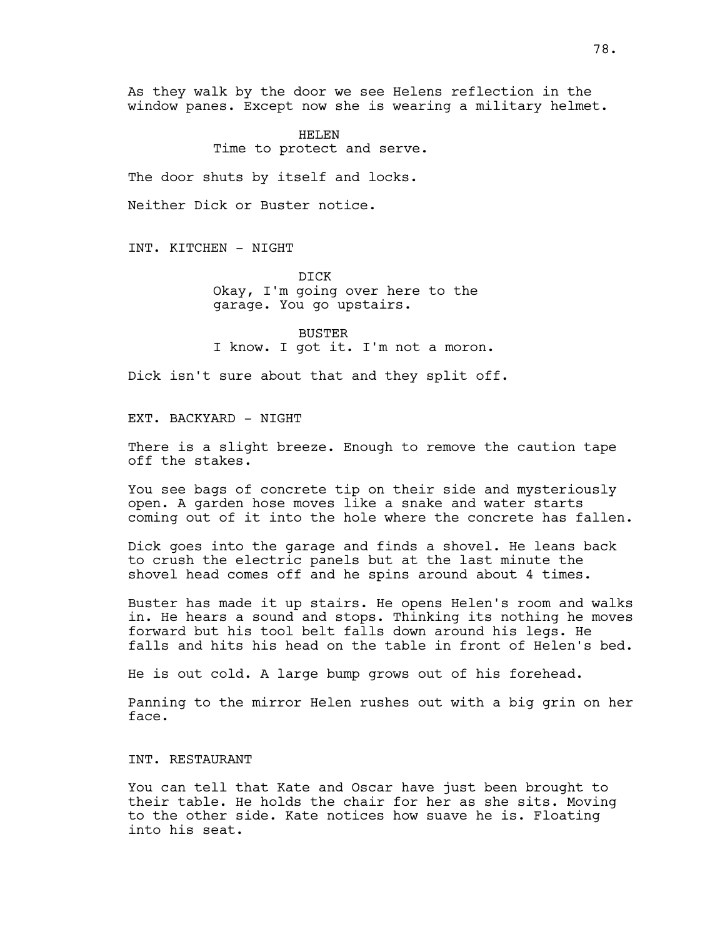As they walk by the door we see Helens reflection in the window panes. Except now she is wearing a military helmet.

> HELEN Time to protect and serve.

The door shuts by itself and locks.

Neither Dick or Buster notice.

INT. KITCHEN - NIGHT

DICK Okay, I'm going over here to the garage. You go upstairs.

BUSTER I know. I got it. I'm not a moron.

Dick isn't sure about that and they split off.

EXT. BACKYARD - NIGHT

There is a slight breeze. Enough to remove the caution tape off the stakes.

You see bags of concrete tip on their side and mysteriously open. A garden hose moves like a snake and water starts coming out of it into the hole where the concrete has fallen.

Dick goes into the garage and finds a shovel. He leans back to crush the electric panels but at the last minute the shovel head comes off and he spins around about 4 times.

Buster has made it up stairs. He opens Helen's room and walks in. He hears a sound and stops. Thinking its nothing he moves forward but his tool belt falls down around his legs. He falls and hits his head on the table in front of Helen's bed.

He is out cold. A large bump grows out of his forehead.

Panning to the mirror Helen rushes out with a big grin on her face.

#### INT. RESTAURANT

You can tell that Kate and Oscar have just been brought to their table. He holds the chair for her as she sits. Moving to the other side. Kate notices how suave he is. Floating into his seat.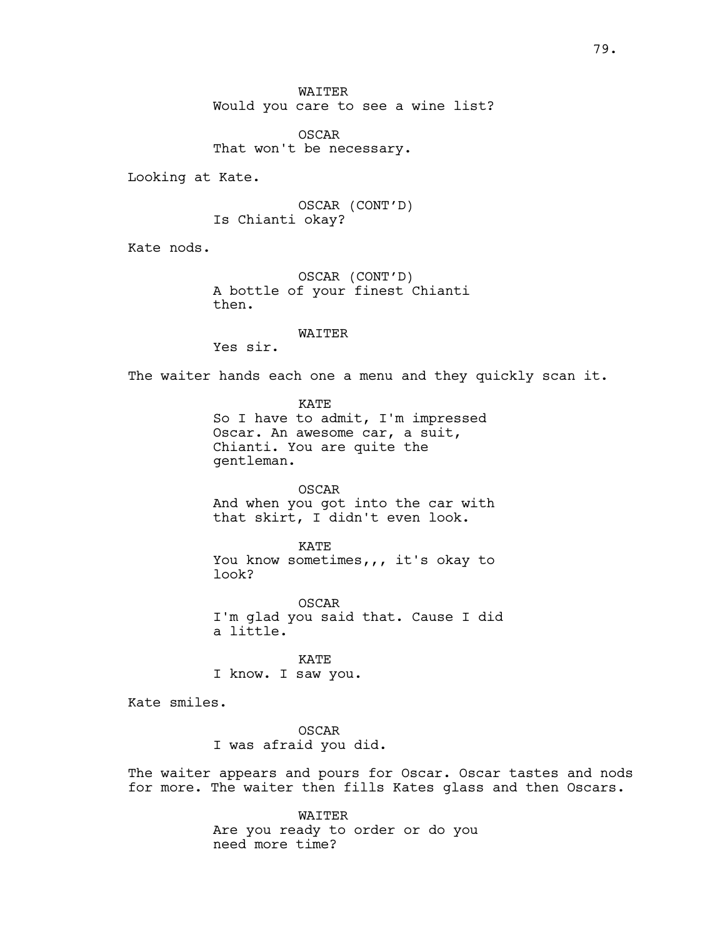OSCAR That won't be necessary.

Looking at Kate.

OSCAR (CONT'D) Is Chianti okay?

Kate nods.

OSCAR (CONT'D) A bottle of your finest Chianti then.

WAITER

Yes sir.

The waiter hands each one a menu and they quickly scan it.

KATE So I have to admit, I'm impressed Oscar. An awesome car, a suit, Chianti. You are quite the gentleman.

OSCAR

And when you got into the car with that skirt, I didn't even look.

KATE You know sometimes,,, it's okay to look?

OSCAR I'm glad you said that. Cause I did a little.

KATE I know. I saw you.

Kate smiles.

OSCAR I was afraid you did.

The waiter appears and pours for Oscar. Oscar tastes and nods for more. The waiter then fills Kates glass and then Oscars.

> WAITER Are you ready to order or do you need more time?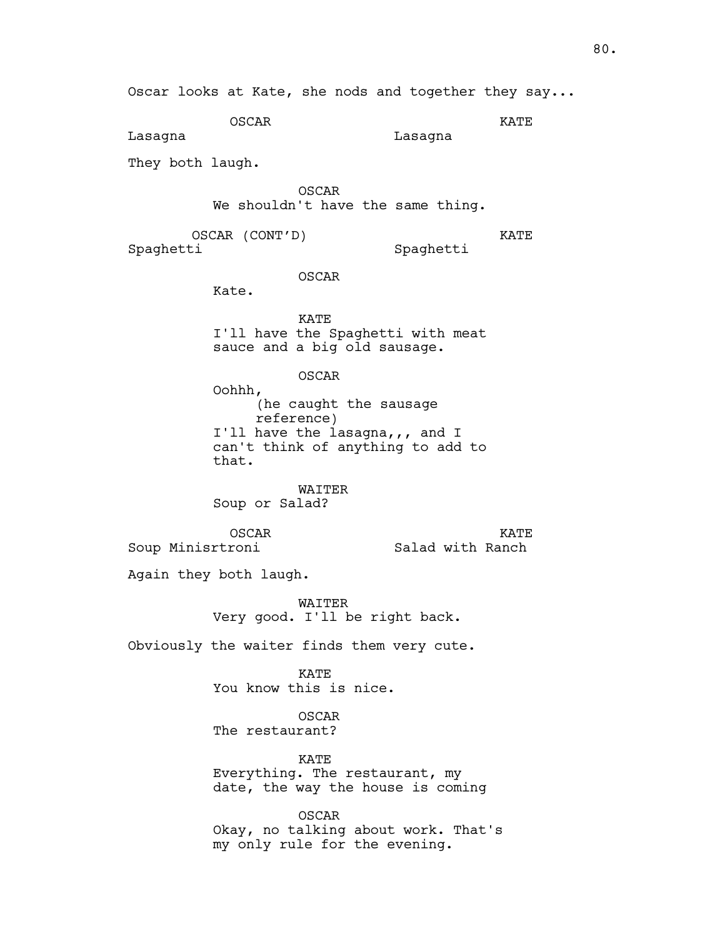OSCAR KATE Lasagna

Lasagna

They both laugh.

OSCAR We shouldn't have the same thing.

OSCAR (CONT'D) Spaghetti

KATE

Spaghetti

OSCAR

Kate.

KATE I'll have the Spaghetti with meat sauce and a big old sausage.

OSCAR

Oohhh, (he caught the sausage reference) I'll have the lasagna,,, and I can't think of anything to add to that.

WAITER Soup or Salad?

OSCAR Soup Minisrtroni

KATE Salad with Ranch

Again they both laugh.

WAITER Very good. I'll be right back.

Obviously the waiter finds them very cute.

KATE You know this is nice.

OSCAR The restaurant?

KATE Everything. The restaurant, my date, the way the house is coming

OSCAR Okay, no talking about work. That's my only rule for the evening.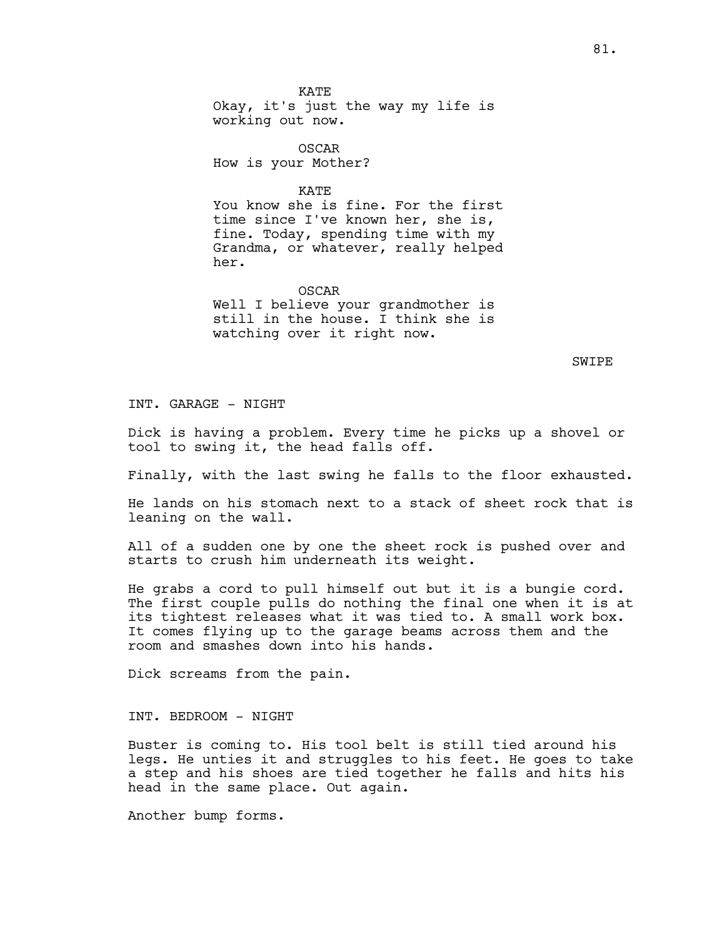OSCAR How is your Mother?

KATE

You know she is fine. For the first time since I've known her, she is, fine. Today, spending time with my Grandma, or whatever, really helped her.

OSCAR Well I believe your grandmother is still in the house. I think she is watching over it right now.

SWIPE

INT. GARAGE - NIGHT

Dick is having a problem. Every time he picks up a shovel or tool to swing it, the head falls off.

Finally, with the last swing he falls to the floor exhausted.

He lands on his stomach next to a stack of sheet rock that is leaning on the wall.

All of a sudden one by one the sheet rock is pushed over and starts to crush him underneath its weight.

He grabs a cord to pull himself out but it is a bungie cord. The first couple pulls do nothing the final one when it is at its tightest releases what it was tied to. A small work box. It comes flying up to the garage beams across them and the room and smashes down into his hands.

Dick screams from the pain.

INT. BEDROOM - NIGHT

Buster is coming to. His tool belt is still tied around his legs. He unties it and struggles to his feet. He goes to take a step and his shoes are tied together he falls and hits his head in the same place. Out again.

Another bump forms.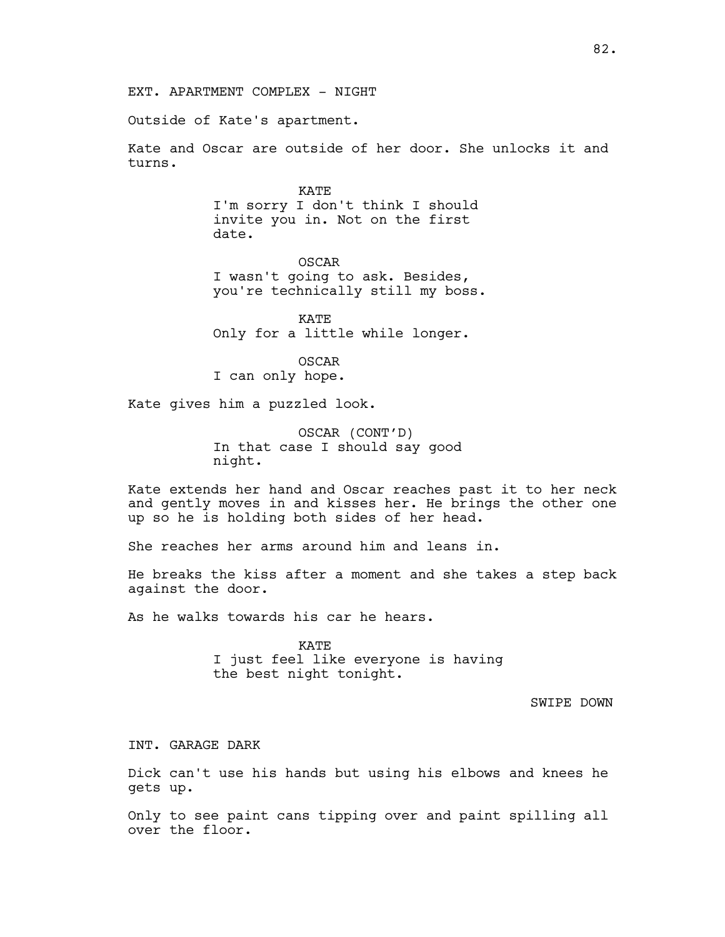Outside of Kate's apartment.

Kate and Oscar are outside of her door. She unlocks it and turns.

> KATE I'm sorry I don't think I should invite you in. Not on the first date.

OSCAR I wasn't going to ask. Besides, you're technically still my boss.

KATE Only for a little while longer.

OSCAR I can only hope.

Kate gives him a puzzled look.

OSCAR (CONT'D) In that case I should say good night.

Kate extends her hand and Oscar reaches past it to her neck and gently moves in and kisses her. He brings the other one up so he is holding both sides of her head.

She reaches her arms around him and leans in.

He breaks the kiss after a moment and she takes a step back against the door.

As he walks towards his car he hears.

KATE I just feel like everyone is having the best night tonight.

SWIPE DOWN

INT. GARAGE DARK

Dick can't use his hands but using his elbows and knees he gets up.

Only to see paint cans tipping over and paint spilling all over the floor.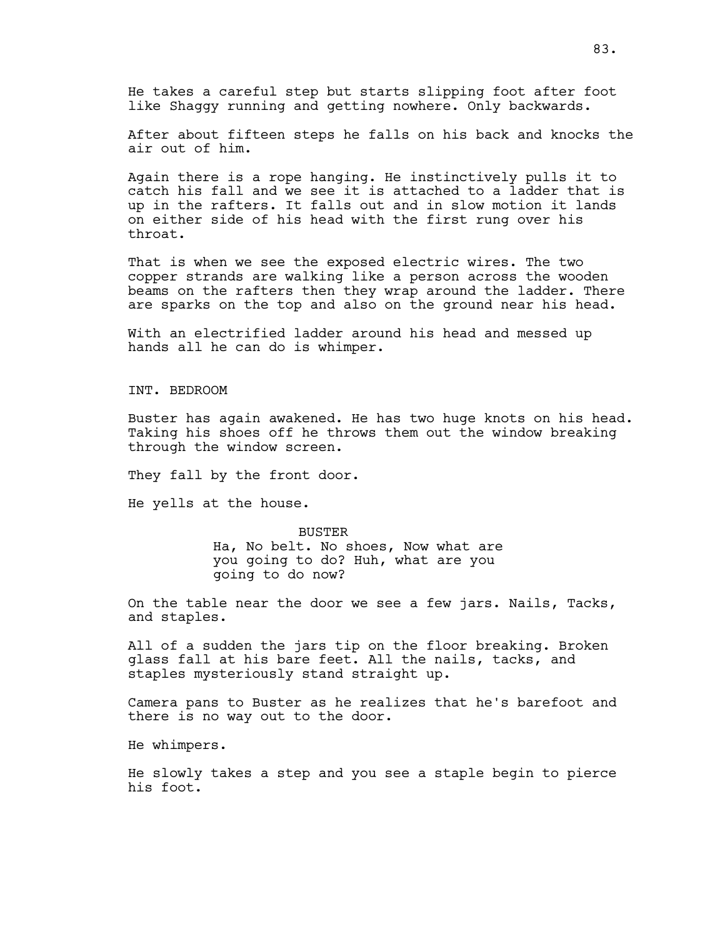He takes a careful step but starts slipping foot after foot like Shaggy running and getting nowhere. Only backwards.

After about fifteen steps he falls on his back and knocks the air out of him.

Again there is a rope hanging. He instinctively pulls it to catch his fall and we see it is attached to a ladder that is up in the rafters. It falls out and in slow motion it lands on either side of his head with the first rung over his throat.

That is when we see the exposed electric wires. The two copper strands are walking like a person across the wooden beams on the rafters then they wrap around the ladder. There are sparks on the top and also on the ground near his head.

With an electrified ladder around his head and messed up hands all he can do is whimper.

INT. BEDROOM

Buster has again awakened. He has two huge knots on his head. Taking his shoes off he throws them out the window breaking through the window screen.

They fall by the front door.

He yells at the house.

**BUSTER** Ha, No belt. No shoes, Now what are you going to do? Huh, what are you going to do now?

On the table near the door we see a few jars. Nails, Tacks, and staples.

All of a sudden the jars tip on the floor breaking. Broken glass fall at his bare feet. All the nails, tacks, and staples mysteriously stand straight up.

Camera pans to Buster as he realizes that he's barefoot and there is no way out to the door.

He whimpers.

He slowly takes a step and you see a staple begin to pierce his foot.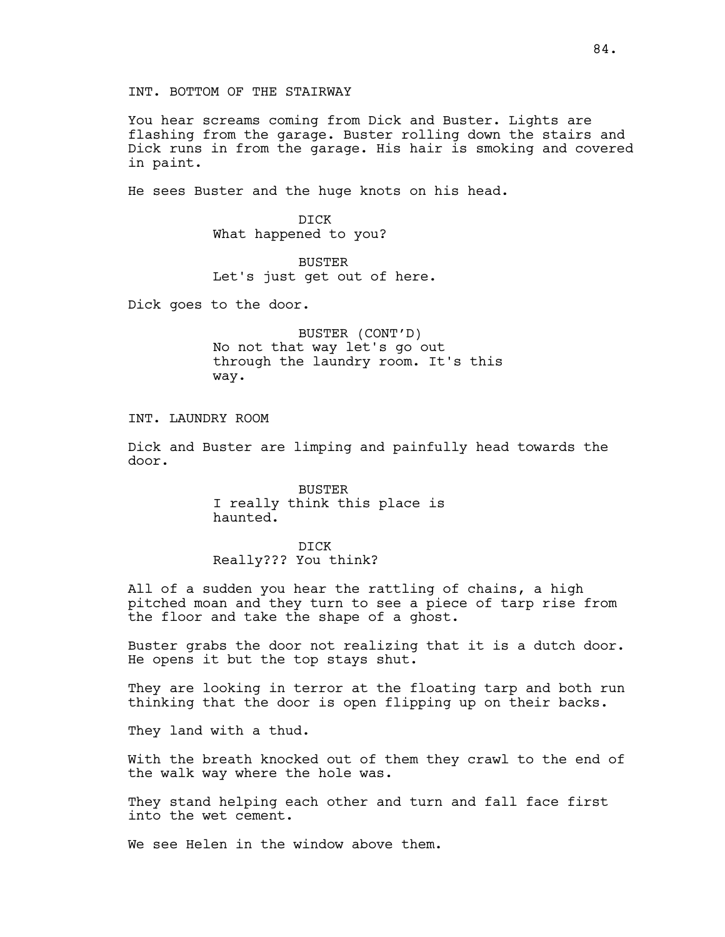INT. BOTTOM OF THE STAIRWAY

You hear screams coming from Dick and Buster. Lights are flashing from the garage. Buster rolling down the stairs and Dick runs in from the garage. His hair is smoking and covered in paint.

He sees Buster and the huge knots on his head.

DICK What happened to you?

BUSTER Let's just get out of here.

Dick goes to the door.

BUSTER (CONT'D) No not that way let's go out through the laundry room. It's this way.

INT. LAUNDRY ROOM

Dick and Buster are limping and painfully head towards the door.

> BUSTER I really think this place is haunted.

DICK Really??? You think?

All of a sudden you hear the rattling of chains, a high pitched moan and they turn to see a piece of tarp rise from the floor and take the shape of a ghost.

Buster grabs the door not realizing that it is a dutch door. He opens it but the top stays shut.

They are looking in terror at the floating tarp and both run thinking that the door is open flipping up on their backs.

They land with a thud.

With the breath knocked out of them they crawl to the end of the walk way where the hole was.

They stand helping each other and turn and fall face first into the wet cement.

We see Helen in the window above them.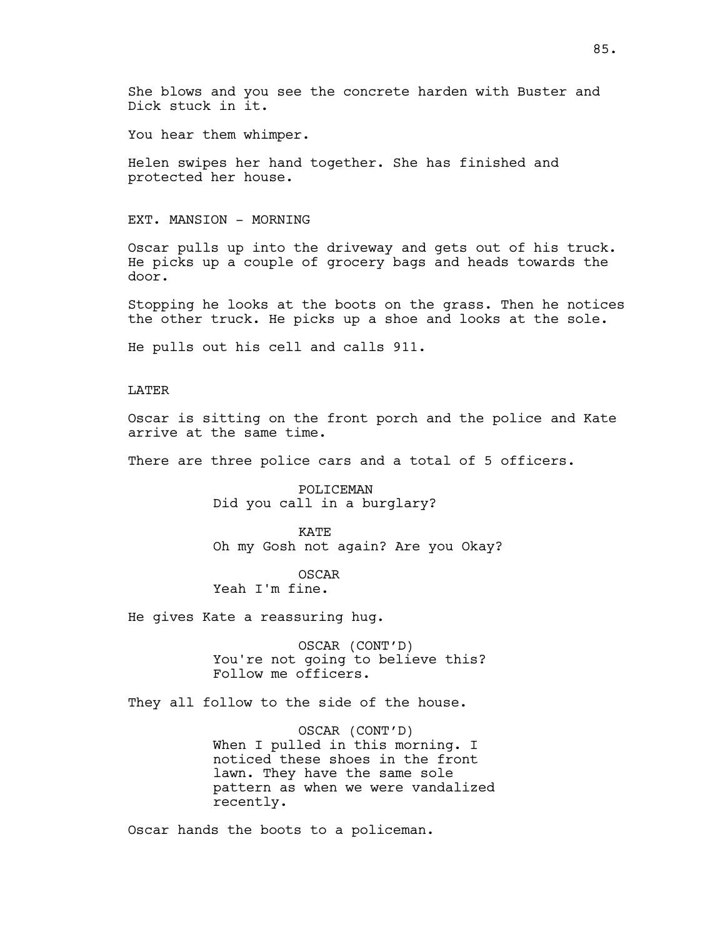She blows and you see the concrete harden with Buster and Dick stuck in it.

You hear them whimper.

Helen swipes her hand together. She has finished and protected her house.

#### EXT. MANSION - MORNING

Oscar pulls up into the driveway and gets out of his truck. He picks up a couple of grocery bags and heads towards the door.

Stopping he looks at the boots on the grass. Then he notices the other truck. He picks up a shoe and looks at the sole.

He pulls out his cell and calls 911.

## LATER

Oscar is sitting on the front porch and the police and Kate arrive at the same time.

There are three police cars and a total of 5 officers.

POLICEMAN Did you call in a burglary?

KATE Oh my Gosh not again? Are you Okay?

OSCAR Yeah I'm fine.

He gives Kate a reassuring hug.

OSCAR (CONT'D) You're not going to believe this? Follow me officers.

They all follow to the side of the house.

OSCAR (CONT'D) When I pulled in this morning. I noticed these shoes in the front lawn. They have the same sole pattern as when we were vandalized recently.

Oscar hands the boots to a policeman.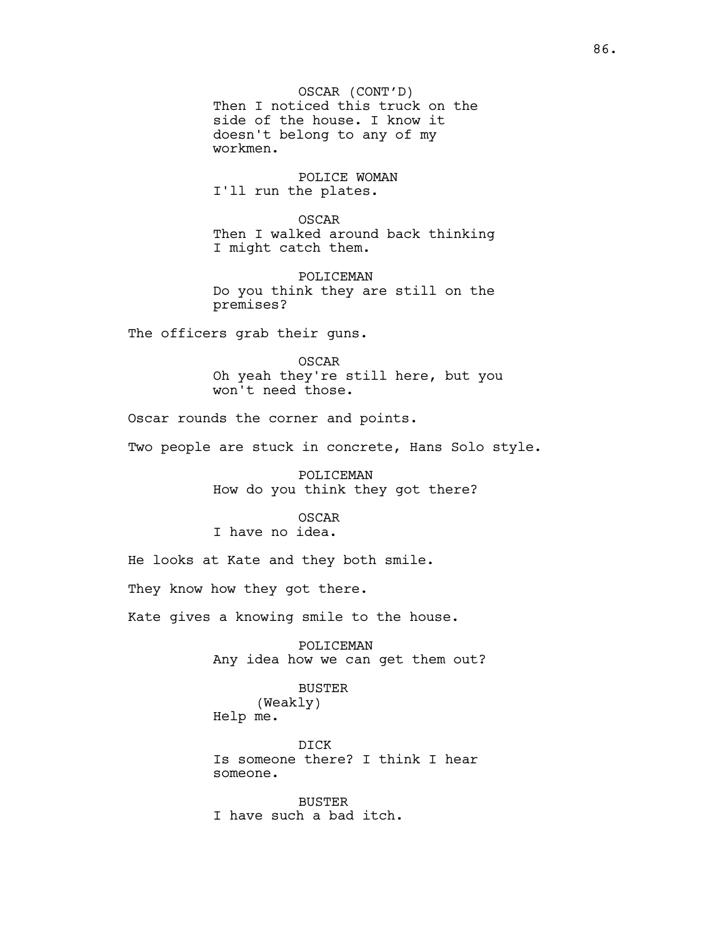OSCAR (CONT'D) Then I noticed this truck on the side of the house. I know it doesn't belong to any of my workmen.

POLICE WOMAN I'll run the plates.

OSCAR Then I walked around back thinking I might catch them.

POLICEMAN Do you think they are still on the premises?

The officers grab their guns.

OSCAR Oh yeah they're still here, but you won't need those.

Oscar rounds the corner and points.

Two people are stuck in concrete, Hans Solo style.

POLICEMAN How do you think they got there?

## OSCAR

I have no idea.

He looks at Kate and they both smile.

They know how they got there.

Kate gives a knowing smile to the house.

POLICEMAN Any idea how we can get them out?

# BUSTER (Weakly)

Help me.

DICK Is someone there? I think I hear someone.

BUSTER I have such a bad itch.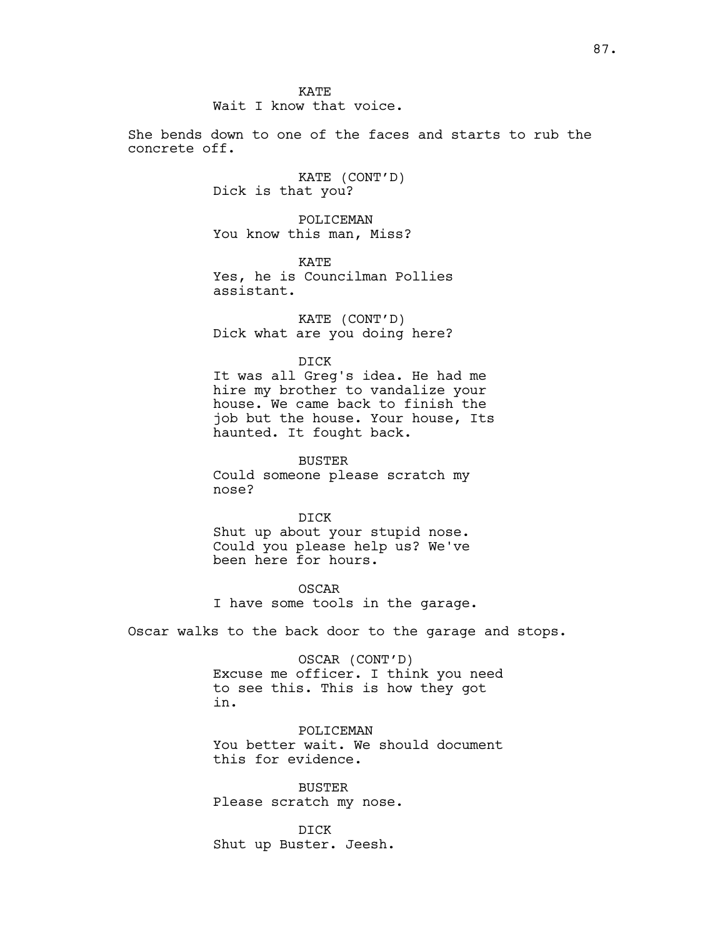KATE Wait I know that voice.

She bends down to one of the faces and starts to rub the concrete off.

> KATE (CONT'D) Dick is that you?

POLICEMAN You know this man, Miss?

KATE Yes, he is Councilman Pollies assistant.

KATE (CONT'D) Dick what are you doing here?

DICK

It was all Greg's idea. He had me hire my brother to vandalize your house. We came back to finish the job but the house. Your house, Its haunted. It fought back.

BUSTER Could someone please scratch my nose?

DICK Shut up about your stupid nose. Could you please help us? We've been here for hours.

OSCAR I have some tools in the garage.

Oscar walks to the back door to the garage and stops.

OSCAR (CONT'D) Excuse me officer. I think you need to see this. This is how they got in.

POLICEMAN You better wait. We should document this for evidence.

BUSTER Please scratch my nose.

DICK Shut up Buster. Jeesh.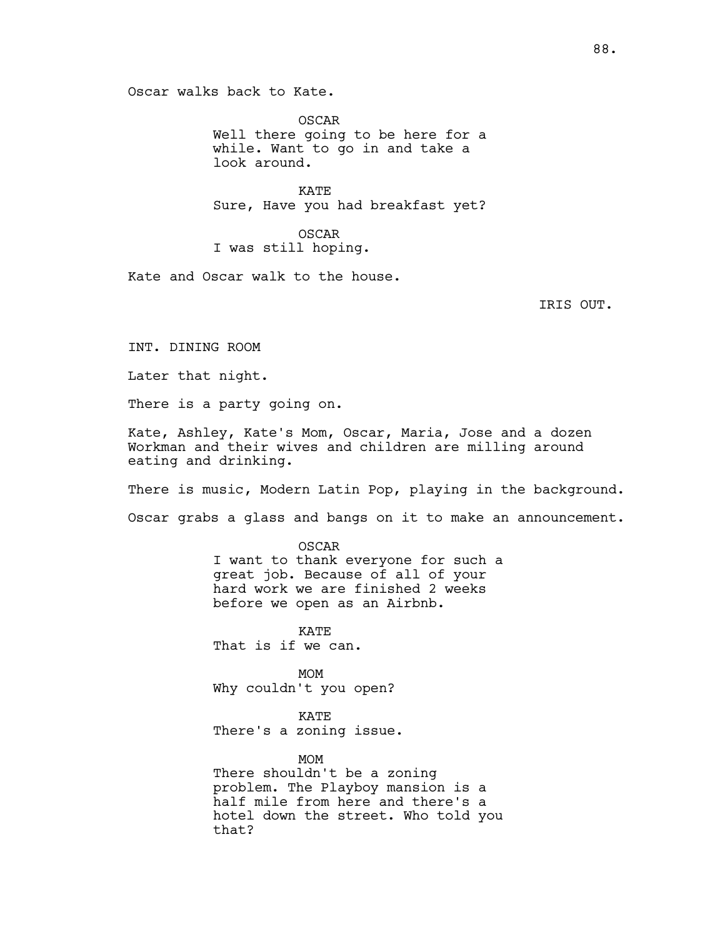Oscar walks back to Kate.

OSCAR Well there going to be here for a while. Want to go in and take a look around.

KATE Sure, Have you had breakfast yet?

OSCAR I was still hoping.

Kate and Oscar walk to the house.

IRIS OUT.

INT. DINING ROOM

Later that night.

There is a party going on.

Kate, Ashley, Kate's Mom, Oscar, Maria, Jose and a dozen Workman and their wives and children are milling around eating and drinking.

There is music, Modern Latin Pop, playing in the background.

Oscar grabs a glass and bangs on it to make an announcement.

OSCAR I want to thank everyone for such a great job. Because of all of your hard work we are finished 2 weeks before we open as an Airbnb.

KATE That is if we can.

MOM Why couldn't you open?

KATE There's a zoning issue.

MOM There shouldn't be a zoning problem. The Playboy mansion is a half mile from here and there's a hotel down the street. Who told you that?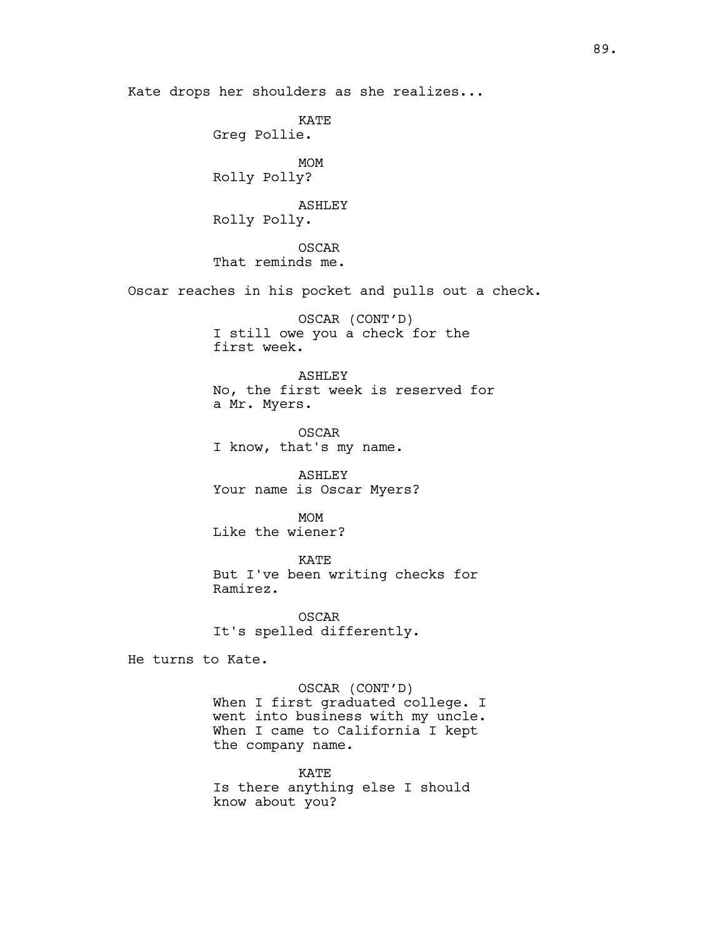Kate drops her shoulders as she realizes...

KATE Greg Pollie. MOM Rolly Polly? ASHLEY Rolly Polly. OSCAR That reminds me. Oscar reaches in his pocket and pulls out a check. OSCAR (CONT'D) I still owe you a check for the first week. ASHLEY No, the first week is reserved for a Mr. Myers. OSCAR I know, that's my name. ASHLEY Your name is Oscar Myers? MOM Like the wiener? KATE But I've been writing checks for Ramirez. OSCAR It's spelled differently. He turns to Kate. OSCAR (CONT'D) When I first graduated college. I went into business with my uncle. When I came to California I kept

> KATE Is there anything else I should know about you?

the company name.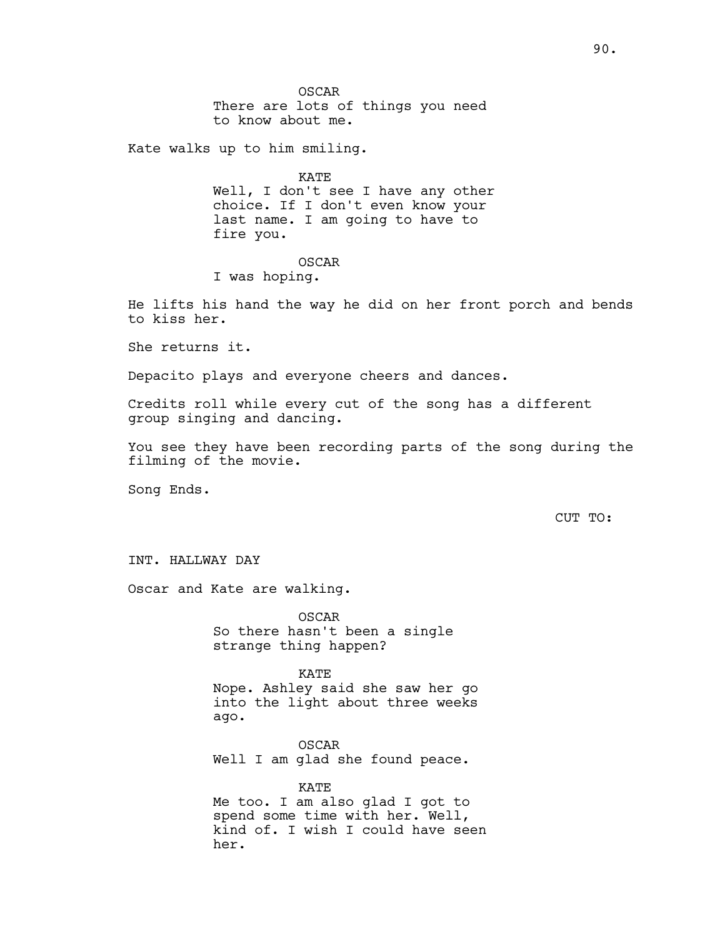OSCAR There are lots of things you need to know about me.

Kate walks up to him smiling.

KATE Well, I don't see I have any other choice. If I don't even know your last name. I am going to have to fire you.

### OSCAR

I was hoping.

He lifts his hand the way he did on her front porch and bends to kiss her.

She returns it.

Depacito plays and everyone cheers and dances.

Credits roll while every cut of the song has a different group singing and dancing.

You see they have been recording parts of the song during the filming of the movie.

Song Ends.

CUT TO:

INT. HALLWAY DAY

Oscar and Kate are walking.

OSCAR So there hasn't been a single strange thing happen?

KATE Nope. Ashley said she saw her go into the light about three weeks ago.

OSCAR Well I am glad she found peace.

KATE Me too. I am also glad I got to spend some time with her. Well, kind of. I wish I could have seen her.